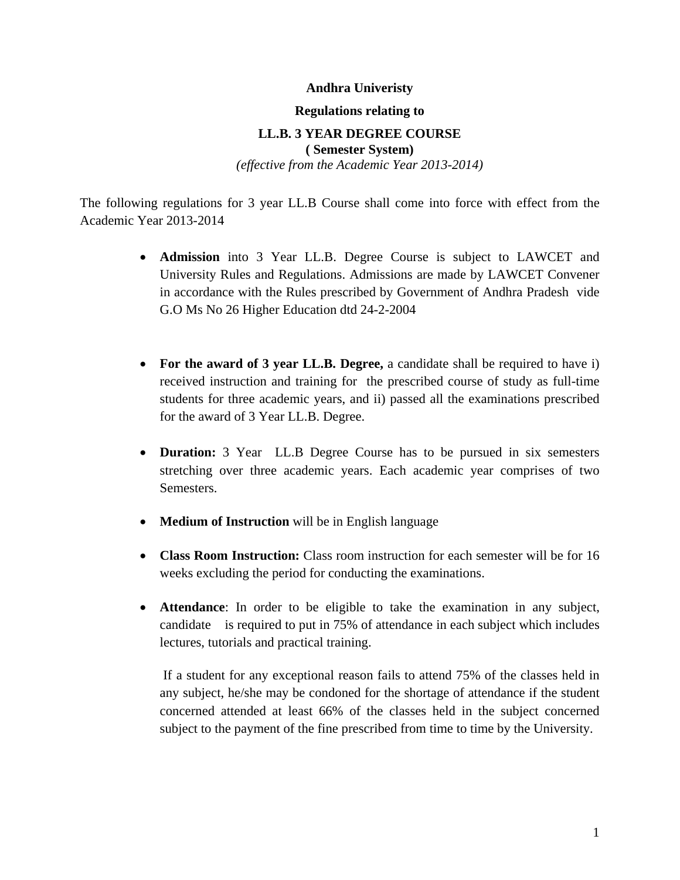#### **Andhra Univeristy**

#### **Regulations relating to**

#### **LL.B. 3 YEAR DEGREE COURSE ( Semester System)**

*(effective from the Academic Year 2013-2014)* 

The following regulations for 3 year LL.B Course shall come into force with effect from the Academic Year 2013-2014

- **Admission** into 3 Year LL.B. Degree Course is subject to LAWCET and University Rules and Regulations. Admissions are made by LAWCET Convener in accordance with the Rules prescribed by Government of Andhra Pradesh vide G.O Ms No 26 Higher Education dtd 24-2-2004
- **For the award of 3 year LL.B. Degree,** a candidate shall be required to have i) received instruction and training for the prescribed course of study as full-time students for three academic years, and ii) passed all the examinations prescribed for the award of 3 Year LL.B. Degree.
- **Duration:** 3 Year LL.B Degree Course has to be pursued in six semesters stretching over three academic years. Each academic year comprises of two Semesters.
- **Medium of Instruction** will be in English language
- **Class Room Instruction:** Class room instruction for each semester will be for 16 weeks excluding the period for conducting the examinations.
- **Attendance**: In order to be eligible to take the examination in any subject, candidate is required to put in 75% of attendance in each subject which includes lectures, tutorials and practical training.

 If a student for any exceptional reason fails to attend 75% of the classes held in any subject, he/she may be condoned for the shortage of attendance if the student concerned attended at least 66% of the classes held in the subject concerned subject to the payment of the fine prescribed from time to time by the University.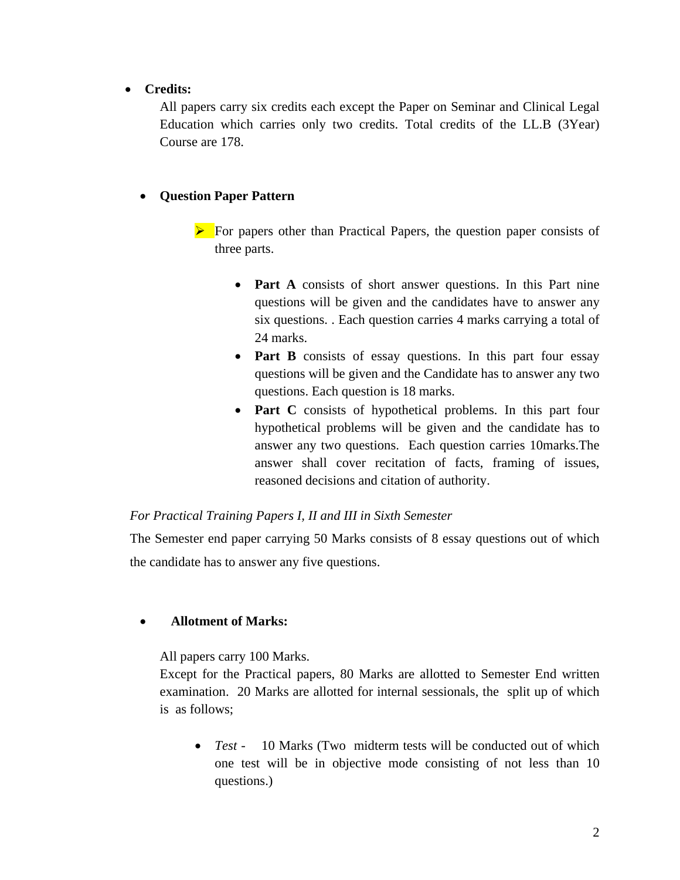• **Credits:** 

All papers carry six credits each except the Paper on Seminar and Clinical Legal Education which carries only two credits. Total credits of the LL.B (3Year) Course are 178.

## • **Question Paper Pattern**

- $\triangleright$  For papers other than Practical Papers, the question paper consists of three parts.
	- **Part A** consists of short answer questions. In this Part nine questions will be given and the candidates have to answer any six questions. . Each question carries 4 marks carrying a total of 24 marks.
	- **Part B** consists of essay questions. In this part four essay questions will be given and the Candidate has to answer any two questions. Each question is 18 marks.
	- **Part C** consists of hypothetical problems. In this part four hypothetical problems will be given and the candidate has to answer any two questions. Each question carries 10marks.The answer shall cover recitation of facts, framing of issues, reasoned decisions and citation of authority.

## *For Practical Training Papers I, II and III in Sixth Semester*

The Semester end paper carrying 50 Marks consists of 8 essay questions out of which the candidate has to answer any five questions.

## • **Allotment of Marks:**

All papers carry 100 Marks.

Except for the Practical papers, 80 Marks are allotted to Semester End written examination. 20 Marks are allotted for internal sessionals, the split up of which is as follows;

• *Test* - 10 Marks (Two midterm tests will be conducted out of which one test will be in objective mode consisting of not less than 10 questions.)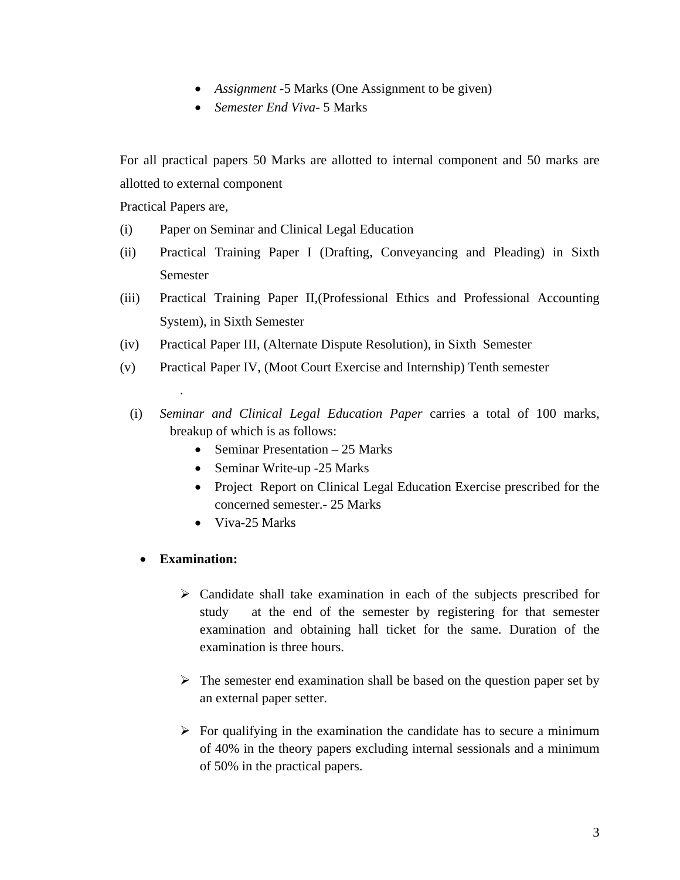- *Assignment* -5 Marks (One Assignment to be given)
- *Semester End Viva-* 5 Marks

For all practical papers 50 Marks are allotted to internal component and 50 marks are allotted to external component

Practical Papers are,

- (i) Paper on Seminar and Clinical Legal Education
- (ii) Practical Training Paper I (Drafting, Conveyancing and Pleading) in Sixth Semester
- (iii) Practical Training Paper II,(Professional Ethics and Professional Accounting System), in Sixth Semester
- (iv) Practical Paper III, (Alternate Dispute Resolution), in Sixth Semester
- (v) Practical Paper IV, (Moot Court Exercise and Internship) Tenth semester
	- (i) *Seminar and Clinical Legal Education Paper* carries a total of 100 marks, breakup of which is as follows:
		- Seminar Presentation 25 Marks
		- Seminar Write-up -25 Marks
		- Project Report on Clinical Legal Education Exercise prescribed for the concerned semester.- 25 Marks
		- Viva-25 Marks
		- **Examination:**

.

- $\triangleright$  Candidate shall take examination in each of the subjects prescribed for study at the end of the semester by registering for that semester examination and obtaining hall ticket for the same. Duration of the examination is three hours.
- $\triangleright$  The semester end examination shall be based on the question paper set by an external paper setter.
- $\triangleright$  For qualifying in the examination the candidate has to secure a minimum of 40% in the theory papers excluding internal sessionals and a minimum of 50% in the practical papers.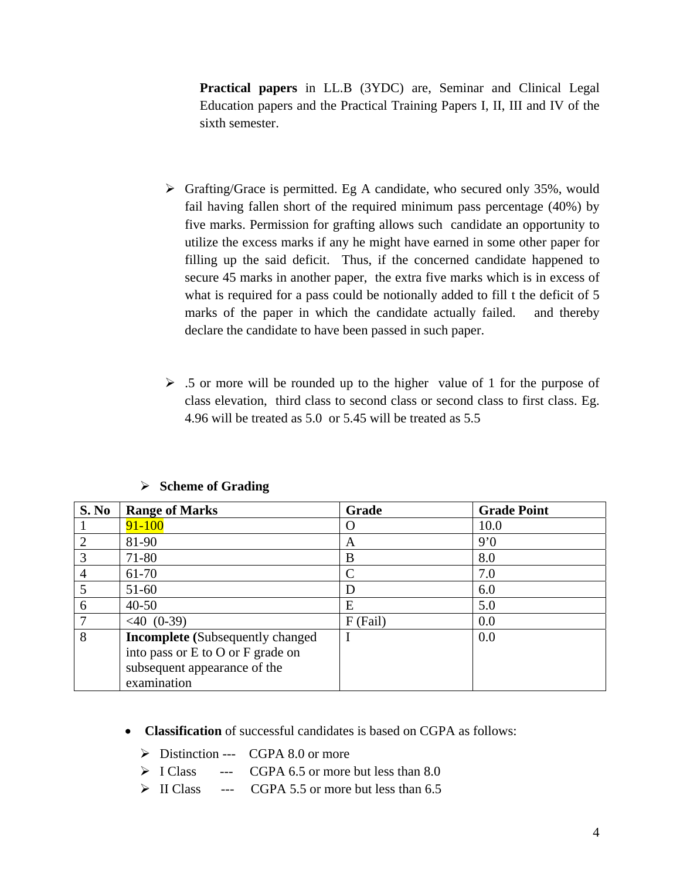**Practical papers** in LL.B (3YDC) are, Seminar and Clinical Legal Education papers and the Practical Training Papers I, II, III and IV of the sixth semester.

- $\triangleright$  Grafting/Grace is permitted. Eg A candidate, who secured only 35%, would fail having fallen short of the required minimum pass percentage (40%) by five marks. Permission for grafting allows such candidate an opportunity to utilize the excess marks if any he might have earned in some other paper for filling up the said deficit. Thus, if the concerned candidate happened to secure 45 marks in another paper, the extra five marks which is in excess of what is required for a pass could be notionally added to fill t the deficit of 5 marks of the paper in which the candidate actually failed. and thereby declare the candidate to have been passed in such paper.
- $\geq$  .5 or more will be rounded up to the higher value of 1 for the purpose of class elevation, third class to second class or second class to first class. Eg. 4.96 will be treated as 5.0 or 5.45 will be treated as 5.5

| S. No | <b>Range of Marks</b>                                                                                                       | Grade      | <b>Grade Point</b> |
|-------|-----------------------------------------------------------------------------------------------------------------------------|------------|--------------------|
|       | $91 - 100$                                                                                                                  | $\left($ ) | 10.0               |
|       | 81-90                                                                                                                       | A          | 9'0                |
| 3     | 71-80                                                                                                                       | B          | 8.0                |
| 4     | 61-70                                                                                                                       |            | 7.0                |
| 5     | $51-60$                                                                                                                     | D          | 6.0                |
| 6     | $40 - 50$                                                                                                                   | E          | 5.0                |
|       | $< 40$ (0-39)                                                                                                               | $F$ (Fail) | 0.0                |
| 8     | <b>Incomplete</b> (Subsequently changed<br>into pass or E to O or F grade on<br>subsequent appearance of the<br>examination | I          | 0.0                |

#### ¾ **Scheme of Grading**

- **Classification** of successful candidates is based on CGPA as follows:
	- $\triangleright$  Distinction --- CGPA 8.0 or more
	- $\triangleright$  I Class --- CGPA 6.5 or more but less than 8.0
	- $\triangleright$  II Class --- CGPA 5.5 or more but less than 6.5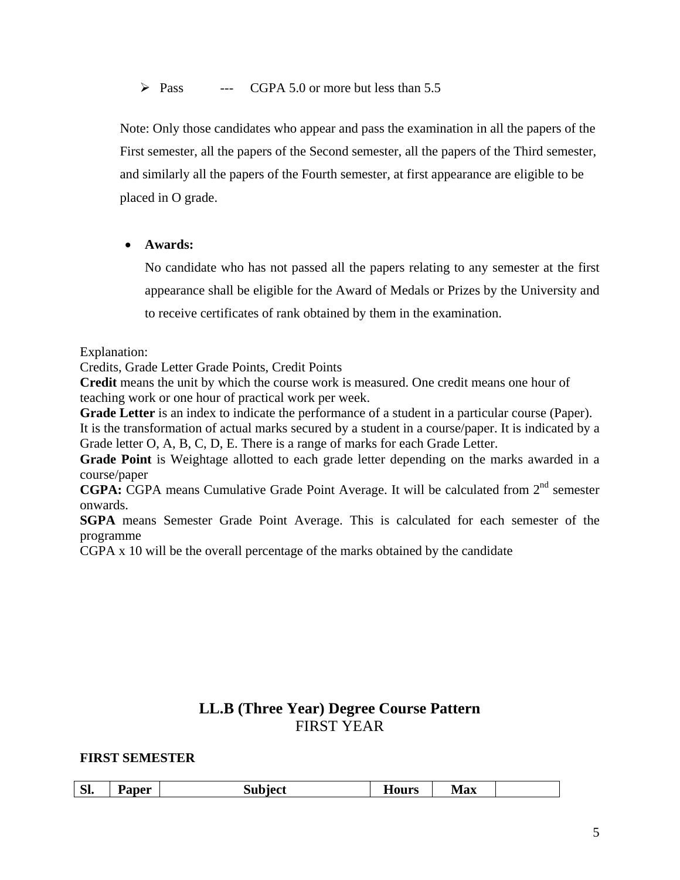$\triangleright$  Pass --- CGPA 5.0 or more but less than 5.5

Note: Only those candidates who appear and pass the examination in all the papers of the First semester, all the papers of the Second semester, all the papers of the Third semester, and similarly all the papers of the Fourth semester, at first appearance are eligible to be placed in O grade.

• **Awards:** 

No candidate who has not passed all the papers relating to any semester at the first appearance shall be eligible for the Award of Medals or Prizes by the University and to receive certificates of rank obtained by them in the examination.

Explanation:

Credits, Grade Letter Grade Points, Credit Points

**Credit** means the unit by which the course work is measured. One credit means one hour of teaching work or one hour of practical work per week.

**Grade Letter** is an index to indicate the performance of a student in a particular course (Paper).

It is the transformation of actual marks secured by a student in a course/paper. It is indicated by a Grade letter O, A, B, C, D, E. There is a range of marks for each Grade Letter.

**Grade Point** is Weightage allotted to each grade letter depending on the marks awarded in a course/paper

**CGPA:** CGPA means Cumulative Grade Point Average. It will be calculated from 2<sup>nd</sup> semester onwards.

**SGPA** means Semester Grade Point Average. This is calculated for each semester of the programme

CGPA x 10 will be the overall percentage of the marks obtained by the candidate

# **LL.B (Three Year) Degree Course Pattern**  FIRST YEAR

## **FIRST SEMESTER**

| Paner<br><b>Max</b><br><b>эь</b><br>110urs<br>- - - - - - |
|-----------------------------------------------------------|
|-----------------------------------------------------------|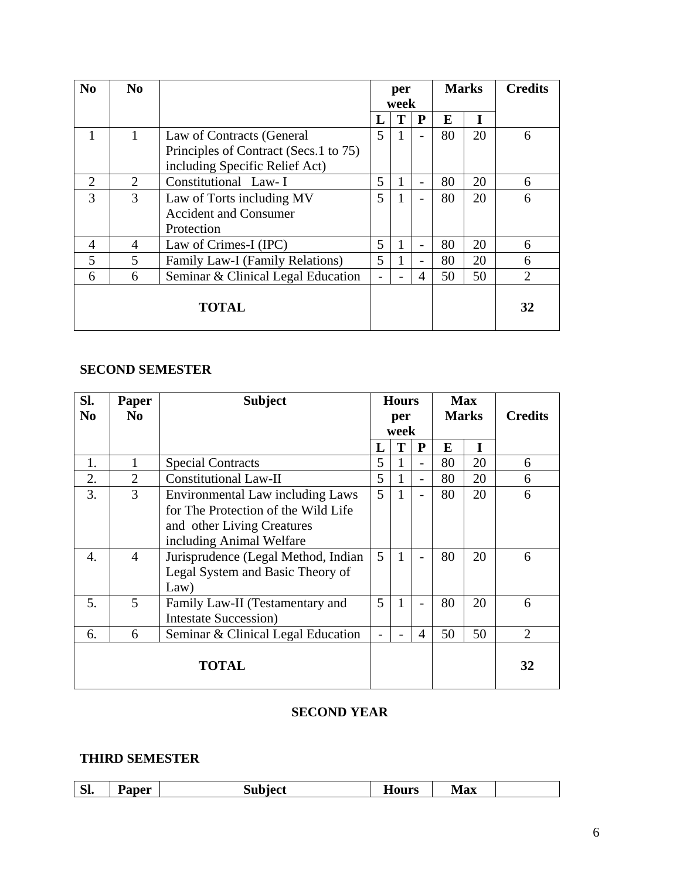| N <sub>0</sub> | N <sub>0</sub>              |                                       |    | per  |                          |    | <b>Marks</b> | <b>Credits</b> |
|----------------|-----------------------------|---------------------------------------|----|------|--------------------------|----|--------------|----------------|
|                |                             |                                       |    | week |                          |    |              |                |
|                |                             |                                       | П. | T    | P                        | E  | T            |                |
|                |                             | Law of Contracts (General             | 5  | 1    |                          | 80 | 20           | 6              |
|                |                             | Principles of Contract (Secs.1 to 75) |    |      |                          |    |              |                |
|                |                             | including Specific Relief Act)        |    |      |                          |    |              |                |
| 2              | $\mathcal{D}_{\mathcal{L}}$ | Constitutional Law- I                 | 5  | 1    |                          | 80 | 20           | 6              |
| 3              | 3                           | Law of Torts including MV             | 5  | 1    |                          | 80 | 20           | 6              |
|                |                             | <b>Accident and Consumer</b>          |    |      |                          |    |              |                |
|                |                             | Protection                            |    |      |                          |    |              |                |
| 4              | 4                           | Law of Crimes-I (IPC)                 | 5  |      | $\overline{\phantom{a}}$ | 80 | 20           | 6              |
| 5              | 5                           | Family Law-I (Family Relations)       | 5  |      |                          | 80 | 20           | 6              |
| 6              | 6                           | Seminar & Clinical Legal Education    |    |      | 4                        | 50 | 50           | 2              |
| <b>TOTAL</b>   |                             |                                       |    |      |                          |    |              | 32             |

## **SECOND SEMESTER**

| Sl.            | <b>Paper</b>   | <b>Subject</b>                          | <b>Hours</b>   |              |                          |              | <b>Max</b> |                |
|----------------|----------------|-----------------------------------------|----------------|--------------|--------------------------|--------------|------------|----------------|
| N <sub>0</sub> | No.            |                                         |                | per<br>week  |                          | <b>Marks</b> |            | <b>Credits</b> |
|                |                |                                         | L              | T            | P                        | E            | I          |                |
| 1.             | 1              | <b>Special Contracts</b>                | 5              | 1            | $\overline{\phantom{0}}$ | 80           | 20         | 6              |
| 2.             | $\overline{2}$ | <b>Constitutional Law-II</b>            | 5              | $\mathbf{1}$ | $\overline{\phantom{a}}$ | 80           | 20         | 6              |
| 3.             | 3              | <b>Environmental Law including Laws</b> | 5              | $\mathbf{1}$ | $\overline{\phantom{a}}$ | 80           | 20         | 6              |
|                |                | for The Protection of the Wild Life     |                |              |                          |              |            |                |
|                |                | and other Living Creatures              |                |              |                          |              |            |                |
|                |                | including Animal Welfare                |                |              |                          |              |            |                |
| 4.             | $\overline{4}$ | Jurisprudence (Legal Method, Indian     | $\mathfrak{H}$ | 1            |                          | 80           | 20         | 6              |
|                |                | Legal System and Basic Theory of        |                |              |                          |              |            |                |
|                |                | Law)                                    |                |              |                          |              |            |                |
| 5.             | 5              | Family Law-II (Testamentary and         | 5              | 1            |                          | 80           | 20         | 6              |
|                |                | <b>Intestate Succession</b> )           |                |              |                          |              |            |                |
| 6.             | 6              | Seminar & Clinical Legal Education      |                |              | 4                        | 50           | 50         | $\overline{2}$ |
| TOTAL          |                |                                         |                |              |                          |              |            | 32             |

## **SECOND YEAR**

## **THIRD SEMESTER**

| $\sim$<br>nner<br><b>Max</b><br>_____<br>- - -<br><u>ы.</u><br>$-10$ $-10$<br>$    -$ |
|---------------------------------------------------------------------------------------|
|---------------------------------------------------------------------------------------|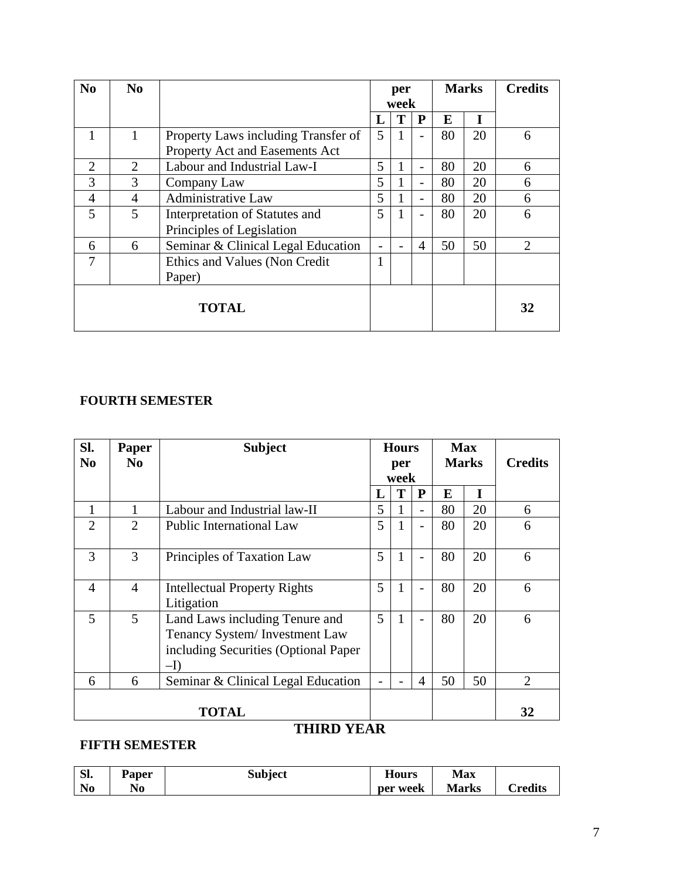| N <sub>0</sub> | N <sub>0</sub> |                                     | per<br>week |   | <b>Marks</b>   |    |    | <b>Credits</b>              |
|----------------|----------------|-------------------------------------|-------------|---|----------------|----|----|-----------------------------|
|                |                |                                     | L           | T | ${\bf P}$      | E  | I  |                             |
|                |                | Property Laws including Transfer of | 5           | 1 | $\overline{a}$ | 80 | 20 | 6                           |
|                |                | Property Act and Easements Act      |             |   |                |    |    |                             |
| 2              | $\overline{2}$ | Labour and Industrial Law-I         | 5           | 1 | $\overline{a}$ | 80 | 20 | 6                           |
| 3              | 3              | Company Law                         | 5           | 1 | $\overline{a}$ | 80 | 20 | 6                           |
| 4              | 4              | <b>Administrative Law</b>           | 5           | 1 |                | 80 | 20 | 6                           |
| 5              | 5              | Interpretation of Statutes and      | 5           | 1 |                | 80 | 20 | 6                           |
|                |                | Principles of Legislation           |             |   |                |    |    |                             |
| 6              | 6              | Seminar & Clinical Legal Education  |             |   | $\overline{4}$ | 50 | 50 | $\mathcal{D}_{\mathcal{L}}$ |
| 7              |                | Ethics and Values (Non Credit)      |             |   |                |    |    |                             |
|                |                | Paper)                              |             |   |                |    |    |                             |
| <b>TOTAL</b>   |                |                                     |             |   |                |    | 32 |                             |

# **FOURTH SEMESTER**

| Sl.            | <b>Paper</b>                | <b>Subject</b>                                                                                                  | <b>Hours</b> |              | <b>Max</b>               |              |    |                |
|----------------|-----------------------------|-----------------------------------------------------------------------------------------------------------------|--------------|--------------|--------------------------|--------------|----|----------------|
| N <sub>0</sub> | N <sub>0</sub>              |                                                                                                                 |              | per          |                          | <b>Marks</b> |    | <b>Credits</b> |
|                |                             |                                                                                                                 |              | week         |                          |              |    |                |
|                |                             |                                                                                                                 | L            | T            | P                        | E            | T  |                |
| 1              |                             | Labour and Industrial law-II                                                                                    | 5            | 1            | $\overline{\phantom{a}}$ | 80           | 20 | 6              |
| $\overline{2}$ | $\mathcal{D}_{\mathcal{L}}$ | <b>Public International Law</b>                                                                                 | 5            | $\mathbf{1}$ | $\overline{\phantom{0}}$ | 80           | 20 | 6              |
| 3              | 3                           | Principles of Taxation Law                                                                                      | 5            | $\mathbf{1}$ | $\overline{a}$           | 80           | 20 | 6              |
| $\overline{4}$ | $\overline{4}$              | <b>Intellectual Property Rights</b><br>Litigation                                                               | 5            | $\mathbf{1}$ | $\overline{a}$           | 80           | 20 | 6              |
| 5              | 5                           | Land Laws including Tenure and<br>Tenancy System/Investment Law<br>including Securities (Optional Paper<br>$-I$ | 5            | $\mathbf{1}$ |                          | 80           | 20 | 6              |
| 6              | 6                           | Seminar & Clinical Legal Education                                                                              |              |              | $\overline{4}$           | 50           | 50 | $\overline{2}$ |
| <b>TOTAL</b>   |                             |                                                                                                                 |              |              |                          |              |    | 32             |

# **THIRD YEAR**

# **FIFTH SEMESTER**

| Sl.            | Paper | Subject | --<br>Hours | <b>Max</b>   |                 |
|----------------|-------|---------|-------------|--------------|-----------------|
| N <sub>0</sub> | No    |         | per week    | <b>Marks</b> | $\alpha$ redits |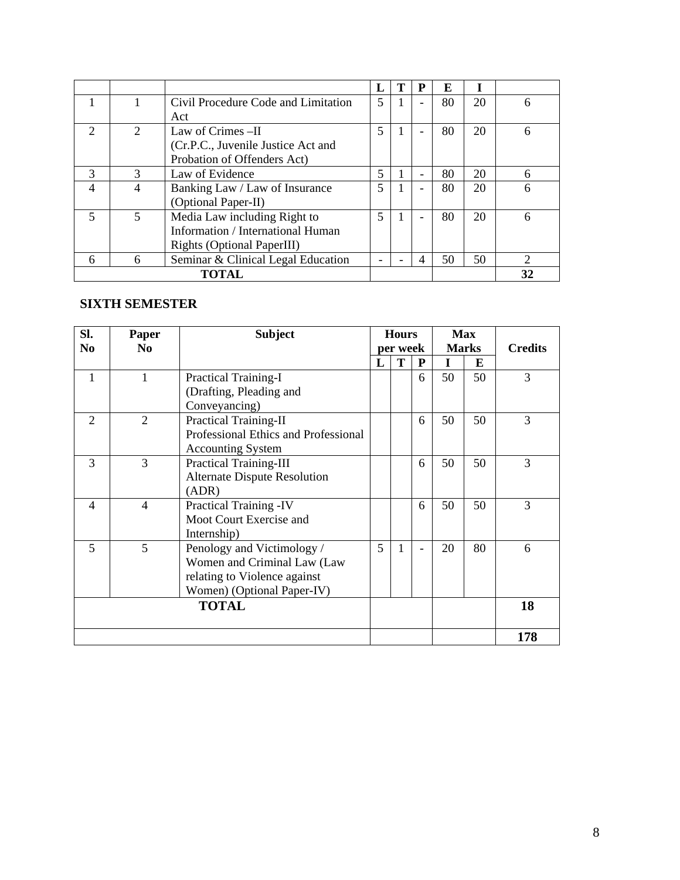|                          |                             |                                     | п, | P | E  |    |    |
|--------------------------|-----------------------------|-------------------------------------|----|---|----|----|----|
|                          |                             | Civil Procedure Code and Limitation | 5  |   | 80 | 20 | 6  |
|                          |                             | Act                                 |    |   |    |    |    |
| $\mathcal{D}$            | $\mathcal{D}_{\mathcal{L}}$ | Law of Crimes $-II$                 | 5  |   | 80 | 20 | 6  |
|                          |                             | (Cr.P.C., Juvenile Justice Act and  |    |   |    |    |    |
|                          |                             | Probation of Offenders Act)         |    |   |    |    |    |
| $\mathcal{R}$            | 3                           | Law of Evidence                     | 5  |   | 80 | 20 | 6  |
| $\overline{\mathcal{A}}$ | 4                           | Banking Law / Law of Insurance      | 5  |   | 80 | 20 | 6  |
|                          |                             | (Optional Paper-II)                 |    |   |    |    |    |
| 5                        | 5                           | Media Law including Right to        | 5  |   | 80 | 20 | 6  |
|                          |                             | Information / International Human   |    |   |    |    |    |
|                          |                             | <b>Rights (Optional PaperIII)</b>   |    |   |    |    |    |
| 6                        | 6                           | Seminar & Clinical Legal Education  |    | 4 | 50 | 50 | 2  |
|                          |                             | <b>TOTAL</b>                        |    |   |    |    | 32 |

## **SIXTH SEMESTER**

| SI.            | Paper          | <b>Subject</b>                       |   | <b>Hours</b><br><b>Max</b> |   |    |              |                |
|----------------|----------------|--------------------------------------|---|----------------------------|---|----|--------------|----------------|
| N <sub>0</sub> | N <sub>0</sub> |                                      |   | per week                   |   |    | <b>Marks</b> | <b>Credits</b> |
|                |                |                                      | L | Т                          | P | I  | E            |                |
| $\mathbf{1}$   | 1              | <b>Practical Training-I</b>          |   |                            | 6 | 50 | 50           | 3              |
|                |                | (Drafting, Pleading and              |   |                            |   |    |              |                |
|                |                | Conveyancing)                        |   |                            |   |    |              |                |
| $\overline{2}$ | $\overline{2}$ | <b>Practical Training-II</b>         |   |                            | 6 | 50 | 50           | 3              |
|                |                | Professional Ethics and Professional |   |                            |   |    |              |                |
|                |                | <b>Accounting System</b>             |   |                            |   |    |              |                |
| 3              | 3              | <b>Practical Training-III</b>        |   |                            | 6 | 50 | 50           | 3              |
|                |                | <b>Alternate Dispute Resolution</b>  |   |                            |   |    |              |                |
|                |                | (ADR)                                |   |                            |   |    |              |                |
| $\overline{4}$ | $\overline{4}$ | Practical Training -IV               |   |                            | 6 | 50 | 50           | 3              |
|                |                | Moot Court Exercise and              |   |                            |   |    |              |                |
|                |                | Internship)                          |   |                            |   |    |              |                |
| 5              | 5              | Penology and Victimology /           | 5 | 1                          |   | 20 | 80           | 6              |
|                |                | Women and Criminal Law (Law          |   |                            |   |    |              |                |
|                |                | relating to Violence against         |   |                            |   |    |              |                |
|                |                | Women) (Optional Paper-IV)           |   |                            |   |    |              |                |
|                |                | <b>TOTAL</b>                         |   |                            |   |    |              | 18             |
|                |                |                                      |   |                            |   |    |              |                |
|                |                |                                      |   |                            |   |    |              | 178            |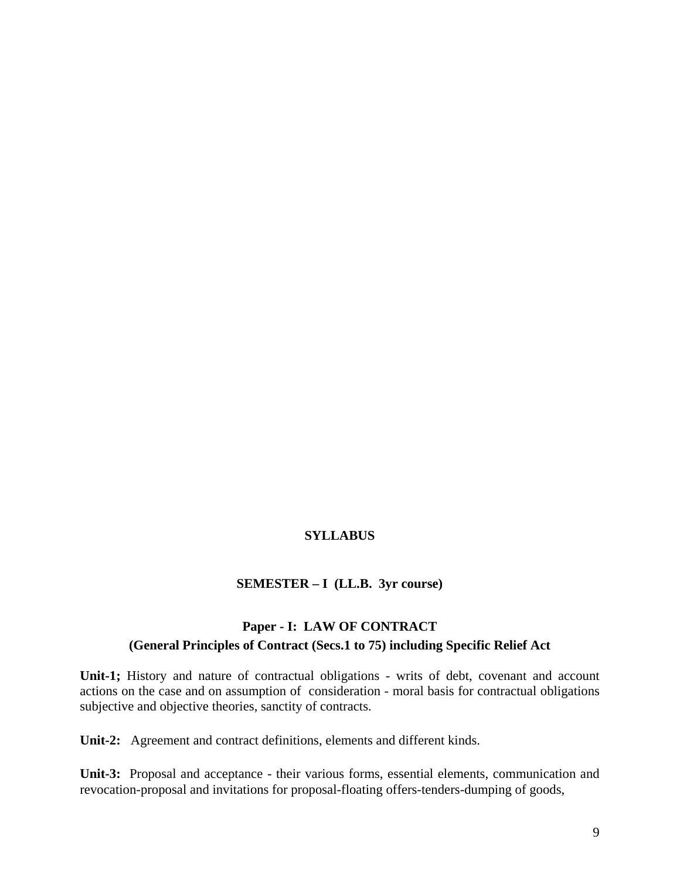## **SYLLABUS**

#### **SEMESTER – I (LL.B. 3yr course)**

## **Paper - I: LAW OF CONTRACT (General Principles of Contract (Secs.1 to 75) including Specific Relief Act**

**Unit-1;** History and nature of contractual obligations - writs of debt, covenant and account actions on the case and on assumption of consideration - moral basis for contractual obligations subjective and objective theories, sanctity of contracts.

**Unit-2:** Agreement and contract definitions, elements and different kinds.

**Unit-3:** Proposal and acceptance - their various forms, essential elements, communication and revocation-proposal and invitations for proposal-floating offers-tenders-dumping of goods,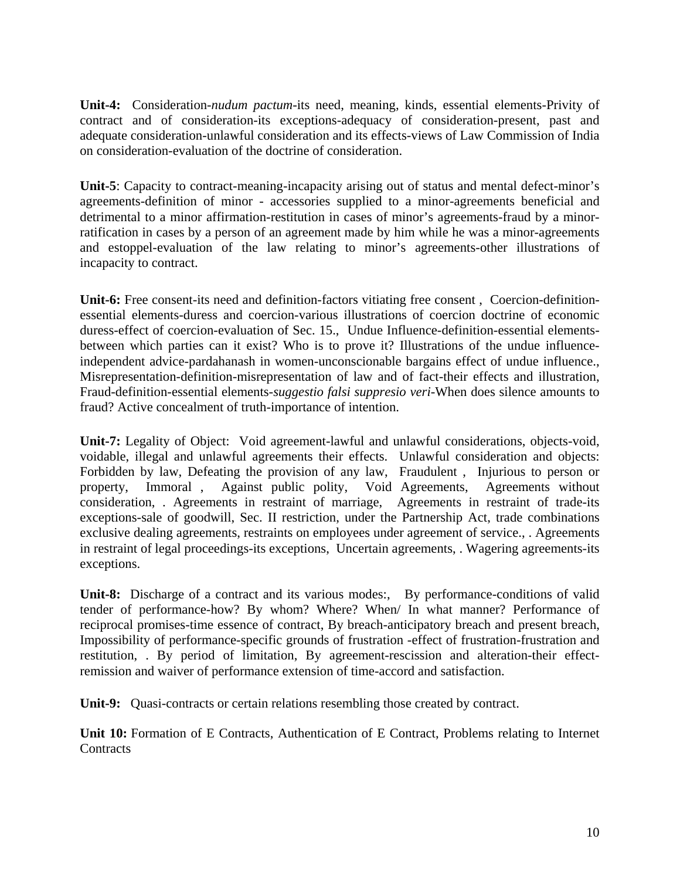**Unit-4:** Consideration-*nudum pactum*-its need, meaning, kinds, essential elements-Privity of contract and of consideration-its exceptions-adequacy of consideration-present, past and adequate consideration-unlawful consideration and its effects-views of Law Commission of India on consideration-evaluation of the doctrine of consideration.

**Unit-5**: Capacity to contract-meaning-incapacity arising out of status and mental defect-minor's agreements-definition of minor - accessories supplied to a minor-agreements beneficial and detrimental to a minor affirmation-restitution in cases of minor's agreements-fraud by a minorratification in cases by a person of an agreement made by him while he was a minor-agreements and estoppel-evaluation of the law relating to minor's agreements-other illustrations of incapacity to contract.

**Unit-6:** Free consent-its need and definition-factors vitiating free consent , Coercion-definitionessential elements-duress and coercion-various illustrations of coercion doctrine of economic duress-effect of coercion-evaluation of Sec. 15., Undue Influence-definition-essential elementsbetween which parties can it exist? Who is to prove it? Illustrations of the undue influenceindependent advice-pardahanash in women-unconscionable bargains effect of undue influence., Misrepresentation-definition-misrepresentation of law and of fact-their effects and illustration, Fraud-definition-essential elements-*suggestio falsi suppresio veri*-When does silence amounts to fraud? Active concealment of truth-importance of intention.

**Unit-7:** Legality of Object: Void agreement-lawful and unlawful considerations, objects-void, voidable, illegal and unlawful agreements their effects. Unlawful consideration and objects: Forbidden by law, Defeating the provision of any law, Fraudulent , Injurious to person or property, Immoral , Against public polity, Void Agreements, Agreements without consideration, . Agreements in restraint of marriage, Agreements in restraint of trade-its exceptions-sale of goodwill, Sec. II restriction, under the Partnership Act, trade combinations exclusive dealing agreements, restraints on employees under agreement of service., . Agreements in restraint of legal proceedings-its exceptions, Uncertain agreements, . Wagering agreements-its exceptions.

**Unit-8:** Discharge of a contract and its various modes:, By performance-conditions of valid tender of performance-how? By whom? Where? When/ In what manner? Performance of reciprocal promises-time essence of contract, By breach-anticipatory breach and present breach, Impossibility of performance-specific grounds of frustration -effect of frustration-frustration and restitution, . By period of limitation, By agreement-rescission and alteration-their effectremission and waiver of performance extension of time-accord and satisfaction.

**Unit-9:** Quasi-contracts or certain relations resembling those created by contract.

**Unit 10:** Formation of E Contracts, Authentication of E Contract, Problems relating to Internet **Contracts**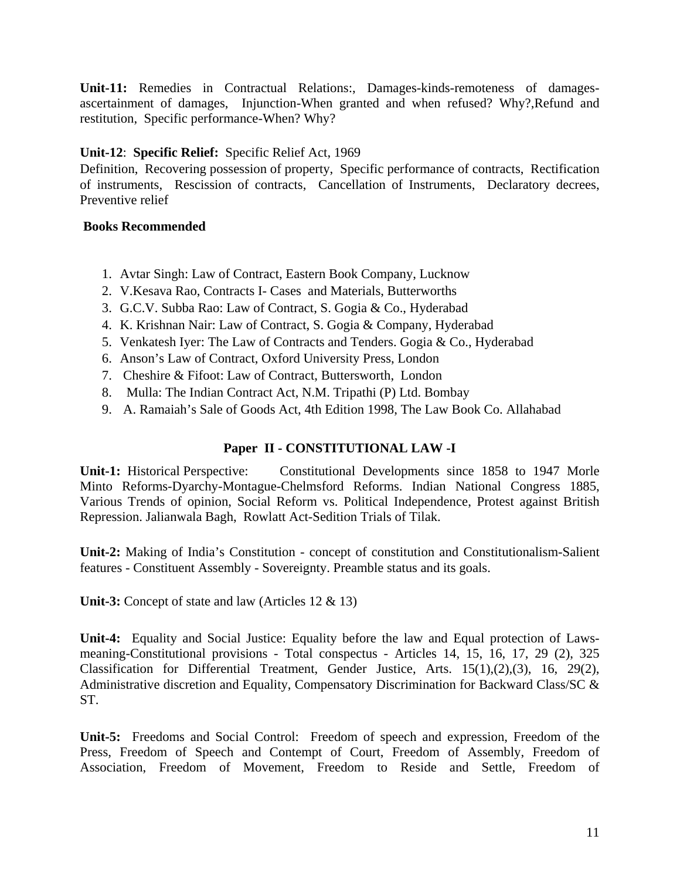**Unit-11:** Remedies in Contractual Relations:, Damages-kinds-remoteness of damagesascertainment of damages, Injunction-When granted and when refused? Why?,Refund and restitution, Specific performance-When? Why?

## **Unit-12**: **Specific Relief:** Specific Relief Act, 1969

Definition, Recovering possession of property, Specific performance of contracts, Rectification of instruments, Rescission of contracts, Cancellation of Instruments, Declaratory decrees, Preventive relief

### **Books Recommended**

- 1. Avtar Singh: Law of Contract, Eastern Book Company, Lucknow
- 2. V.Kesava Rao, Contracts I- Cases and Materials, Butterworths
- 3. G.C.V. Subba Rao: Law of Contract, S. Gogia & Co., Hyderabad
- 4. K. Krishnan Nair: Law of Contract, S. Gogia & Company, Hyderabad
- 5. Venkatesh Iyer: The Law of Contracts and Tenders. Gogia & Co., Hyderabad
- 6. Anson's Law of Contract, Oxford University Press, London
- 7. Cheshire & Fifoot: Law of Contract, Buttersworth, London
- 8. Mulla: The Indian Contract Act, N.M. Tripathi (P) Ltd. Bombay
- 9. A. Ramaiah's Sale of Goods Act, 4th Edition 1998, The Law Book Co. Allahabad

## **Paper II - CONSTITUTIONAL LAW -I**

**Unit-1:** Historical Perspective: Constitutional Developments since 1858 to 1947 Morle Minto Reforms-Dyarchy-Montague-Chelmsford Reforms. Indian National Congress 1885, Various Trends of opinion, Social Reform vs. Political Independence, Protest against British Repression. Jalianwala Bagh, Rowlatt Act-Sedition Trials of Tilak.

**Unit-2:** Making of India's Constitution - concept of constitution and Constitutionalism-Salient features - Constituent Assembly - Sovereignty. Preamble status and its goals.

**Unit-3:** Concept of state and law (Articles 12 & 13)

**Unit-4:** Equality and Social Justice: Equality before the law and Equal protection of Lawsmeaning-Constitutional provisions - Total conspectus - Articles 14, 15, 16, 17, 29 (2), 325 Classification for Differential Treatment, Gender Justice, Arts. 15(1),(2),(3), 16, 29(2), Administrative discretion and Equality, Compensatory Discrimination for Backward Class/SC & ST.

**Unit-5:** Freedoms and Social Control: Freedom of speech and expression, Freedom of the Press, Freedom of Speech and Contempt of Court, Freedom of Assembly, Freedom of Association, Freedom of Movement, Freedom to Reside and Settle, Freedom of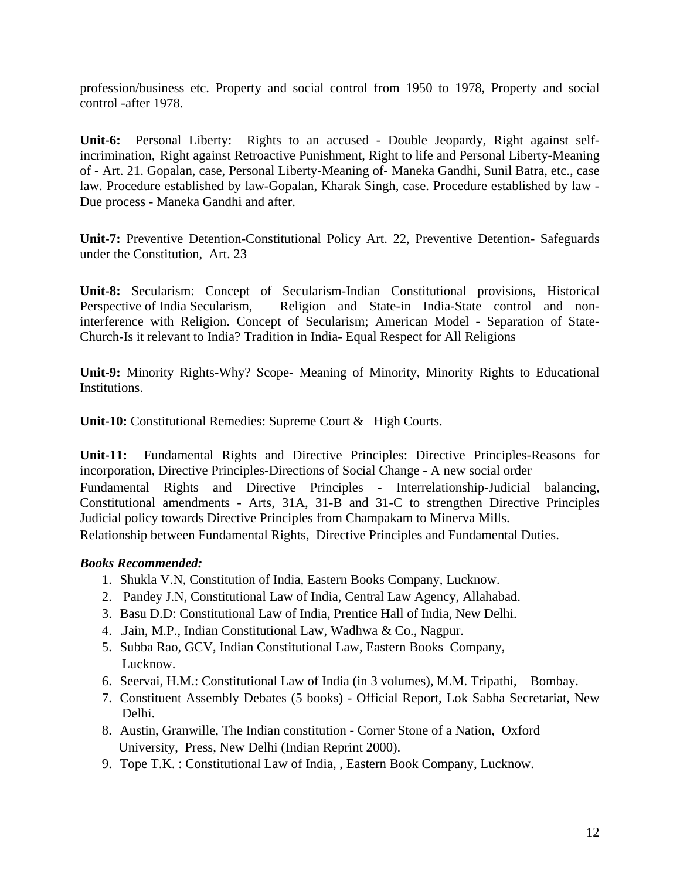profession/business etc. Property and social control from 1950 to 1978, Property and social control -after 1978.

**Unit-6:** Personal Liberty: Rights to an accused - Double Jeopardy, Right against selfincrimination, Right against Retroactive Punishment, Right to life and Personal Liberty-Meaning of - Art. 21. Gopalan, case, Personal Liberty-Meaning of- Maneka Gandhi, Sunil Batra, etc., case law. Procedure established by law-Gopalan, Kharak Singh, case. Procedure established by law - Due process - Maneka Gandhi and after.

**Unit-7:** Preventive Detention-Constitutional Policy Art. 22, Preventive Detention- Safeguards under the Constitution, Art. 23

**Unit-8:** Secularism: Concept of Secularism-Indian Constitutional provisions, Historical Perspective of India Secularism, Religion and State-in India-State control and noninterference with Religion. Concept of Secularism; American Model - Separation of State-Church-Is it relevant to India? Tradition in India- Equal Respect for All Religions

**Unit-9:** Minority Rights-Why? Scope- Meaning of Minority, Minority Rights to Educational Institutions.

**Unit-10:** Constitutional Remedies: Supreme Court & High Courts.

**Unit-11:** Fundamental Rights and Directive Principles: Directive Principles-Reasons for incorporation, Directive Principles-Directions of Social Change - A new social order Fundamental Rights and Directive Principles - Interrelationship-Judicial balancing, Constitutional amendments - Arts, 31A, 31-B and 31-C to strengthen Directive Principles Judicial policy towards Directive Principles from Champakam to Minerva Mills. Relationship between Fundamental Rights, Directive Principles and Fundamental Duties.

- 1. Shukla V.N, Constitution of India, Eastern Books Company, Lucknow.
- 2. Pandey J.N, Constitutional Law of India, Central Law Agency, Allahabad.
- 3. Basu D.D: Constitutional Law of India, Prentice Hall of India, New Delhi.
- 4. .Jain, M.P., Indian Constitutional Law, Wadhwa & Co., Nagpur.
- 5. Subba Rao, GCV, Indian Constitutional Law, Eastern Books Company, Lucknow.
- 6. Seervai, H.M.: Constitutional Law of India (in 3 volumes), M.M. Tripathi, Bombay.
- 7. Constituent Assembly Debates (5 books) Official Report, Lok Sabha Secretariat, New Delhi.
- 8. Austin, Granwille, The Indian constitution Corner Stone of a Nation, Oxford University, Press, New Delhi (Indian Reprint 2000).
- 9. Tope T.K. : Constitutional Law of India, , Eastern Book Company, Lucknow.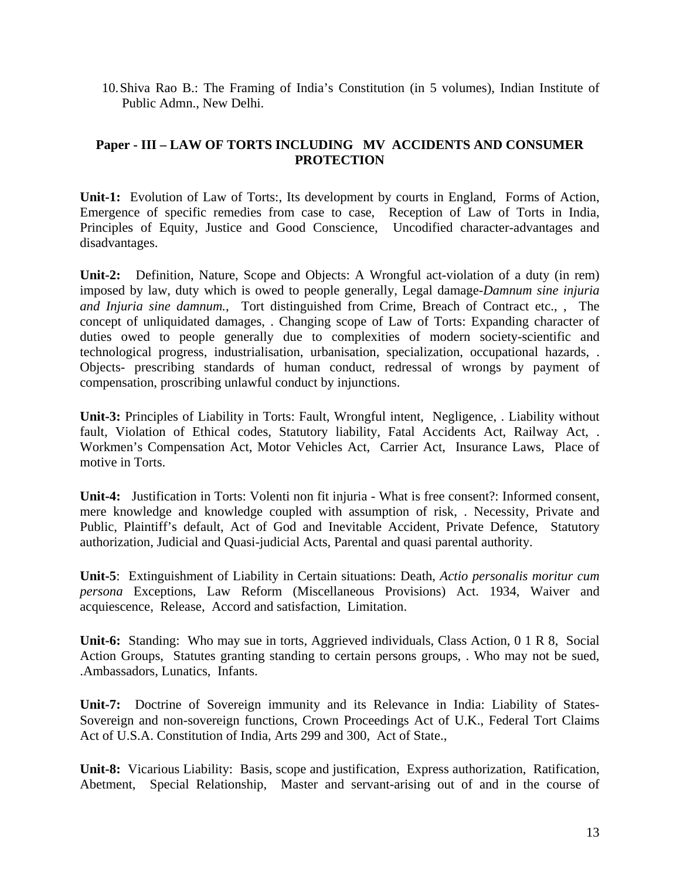10.Shiva Rao B.: The Framing of India's Constitution (in 5 volumes), Indian Institute of Public Admn., New Delhi.

## **Paper - III – LAW OF TORTS INCLUDING MV ACCIDENTS AND CONSUMER PROTECTION**

**Unit-1:** Evolution of Law of Torts:, Its development by courts in England, Forms of Action, Emergence of specific remedies from case to case, Reception of Law of Torts in India, Principles of Equity, Justice and Good Conscience, Uncodified character-advantages and disadvantages.

**Unit-2:** Definition, Nature, Scope and Objects: A Wrongful act-violation of a duty (in rem) imposed by law, duty which is owed to people generally, Legal damage-*Damnum sine injuria and Injuria sine damnum.*, Tort distinguished from Crime, Breach of Contract etc., , The concept of unliquidated damages, . Changing scope of Law of Torts: Expanding character of duties owed to people generally due to complexities of modern society-scientific and technological progress, industrialisation, urbanisation, specialization, occupational hazards, . Objects- prescribing standards of human conduct, redressal of wrongs by payment of compensation, proscribing unlawful conduct by injunctions.

**Unit-3:** Principles of Liability in Torts: Fault, Wrongful intent, Negligence, . Liability without fault, Violation of Ethical codes, Statutory liability, Fatal Accidents Act, Railway Act, . Workmen's Compensation Act, Motor Vehicles Act, Carrier Act, Insurance Laws, Place of motive in Torts.

**Unit-4:** Justification in Torts: Volenti non fit injuria - What is free consent?: Informed consent, mere knowledge and knowledge coupled with assumption of risk, . Necessity, Private and Public, Plaintiff's default, Act of God and Inevitable Accident, Private Defence, Statutory authorization, Judicial and Quasi-judicial Acts, Parental and quasi parental authority.

**Unit-5**: Extinguishment of Liability in Certain situations: Death, *Actio personalis moritur cum persona* Exceptions, Law Reform (Miscellaneous Provisions) Act. 1934, Waiver and acquiescence, Release, Accord and satisfaction, Limitation.

**Unit-6:** Standing: Who may sue in torts, Aggrieved individuals, Class Action, 0 1 R 8, Social Action Groups, Statutes granting standing to certain persons groups, . Who may not be sued, .Ambassadors, Lunatics, Infants.

**Unit-7:** Doctrine of Sovereign immunity and its Relevance in India: Liability of States-Sovereign and non-sovereign functions, Crown Proceedings Act of U.K., Federal Tort Claims Act of U.S.A. Constitution of India, Arts 299 and 300, Act of State.,

**Unit-8:** Vicarious Liability: Basis, scope and justification, Express authorization, Ratification, Abetment, Special Relationship, Master and servant-arising out of and in the course of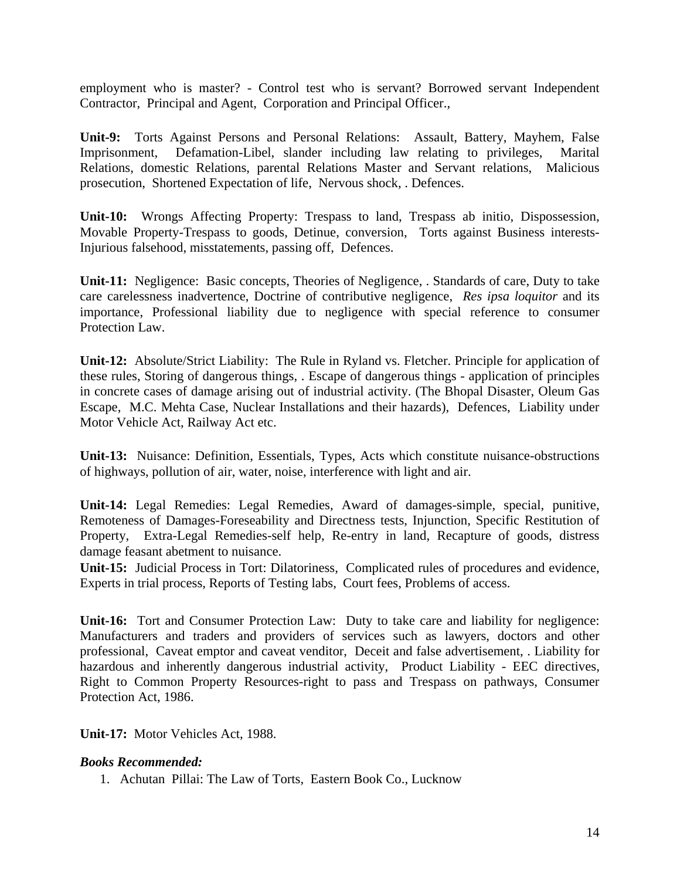employment who is master? - Control test who is servant? Borrowed servant Independent Contractor, Principal and Agent, Corporation and Principal Officer.,

**Unit-9:** Torts Against Persons and Personal Relations: Assault, Battery, Mayhem, False Imprisonment, Defamation-Libel, slander including law relating to privileges, Marital Relations, domestic Relations, parental Relations Master and Servant relations, Malicious prosecution, Shortened Expectation of life, Nervous shock, . Defences.

**Unit-10:** Wrongs Affecting Property: Trespass to land, Trespass ab initio, Dispossession, Movable Property-Trespass to goods, Detinue, conversion, Torts against Business interests-Injurious falsehood, misstatements, passing off, Defences.

**Unit-11:** Negligence: Basic concepts, Theories of Negligence, . Standards of care, Duty to take care carelessness inadvertence, Doctrine of contributive negligence, *Res ipsa loquitor* and its importance, Professional liability due to negligence with special reference to consumer Protection Law.

**Unit-12:** Absolute/Strict Liability: The Rule in Ryland vs. Fletcher. Principle for application of these rules, Storing of dangerous things, . Escape of dangerous things - application of principles in concrete cases of damage arising out of industrial activity. (The Bhopal Disaster, Oleum Gas Escape, M.C. Mehta Case, Nuclear Installations and their hazards), Defences, Liability under Motor Vehicle Act, Railway Act etc.

**Unit-13:** Nuisance: Definition, Essentials, Types, Acts which constitute nuisance-obstructions of highways, pollution of air, water, noise, interference with light and air.

**Unit-14:** Legal Remedies: Legal Remedies, Award of damages-simple, special, punitive, Remoteness of Damages-Foreseability and Directness tests, Injunction, Specific Restitution of Property, Extra-Legal Remedies-self help, Re-entry in land, Recapture of goods, distress damage feasant abetment to nuisance.

**Unit-15:** Judicial Process in Tort: Dilatoriness, Complicated rules of procedures and evidence, Experts in trial process, Reports of Testing labs, Court fees, Problems of access.

**Unit-16:** Tort and Consumer Protection Law: Duty to take care and liability for negligence: Manufacturers and traders and providers of services such as lawyers, doctors and other professional, Caveat emptor and caveat venditor, Deceit and false advertisement, . Liability for hazardous and inherently dangerous industrial activity, Product Liability - EEC directives, Right to Common Property Resources-right to pass and Trespass on pathways, Consumer Protection Act, 1986.

**Unit-17:** Motor Vehicles Act, 1988.

## *Books Recommended:*

1. Achutan Pillai: The Law of Torts, Eastern Book Co., Lucknow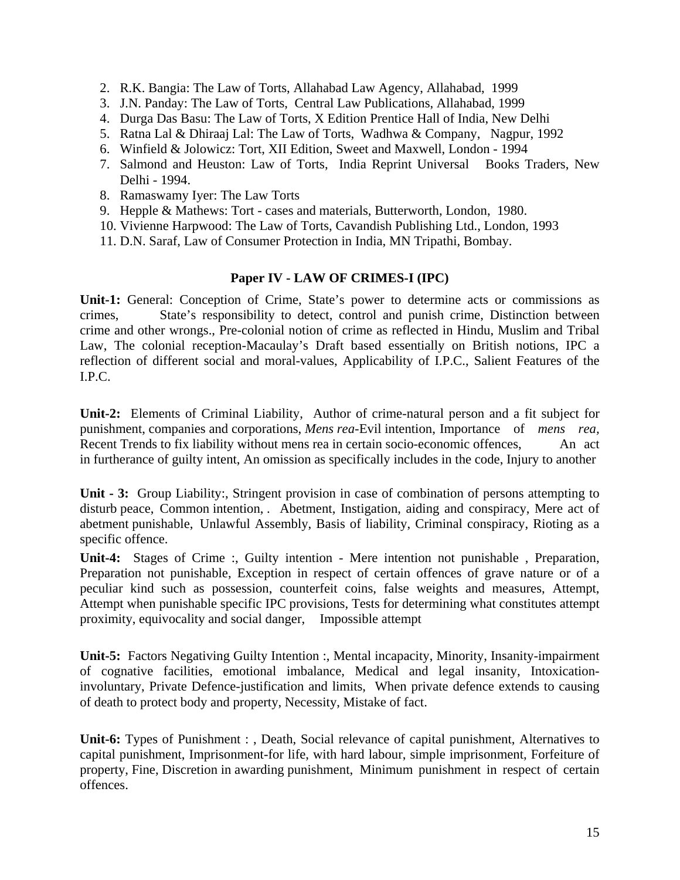- 2. R.K. Bangia: The Law of Torts, Allahabad Law Agency, Allahabad, 1999
- 3. J.N. Panday: The Law of Torts, Central Law Publications, Allahabad, 1999
- 4. Durga Das Basu: The Law of Torts, X Edition Prentice Hall of India, New Delhi
- 5. Ratna Lal & Dhiraaj Lal: The Law of Torts, Wadhwa & Company, Nagpur, 1992
- 6. Winfield & Jolowicz: Tort, XII Edition, Sweet and Maxwell, London 1994
- 7. Salmond and Heuston: Law of Torts, India Reprint Universal Books Traders, New Delhi - 1994.
- 8. Ramaswamy Iyer: The Law Torts
- 9. Hepple & Mathews: Tort cases and materials, Butterworth, London, 1980.
- 10. Vivienne Harpwood: The Law of Torts, Cavandish Publishing Ltd., London, 1993
- 11. D.N. Saraf, Law of Consumer Protection in India, MN Tripathi, Bombay.

### **Paper IV - LAW OF CRIMES-I (IPC)**

**Unit-1:** General: Conception of Crime, State's power to determine acts or commissions as crimes, State's responsibility to detect, control and punish crime, Distinction between crime and other wrongs., Pre-colonial notion of crime as reflected in Hindu, Muslim and Tribal Law, The colonial reception-Macaulay's Draft based essentially on British notions, IPC a reflection of different social and moral-values, Applicability of I.P.C., Salient Features of the I.P.C.

**Unit-2:** Elements of Criminal Liability, Author of crime-natural person and a fit subject for punishment, companies and corporations, *Mens rea*-Evil intention, Importance of *mens rea,* Recent Trends to fix liability without mens rea in certain socio-economic offences, An act in furtherance of guilty intent, An omission as specifically includes in the code, Injury to another

**Unit - 3:** Group Liability:, Stringent provision in case of combination of persons attempting to disturb peace, Common intention, . Abetment, Instigation, aiding and conspiracy, Mere act of abetment punishable, Unlawful Assembly, Basis of liability, Criminal conspiracy, Rioting as a specific offence.

**Unit-4:** Stages of Crime :, Guilty intention - Mere intention not punishable , Preparation, Preparation not punishable, Exception in respect of certain offences of grave nature or of a peculiar kind such as possession, counterfeit coins, false weights and measures, Attempt, Attempt when punishable specific IPC provisions, Tests for determining what constitutes attempt proximity, equivocality and social danger, Impossible attempt

**Unit-5:** Factors Negativing Guilty Intention :, Mental incapacity, Minority, Insanity-impairment of cognative facilities, emotional imbalance, Medical and legal insanity, Intoxicationinvoluntary, Private Defence-justification and limits, When private defence extends to causing of death to protect body and property, Necessity, Mistake of fact.

**Unit-6:** Types of Punishment : , Death, Social relevance of capital punishment, Alternatives to capital punishment, Imprisonment-for life, with hard labour, simple imprisonment, Forfeiture of property, Fine, Discretion in awarding punishment, Minimum punishment in respect of certain offences.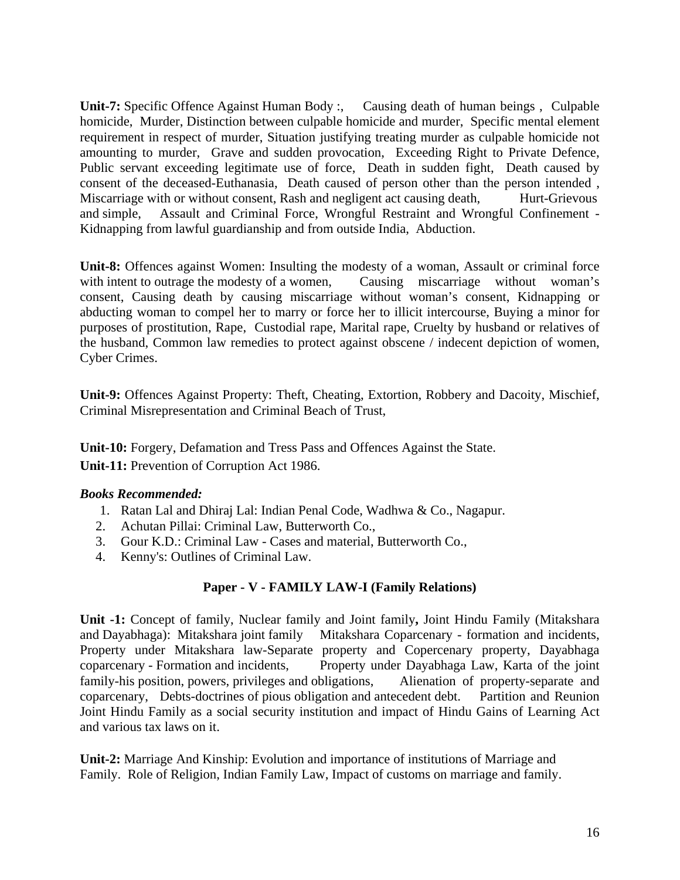**Unit-7:** Specific Offence Against Human Body :, Causing death of human beings , Culpable homicide, Murder, Distinction between culpable homicide and murder, Specific mental element requirement in respect of murder, Situation justifying treating murder as culpable homicide not amounting to murder, Grave and sudden provocation, Exceeding Right to Private Defence, Public servant exceeding legitimate use of force, Death in sudden fight, Death caused by consent of the deceased-Euthanasia, Death caused of person other than the person intended , Miscarriage with or without consent, Rash and negligent act causing death, Hurt-Grievous and simple, Assault and Criminal Force, Wrongful Restraint and Wrongful Confinement - Kidnapping from lawful guardianship and from outside India, Abduction.

**Unit-8:** Offences against Women: Insulting the modesty of a woman, Assault or criminal force with intent to outrage the modesty of a women, Causing miscarriage without woman's consent, Causing death by causing miscarriage without woman's consent, Kidnapping or abducting woman to compel her to marry or force her to illicit intercourse, Buying a minor for purposes of prostitution, Rape, Custodial rape, Marital rape, Cruelty by husband or relatives of the husband, Common law remedies to protect against obscene / indecent depiction of women, Cyber Crimes.

**Unit-9:** Offences Against Property: Theft, Cheating, Extortion, Robbery and Dacoity, Mischief, Criminal Misrepresentation and Criminal Beach of Trust,

**Unit-10:** Forgery, Defamation and Tress Pass and Offences Against the State. **Unit-11:** Prevention of Corruption Act 1986.

## *Books Recommended:*

- 1. Ratan Lal and Dhiraj Lal: Indian Penal Code, Wadhwa & Co., Nagapur.
- 2. Achutan Pillai: Criminal Law, Butterworth Co.,
- 3. Gour K.D.: Criminal Law Cases and material, Butterworth Co.,
- 4. Kenny's: Outlines of Criminal Law.

## **Paper - V - FAMILY LAW-I (Family Relations)**

**Unit -1:** Concept of family, Nuclear family and Joint family**,** Joint Hindu Family (Mitakshara and Dayabhaga): Mitakshara joint family Mitakshara Coparcenary - formation and incidents, Property under Mitakshara law-Separate property and Copercenary property, Dayabhaga coparcenary - Formation and incidents, Property under Dayabhaga Law, Karta of the joint family-his position, powers, privileges and obligations, Alienation of property-separate and coparcenary, Debts-doctrines of pious obligation and antecedent debt. Partition and Reunion Joint Hindu Family as a social security institution and impact of Hindu Gains of Learning Act and various tax laws on it.

**Unit-2:** Marriage And Kinship: Evolution and importance of institutions of Marriage and Family. Role of Religion, Indian Family Law, Impact of customs on marriage and family.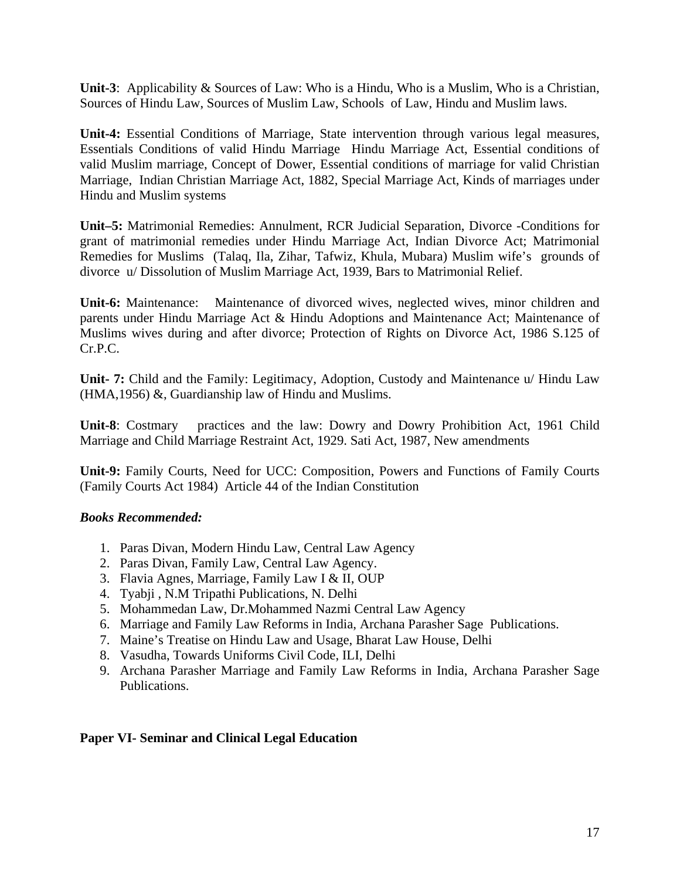**Unit-3**: Applicability & Sources of Law: Who is a Hindu, Who is a Muslim, Who is a Christian, Sources of Hindu Law, Sources of Muslim Law, Schools of Law, Hindu and Muslim laws.

**Unit-4:** Essential Conditions of Marriage, State intervention through various legal measures, Essentials Conditions of valid Hindu Marriage Hindu Marriage Act, Essential conditions of valid Muslim marriage, Concept of Dower, Essential conditions of marriage for valid Christian Marriage, Indian Christian Marriage Act, 1882, Special Marriage Act, Kinds of marriages under Hindu and Muslim systems

**Unit–5:** Matrimonial Remedies: Annulment, RCR Judicial Separation, Divorce -Conditions for grant of matrimonial remedies under Hindu Marriage Act, Indian Divorce Act; Matrimonial Remedies for Muslims (Talaq, Ila, Zihar, Tafwiz, Khula, Mubara) Muslim wife's grounds of divorce u/ Dissolution of Muslim Marriage Act, 1939, Bars to Matrimonial Relief.

**Unit-6:** Maintenance: Maintenance of divorced wives, neglected wives, minor children and parents under Hindu Marriage Act & Hindu Adoptions and Maintenance Act; Maintenance of Muslims wives during and after divorce; Protection of Rights on Divorce Act, 1986 S.125 of Cr.P.C.

**Unit- 7:** Child and the Family: Legitimacy, Adoption, Custody and Maintenance u/ Hindu Law (HMA,1956) &, Guardianship law of Hindu and Muslims.

**Unit-8**: Costmary practices and the law: Dowry and Dowry Prohibition Act, 1961 Child Marriage and Child Marriage Restraint Act, 1929. Sati Act, 1987, New amendments

**Unit-9:** Family Courts, Need for UCC: Composition, Powers and Functions of Family Courts (Family Courts Act 1984) Article 44 of the Indian Constitution

#### *Books Recommended:*

- 1. Paras Divan, Modern Hindu Law, Central Law Agency
- 2. Paras Divan, Family Law, Central Law Agency.
- 3. Flavia Agnes, Marriage, Family Law I & II, OUP
- 4. Tyabji , N.M Tripathi Publications, N. Delhi
- 5. Mohammedan Law, Dr.Mohammed Nazmi Central Law Agency
- 6. Marriage and Family Law Reforms in India, Archana Parasher Sage Publications.
- 7. Maine's Treatise on Hindu Law and Usage, Bharat Law House, Delhi
- 8. Vasudha, Towards Uniforms Civil Code, ILI, Delhi
- 9. Archana Parasher Marriage and Family Law Reforms in India, Archana Parasher Sage Publications.

#### **Paper VI- Seminar and Clinical Legal Education**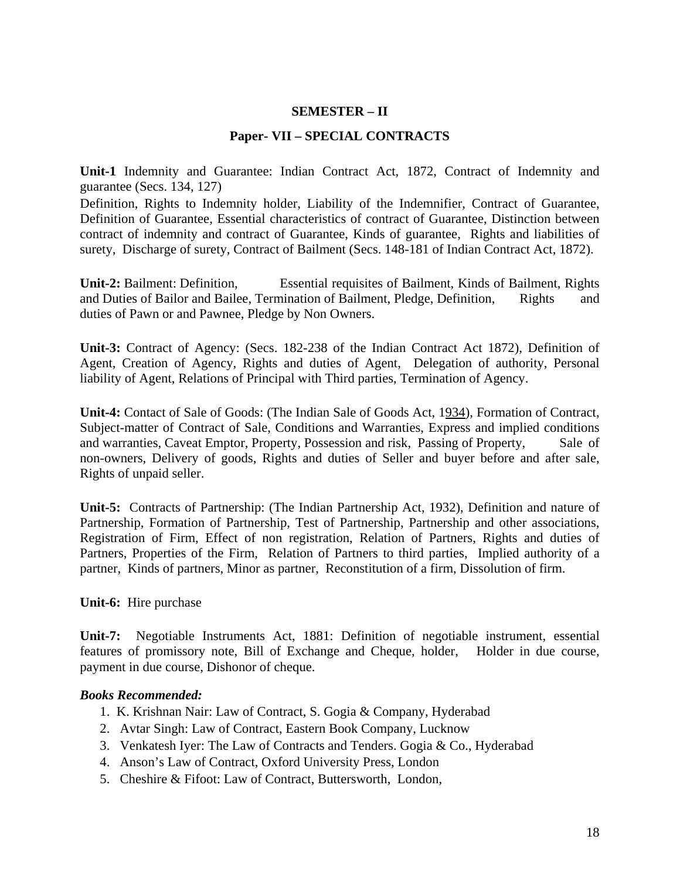#### **SEMESTER – II**

#### **Paper- VII – SPECIAL CONTRACTS**

**Unit-1** Indemnity and Guarantee: Indian Contract Act, 1872, Contract of Indemnity and guarantee (Secs. 134, 127)

Definition, Rights to Indemnity holder, Liability of the Indemnifier, Contract of Guarantee, Definition of Guarantee, Essential characteristics of contract of Guarantee, Distinction between contract of indemnity and contract of Guarantee, Kinds of guarantee, Rights and liabilities of surety, Discharge of surety, Contract of Bailment (Secs. 148-181 of Indian Contract Act, 1872).

**Unit-2:** Bailment: Definition, Essential requisites of Bailment, Kinds of Bailment, Rights and Duties of Bailor and Bailee, Termination of Bailment, Pledge, Definition, Rights and duties of Pawn or and Pawnee, Pledge by Non Owners.

**Unit-3:** Contract of Agency: (Secs. 182-238 of the Indian Contract Act 1872), Definition of Agent, Creation of Agency, Rights and duties of Agent, Delegation of authority, Personal liability of Agent, Relations of Principal with Third parties, Termination of Agency.

**Unit-4:** Contact of Sale of Goods: (The Indian Sale of Goods Act, 1934), Formation of Contract, Subject-matter of Contract of Sale, Conditions and Warranties, Express and implied conditions and warranties, Caveat Emptor, Property, Possession and risk, Passing of Property, Sale of non-owners, Delivery of goods, Rights and duties of Seller and buyer before and after sale, Rights of unpaid seller.

**Unit-5:** Contracts of Partnership: (The Indian Partnership Act, 1932), Definition and nature of Partnership, Formation of Partnership, Test of Partnership, Partnership and other associations, Registration of Firm, Effect of non registration, Relation of Partners, Rights and duties of Partners, Properties of the Firm, Relation of Partners to third parties, Implied authority of a partner, Kinds of partners, Minor as partner, Reconstitution of a firm, Dissolution of firm.

**Unit-6:** Hire purchase

**Unit-7:** Negotiable Instruments Act, 1881: Definition of negotiable instrument, essential features of promissory note, Bill of Exchange and Cheque, holder, Holder in due course, payment in due course, Dishonor of cheque.

- 1. K. Krishnan Nair: Law of Contract, S. Gogia & Company, Hyderabad
- 2. Avtar Singh: Law of Contract, Eastern Book Company, Lucknow
- 3. Venkatesh Iyer: The Law of Contracts and Tenders. Gogia & Co., Hyderabad
- 4. Anson's Law of Contract, Oxford University Press, London
- 5. Cheshire & Fifoot: Law of Contract, Buttersworth, London,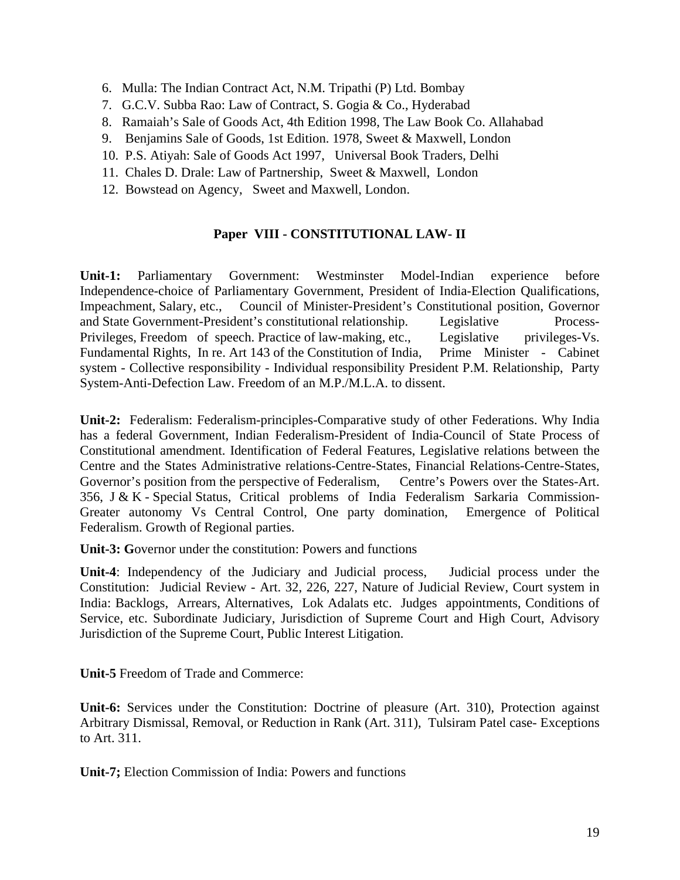- 6. Mulla: The Indian Contract Act, N.M. Tripathi (P) Ltd. Bombay
- 7. G.C.V. Subba Rao: Law of Contract, S. Gogia & Co., Hyderabad
- 8. Ramaiah's Sale of Goods Act, 4th Edition 1998, The Law Book Co. Allahabad
- 9. Benjamins Sale of Goods, 1st Edition. 1978, Sweet & Maxwell, London
- 10. P.S. Atiyah: Sale of Goods Act 1997, Universal Book Traders, Delhi
- 11. Chales D. Drale: Law of Partnership, Sweet & Maxwell, London
- 12. Bowstead on Agency, Sweet and Maxwell, London.

## **Paper VIII - CONSTITUTIONAL LAW- II**

**Unit-1:** Parliamentary Government: Westminster Model-Indian experience before Independence-choice of Parliamentary Government, President of India-Election Qualifications, Impeachment, Salary, etc., Council of Minister-President's Constitutional position, Governor and State Government-President's constitutional relationship. Legislative Process-Privileges, Freedom of speech. Practice of law-making, etc., Legislative privileges-Vs. Fundamental Rights, In re. Art 143 of the Constitution of India, Prime Minister - Cabinet system - Collective responsibility - Individual responsibility President P.M. Relationship, Party System-Anti-Defection Law. Freedom of an M.P./M.L.A. to dissent.

**Unit-2:** Federalism: Federalism-principles-Comparative study of other Federations. Why India has a federal Government, Indian Federalism-President of India-Council of State Process of Constitutional amendment. Identification of Federal Features, Legislative relations between the Centre and the States Administrative relations-Centre-States, Financial Relations-Centre-States, Governor's position from the perspective of Federalism, Centre's Powers over the States-Art. 356, J & K - Special Status, Critical problems of India Federalism Sarkaria Commission-Greater autonomy Vs Central Control, One party domination, Emergence of Political Federalism. Growth of Regional parties.

**Unit-3: G**overnor under the constitution: Powers and functions

**Unit-4**: Independency of the Judiciary and Judicial process, Judicial process under the Constitution: Judicial Review - Art. 32, 226, 227, Nature of Judicial Review, Court system in India: Backlogs, Arrears, Alternatives, Lok Adalats etc. Judges appointments, Conditions of Service, etc. Subordinate Judiciary, Jurisdiction of Supreme Court and High Court, Advisory Jurisdiction of the Supreme Court, Public Interest Litigation.

**Unit-5** Freedom of Trade and Commerce:

**Unit-6:** Services under the Constitution: Doctrine of pleasure (Art. 310), Protection against Arbitrary Dismissal, Removal, or Reduction in Rank (Art. 311), Tulsiram Patel case- Exceptions to Art. 311.

**Unit-7;** Election Commission of India: Powers and functions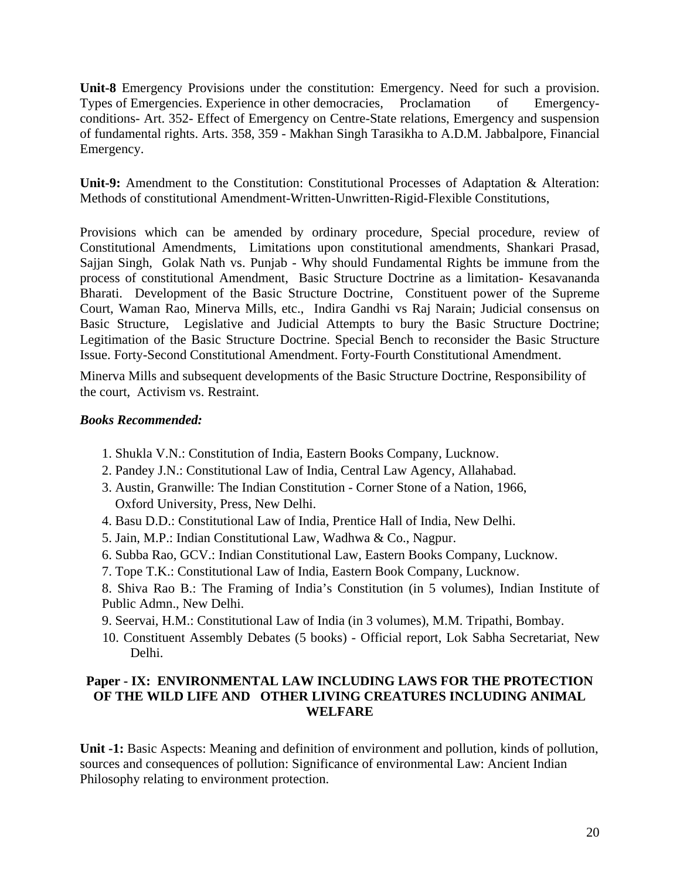**Unit-8** Emergency Provisions under the constitution: Emergency. Need for such a provision. Types of Emergencies. Experience in other democracies, Proclamation of Emergencyconditions- Art. 352- Effect of Emergency on Centre-State relations, Emergency and suspension of fundamental rights. Arts. 358, 359 - Makhan Singh Tarasikha to A.D.M. Jabbalpore, Financial Emergency.

Unit-9: Amendment to the Constitution: Constitutional Processes of Adaptation & Alteration: Methods of constitutional Amendment-Written-Unwritten-Rigid-Flexible Constitutions,

Provisions which can be amended by ordinary procedure, Special procedure, review of Constitutional Amendments, Limitations upon constitutional amendments, Shankari Prasad, Sajjan Singh, Golak Nath vs. Punjab - Why should Fundamental Rights be immune from the process of constitutional Amendment, Basic Structure Doctrine as a limitation- Kesavananda Bharati. Development of the Basic Structure Doctrine, Constituent power of the Supreme Court, Waman Rao, Minerva Mills, etc., Indira Gandhi vs Raj Narain; Judicial consensus on Basic Structure, Legislative and Judicial Attempts to bury the Basic Structure Doctrine; Legitimation of the Basic Structure Doctrine. Special Bench to reconsider the Basic Structure Issue. Forty-Second Constitutional Amendment. Forty-Fourth Constitutional Amendment.

Minerva Mills and subsequent developments of the Basic Structure Doctrine, Responsibility of the court, Activism vs. Restraint.

### *Books Recommended:*

- 1. Shukla V.N.: Constitution of India, Eastern Books Company, Lucknow.
- 2. Pandey J.N.: Constitutional Law of India, Central Law Agency, Allahabad.
- 3. Austin, Granwille: The Indian Constitution Corner Stone of a Nation, 1966, Oxford University, Press, New Delhi.
- 4. Basu D.D.: Constitutional Law of India, Prentice Hall of India, New Delhi.
- 5. Jain, M.P.: Indian Constitutional Law, Wadhwa & Co., Nagpur.
- 6. Subba Rao, GCV.: Indian Constitutional Law, Eastern Books Company, Lucknow.
- 7. Tope T.K.: Constitutional Law of India, Eastern Book Company, Lucknow.
- 8. Shiva Rao B.: The Framing of India's Constitution (in 5 volumes), Indian Institute of Public Admn., New Delhi.
- 9. Seervai, H.M.: Constitutional Law of India (in 3 volumes), M.M. Tripathi, Bombay.
- 10. Constituent Assembly Debates (5 books) Official report, Lok Sabha Secretariat, New Delhi.

### **Paper - IX: ENVIRONMENTAL LAW INCLUDING LAWS FOR THE PROTECTION OF THE WILD LIFE AND OTHER LIVING CREATURES INCLUDING ANIMAL WELFARE**

**Unit -1:** Basic Aspects: Meaning and definition of environment and pollution, kinds of pollution, sources and consequences of pollution: Significance of environmental Law: Ancient Indian Philosophy relating to environment protection.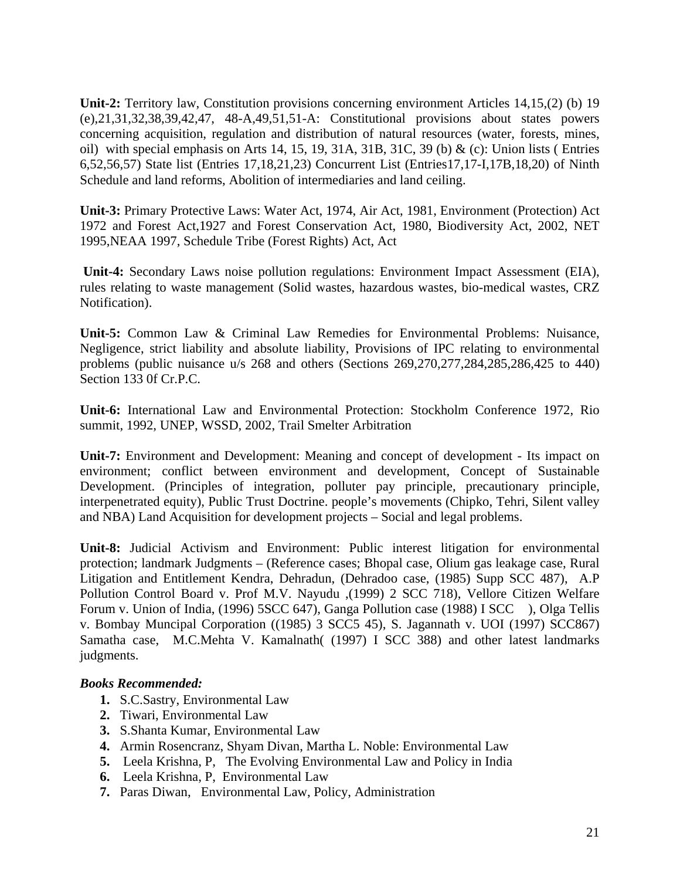**Unit-2:** Territory law, Constitution provisions concerning environment Articles 14,15,(2) (b) 19 (e),21,31,32,38,39,42,47, 48-A,49,51,51-A: Constitutional provisions about states powers concerning acquisition, regulation and distribution of natural resources (water, forests, mines, oil) with special emphasis on Arts 14, 15, 19, 31A, 31B, 31C, 39 (b)  $\&$  (c): Union lists (Entries 6,52,56,57) State list (Entries 17,18,21,23) Concurrent List (Entries17,17-I,17B,18,20) of Ninth Schedule and land reforms, Abolition of intermediaries and land ceiling.

**Unit-3:** Primary Protective Laws: Water Act, 1974, Air Act, 1981, Environment (Protection) Act 1972 and Forest Act,1927 and Forest Conservation Act, 1980, Biodiversity Act, 2002, NET 1995,NEAA 1997, Schedule Tribe (Forest Rights) Act, Act

**Unit-4:** Secondary Laws noise pollution regulations: Environment Impact Assessment (EIA), rules relating to waste management (Solid wastes, hazardous wastes, bio-medical wastes, CRZ Notification).

**Unit-5:** Common Law & Criminal Law Remedies for Environmental Problems: Nuisance, Negligence, strict liability and absolute liability, Provisions of IPC relating to environmental problems (public nuisance u/s 268 and others (Sections 269,270,277,284,285,286,425 to 440) Section 133 0f Cr.P.C.

**Unit-6:** International Law and Environmental Protection: Stockholm Conference 1972, Rio summit, 1992, UNEP, WSSD, 2002, Trail Smelter Arbitration

**Unit-7:** Environment and Development: Meaning and concept of development - Its impact on environment; conflict between environment and development, Concept of Sustainable Development. (Principles of integration, polluter pay principle, precautionary principle, interpenetrated equity), Public Trust Doctrine. people's movements (Chipko, Tehri, Silent valley and NBA) Land Acquisition for development projects – Social and legal problems.

**Unit-8:** Judicial Activism and Environment: Public interest litigation for environmental protection; landmark Judgments – (Reference cases; Bhopal case, Olium gas leakage case, Rural Litigation and Entitlement Kendra, Dehradun, (Dehradoo case, (1985) Supp SCC 487), A.P Pollution Control Board v. Prof M.V. Nayudu ,(1999) 2 SCC 718), Vellore Citizen Welfare Forum v. Union of India, (1996) 5SCC 647), Ganga Pollution case (1988) I SCC ), Olga Tellis v. Bombay Muncipal Corporation ((1985) 3 SCC5 45), S. Jagannath v. UOI (1997) SCC867) Samatha case, M.C.Mehta V. Kamalnath( (1997) I SCC 388) and other latest landmarks judgments.

- **1.** S.C.Sastry, Environmental Law
- **2.** Tiwari, Environmental Law
- **3.** S.Shanta Kumar, Environmental Law
- **4.** Armin Rosencranz, Shyam Divan, Martha L. Noble: Environmental Law
- **5.** Leela Krishna, P, The Evolving Environmental Law and Policy in India
- **6.** Leela Krishna, P, Environmental Law
- **7.** Paras Diwan, Environmental Law, Policy, Administration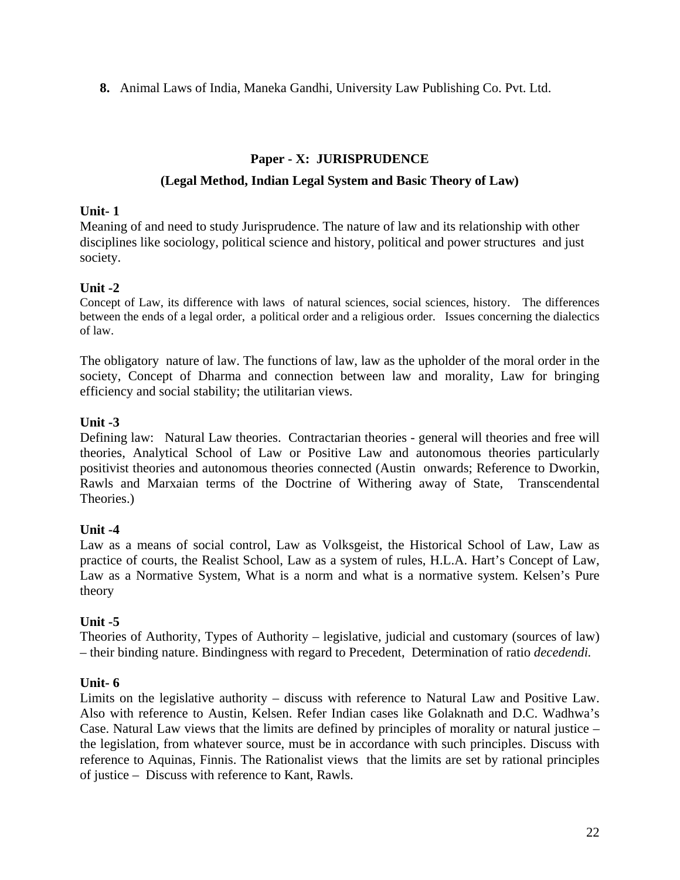**8.** Animal Laws of India, Maneka Gandhi, University Law Publishing Co. Pvt. Ltd.

## **Paper - X: JURISPRUDENCE**

## **(Legal Method, Indian Legal System and Basic Theory of Law)**

### **Unit- 1**

Meaning of and need to study Jurisprudence. The nature of law and its relationship with other disciplines like sociology, political science and history, political and power structures and just society.

## **Unit -2**

Concept of Law, its difference with laws of natural sciences, social sciences, history. The differences between the ends of a legal order, a political order and a religious order. Issues concerning the dialectics of law.

The obligatory nature of law. The functions of law, law as the upholder of the moral order in the society, Concept of Dharma and connection between law and morality, Law for bringing efficiency and social stability; the utilitarian views.

## **Unit -3**

Defining law: Natural Law theories. Contractarian theories - general will theories and free will theories, Analytical School of Law or Positive Law and autonomous theories particularly positivist theories and autonomous theories connected (Austin onwards; Reference to Dworkin, Rawls and Marxaian terms of the Doctrine of Withering away of State, Transcendental Theories.)

## **Unit -4**

Law as a means of social control, Law as Volksgeist, the Historical School of Law, Law as practice of courts, the Realist School, Law as a system of rules, H.L.A. Hart's Concept of Law, Law as a Normative System, What is a norm and what is a normative system. Kelsen's Pure theory

## **Unit -5**

Theories of Authority, Types of Authority – legislative, judicial and customary (sources of law) – their binding nature. Bindingness with regard to Precedent, Determination of ratio *decedendi.*

## **Unit- 6**

Limits on the legislative authority – discuss with reference to Natural Law and Positive Law. Also with reference to Austin, Kelsen. Refer Indian cases like Golaknath and D.C. Wadhwa's Case. Natural Law views that the limits are defined by principles of morality or natural justice – the legislation, from whatever source, must be in accordance with such principles. Discuss with reference to Aquinas, Finnis. The Rationalist views that the limits are set by rational principles of justice – Discuss with reference to Kant, Rawls.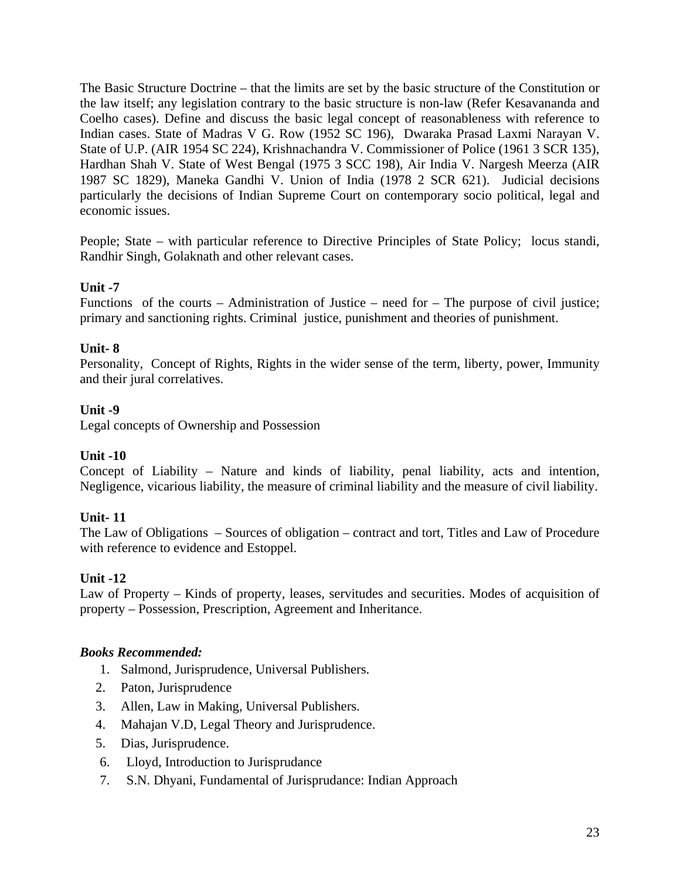The Basic Structure Doctrine – that the limits are set by the basic structure of the Constitution or the law itself; any legislation contrary to the basic structure is non-law (Refer Kesavananda and Coelho cases). Define and discuss the basic legal concept of reasonableness with reference to Indian cases. State of Madras V G. Row (1952 SC 196), Dwaraka Prasad Laxmi Narayan V. State of U.P. (AIR 1954 SC 224), Krishnachandra V. Commissioner of Police (1961 3 SCR 135), Hardhan Shah V. State of West Bengal (1975 3 SCC 198), Air India V. Nargesh Meerza (AIR 1987 SC 1829), Maneka Gandhi V. Union of India (1978 2 SCR 621). Judicial decisions particularly the decisions of Indian Supreme Court on contemporary socio political, legal and economic issues.

People; State – with particular reference to Directive Principles of State Policy; locus standi, Randhir Singh, Golaknath and other relevant cases.

## **Unit -7**

Functions of the courts – Administration of Justice – need for – The purpose of civil justice; primary and sanctioning rights. Criminal justice, punishment and theories of punishment.

## **Unit- 8**

Personality, Concept of Rights, Rights in the wider sense of the term, liberty, power, Immunity and their jural correlatives.

## **Unit -9**

Legal concepts of Ownership and Possession

## **Unit -10**

Concept of Liability – Nature and kinds of liability, penal liability, acts and intention, Negligence, vicarious liability, the measure of criminal liability and the measure of civil liability.

## **Unit- 11**

The Law of Obligations – Sources of obligation – contract and tort, Titles and Law of Procedure with reference to evidence and Estoppel.

## **Unit -12**

Law of Property – Kinds of property, leases, servitudes and securities. Modes of acquisition of property – Possession, Prescription, Agreement and Inheritance.

- 1. Salmond, Jurisprudence, Universal Publishers.
- 2. Paton, Jurisprudence
- 3. Allen, Law in Making, Universal Publishers.
- 4. Mahajan V.D, Legal Theory and Jurisprudence.
- 5. Dias, Jurisprudence.
- 6. Lloyd, Introduction to Jurisprudance
- 7. S.N. Dhyani, Fundamental of Jurisprudance: Indian Approach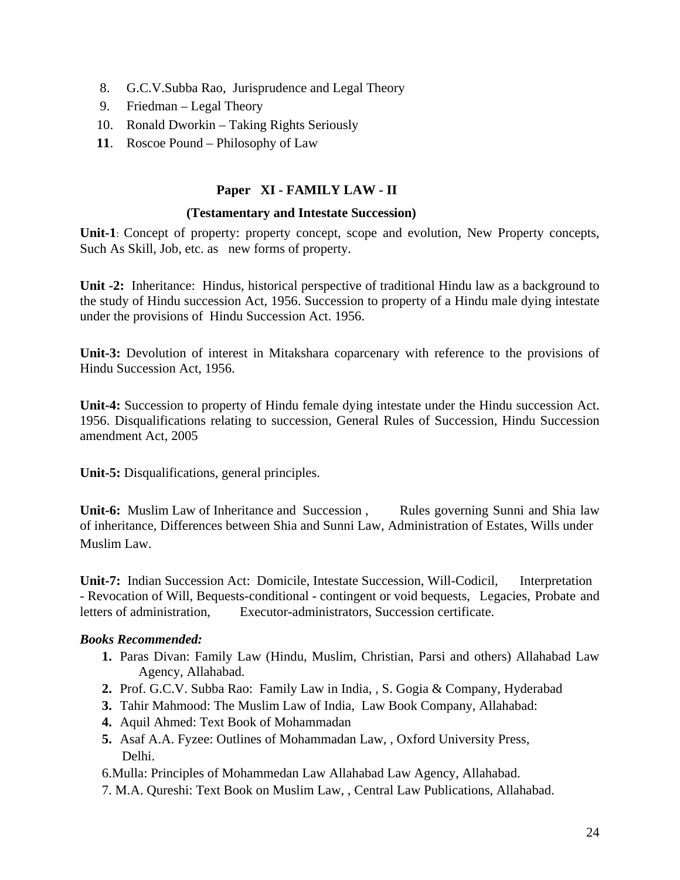- 8. G.C.V.Subba Rao, Jurisprudence and Legal Theory
- 9. Friedman Legal Theory
- 10. Ronald Dworkin Taking Rights Seriously
- **11**. Roscoe Pound Philosophy of Law

## **Paper XI - FAMILY LAW - II**

#### **(Testamentary and Intestate Succession)**

**Unit-1**: Concept of property: property concept, scope and evolution, New Property concepts, Such As Skill, Job, etc. as new forms of property.

**Unit -2:** Inheritance: Hindus, historical perspective of traditional Hindu law as a background to the study of Hindu succession Act, 1956. Succession to property of a Hindu male dying intestate under the provisions of Hindu Succession Act. 1956.

**Unit-3:** Devolution of interest in Mitakshara coparcenary with reference to the provisions of Hindu Succession Act, 1956.

**Unit-4:** Succession to property of Hindu female dying intestate under the Hindu succession Act. 1956. Disqualifications relating to succession, General Rules of Succession, Hindu Succession amendment Act, 2005

**Unit-5:** Disqualifications, general principles.

**Unit-6:** Muslim Law of Inheritance and Succession , Rules governing Sunni and Shia law of inheritance, Differences between Shia and Sunni Law, Administration of Estates, Wills under Muslim Law.

**Unit-7:** Indian Succession Act: Domicile, Intestate Succession, Will-Codicil, Interpretation - Revocation of Will, Bequests-conditional - contingent or void bequests, Legacies, Probate and letters of administration, Executor-administrators, Succession certificate.

## *Books Recommended:*

- **1.** Paras Divan: Family Law (Hindu, Muslim, Christian, Parsi and others) Allahabad Law Agency, Allahabad.
- **2.** Prof. G.C.V. Subba Rao: Family Law in India, , S. Gogia & Company, Hyderabad
- **3.** Tahir Mahmood: The Muslim Law of India, Law Book Company, Allahabad:
- **4.** Aquil Ahmed: Text Book of Mohammadan
- **5.** Asaf A.A. Fyzee: Outlines of Mohammadan Law, , Oxford University Press, Delhi.

6.Mulla: Principles of Mohammedan Law Allahabad Law Agency, Allahabad.

7. M.A. Qureshi: Text Book on Muslim Law, , Central Law Publications, Allahabad.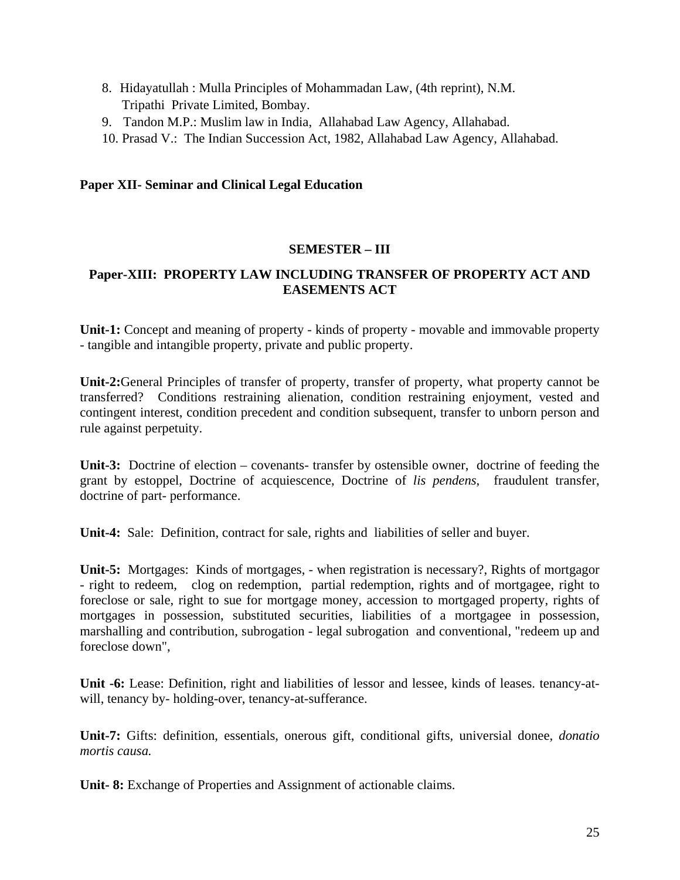- 8. Hidayatullah : Mulla Principles of Mohammadan Law, (4th reprint), N.M. Tripathi Private Limited, Bombay.
- 9. Tandon M.P.: Muslim law in India, Allahabad Law Agency, Allahabad.
- 10. Prasad V.: The Indian Succession Act, 1982, Allahabad Law Agency, Allahabad.

### **Paper XII- Seminar and Clinical Legal Education**

#### **SEMESTER – III**

### **Paper-XIII: PROPERTY LAW INCLUDING TRANSFER OF PROPERTY ACT AND EASEMENTS ACT**

**Unit-1:** Concept and meaning of property - kinds of property - movable and immovable property - tangible and intangible property, private and public property.

**Unit-2:**General Principles of transfer of property, transfer of property, what property cannot be transferred? Conditions restraining alienation, condition restraining enjoyment, vested and contingent interest, condition precedent and condition subsequent, transfer to unborn person and rule against perpetuity.

**Unit-3:** Doctrine of election – covenants- transfer by ostensible owner, doctrine of feeding the grant by estoppel, Doctrine of acquiescence, Doctrine of *lis pendens*, fraudulent transfer, doctrine of part- performance.

**Unit-4:** Sale: Definition, contract for sale, rights and liabilities of seller and buyer.

**Unit-5:** Mortgages: Kinds of mortgages, - when registration is necessary?, Rights of mortgagor - right to redeem, clog on redemption, partial redemption, rights and of mortgagee, right to foreclose or sale, right to sue for mortgage money, accession to mortgaged property, rights of mortgages in possession, substituted securities, liabilities of a mortgagee in possession, marshalling and contribution, subrogation - legal subrogation and conventional, "redeem up and foreclose down",

**Unit -6:** Lease: Definition, right and liabilities of lessor and lessee, kinds of leases. tenancy-atwill, tenancy by- holding-over, tenancy-at-sufferance.

**Unit-7:** Gifts: definition, essentials, onerous gift, conditional gifts, universial donee, *donatio mortis causa.* 

Unit- 8: Exchange of Properties and Assignment of actionable claims.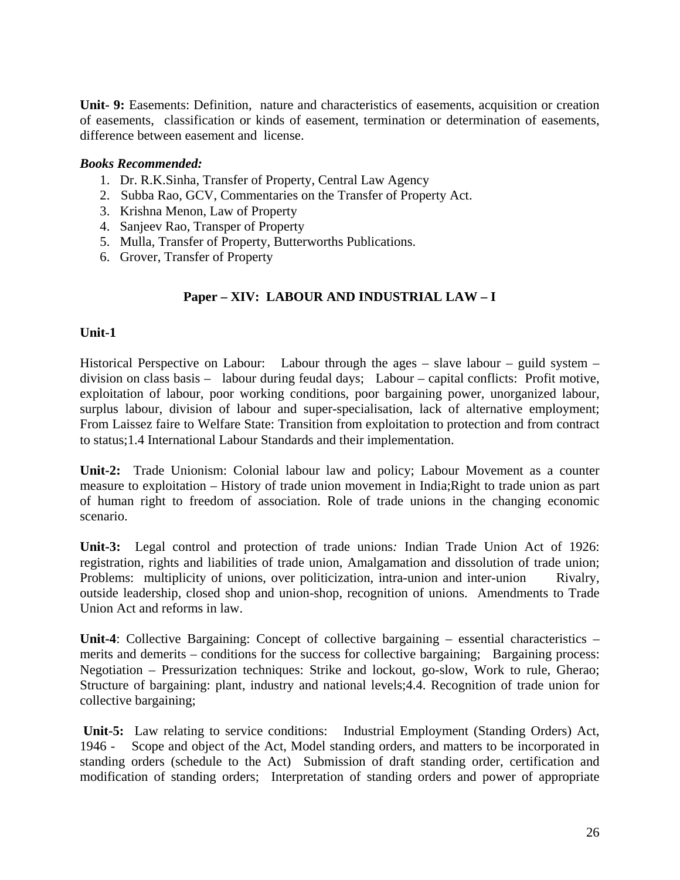**Unit- 9:** Easements: Definition, nature and characteristics of easements, acquisition or creation of easements, classification or kinds of easement, termination or determination of easements, difference between easement and license.

### *Books Recommended:*

- 1. Dr. R.K.Sinha, Transfer of Property, Central Law Agency
- 2. Subba Rao, GCV, Commentaries on the Transfer of Property Act.
- 3. Krishna Menon, Law of Property
- 4. Sanjeev Rao, Transper of Property
- 5. Mulla, Transfer of Property, Butterworths Publications.
- 6. Grover, Transfer of Property

## **Paper – XIV: LABOUR AND INDUSTRIAL LAW – I**

#### **Unit-1**

Historical Perspective on Labour: Labour through the ages – slave labour – guild system – division on class basis – labour during feudal days; Labour – capital conflicts: Profit motive, exploitation of labour, poor working conditions, poor bargaining power, unorganized labour, surplus labour, division of labour and super-specialisation, lack of alternative employment; From Laissez faire to Welfare State: Transition from exploitation to protection and from contract to status;1.4 International Labour Standards and their implementation.

**Unit-2:** Trade Unionism: Colonial labour law and policy; Labour Movement as a counter measure to exploitation – History of trade union movement in India;Right to trade union as part of human right to freedom of association. Role of trade unions in the changing economic scenario.

**Unit-3:** Legal control and protection of trade unions*:* Indian Trade Union Act of 1926: registration, rights and liabilities of trade union, Amalgamation and dissolution of trade union; Problems: multiplicity of unions, over politicization, intra-union and inter-union Rivalry, outside leadership, closed shop and union-shop, recognition of unions. Amendments to Trade Union Act and reforms in law.

**Unit-4**: Collective Bargaining: Concept of collective bargaining – essential characteristics – merits and demerits – conditions for the success for collective bargaining; Bargaining process: Negotiation – Pressurization techniques: Strike and lockout, go-slow, Work to rule, Gherao; Structure of bargaining: plant, industry and national levels;4.4. Recognition of trade union for collective bargaining;

 **Unit-5:** Law relating to service conditions: Industrial Employment (Standing Orders) Act, 1946 - Scope and object of the Act, Model standing orders, and matters to be incorporated in standing orders (schedule to the Act) Submission of draft standing order, certification and modification of standing orders; Interpretation of standing orders and power of appropriate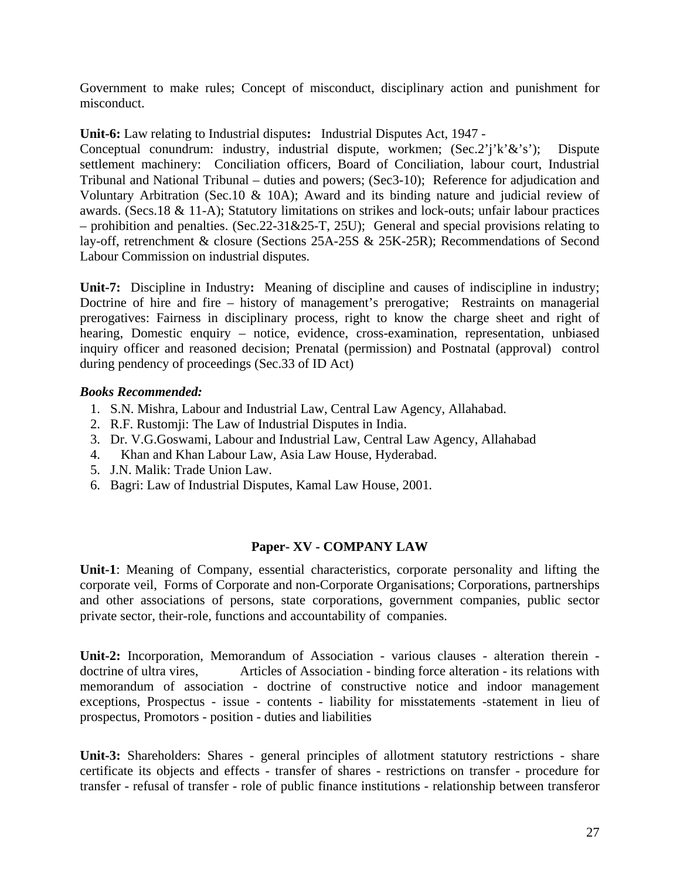Government to make rules; Concept of misconduct, disciplinary action and punishment for misconduct.

**Unit-6:** Law relating to Industrial disputes**:** Industrial Disputes Act, 1947 -

Conceptual conundrum: industry, industrial dispute, workmen; (Sec.2'j'k'&'s'); Dispute settlement machinery: Conciliation officers, Board of Conciliation, labour court, Industrial Tribunal and National Tribunal – duties and powers; (Sec3-10); Reference for adjudication and Voluntary Arbitration (Sec.10 & 10A); Award and its binding nature and judicial review of awards. (Secs.18 & 11-A); Statutory limitations on strikes and lock-outs; unfair labour practices – prohibition and penalties. (Sec.22-31&25-T, 25U); General and special provisions relating to lay-off, retrenchment & closure (Sections 25A-25S & 25K-25R); Recommendations of Second Labour Commission on industrial disputes.

**Unit-7:** Discipline in Industry**:** Meaning of discipline and causes of indiscipline in industry; Doctrine of hire and fire – history of management's prerogative; Restraints on managerial prerogatives: Fairness in disciplinary process, right to know the charge sheet and right of hearing, Domestic enquiry – notice, evidence, cross-examination, representation, unbiased inquiry officer and reasoned decision; Prenatal (permission) and Postnatal (approval) control during pendency of proceedings (Sec.33 of ID Act)

### *Books Recommended:*

- 1. S.N. Mishra, Labour and Industrial Law, Central Law Agency, Allahabad.
- 2. R.F. Rustomji: The Law of Industrial Disputes in India.
- 3. Dr. V.G.Goswami, Labour and Industrial Law, Central Law Agency, Allahabad
- 4. Khan and Khan Labour Law, Asia Law House, Hyderabad.
- 5. J.N. Malik: Trade Union Law.
- 6. Bagri: Law of Industrial Disputes, Kamal Law House, 2001**.**

#### **Paper- XV - COMPANY LAW**

**Unit-1**: Meaning of Company, essential characteristics, corporate personality and lifting the corporate veil, Forms of Corporate and non-Corporate Organisations; Corporations, partnerships and other associations of persons, state corporations, government companies, public sector private sector, their-role, functions and accountability of companies.

**Unit-2:** Incorporation, Memorandum of Association - various clauses - alteration therein doctrine of ultra vires, Articles of Association - binding force alteration - its relations with memorandum of association - doctrine of constructive notice and indoor management exceptions, Prospectus - issue - contents - liability for misstatements -statement in lieu of prospectus, Promotors - position - duties and liabilities

**Unit-3:** Shareholders: Shares - general principles of allotment statutory restrictions - share certificate its objects and effects - transfer of shares - restrictions on transfer - procedure for transfer - refusal of transfer - role of public finance institutions - relationship between transferor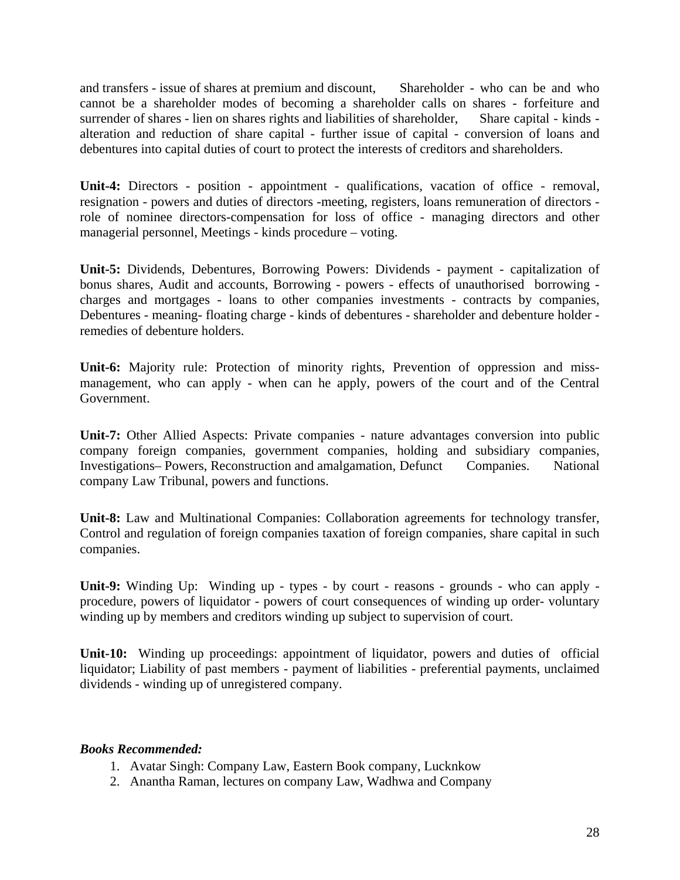and transfers - issue of shares at premium and discount, Shareholder - who can be and who cannot be a shareholder modes of becoming a shareholder calls on shares - forfeiture and surrender of shares - lien on shares rights and liabilities of shareholder, Share capital - kinds alteration and reduction of share capital - further issue of capital - conversion of loans and debentures into capital duties of court to protect the interests of creditors and shareholders.

**Unit-4:** Directors - position - appointment - qualifications, vacation of office - removal, resignation - powers and duties of directors -meeting, registers, loans remuneration of directors role of nominee directors-compensation for loss of office - managing directors and other managerial personnel, Meetings - kinds procedure – voting.

**Unit-5:** Dividends, Debentures, Borrowing Powers: Dividends - payment - capitalization of bonus shares, Audit and accounts, Borrowing - powers - effects of unauthorised borrowing charges and mortgages - loans to other companies investments - contracts by companies, Debentures - meaning- floating charge - kinds of debentures - shareholder and debenture holder remedies of debenture holders.

**Unit-6:** Majority rule: Protection of minority rights, Prevention of oppression and missmanagement, who can apply - when can he apply, powers of the court and of the Central Government.

**Unit-7:** Other Allied Aspects: Private companies - nature advantages conversion into public company foreign companies, government companies, holding and subsidiary companies, Investigations– Powers, Reconstruction and amalgamation, Defunct Companies. National company Law Tribunal, powers and functions.

**Unit-8:** Law and Multinational Companies: Collaboration agreements for technology transfer, Control and regulation of foreign companies taxation of foreign companies, share capital in such companies.

**Unit-9:** Winding Up: Winding up - types - by court - reasons - grounds - who can apply procedure, powers of liquidator - powers of court consequences of winding up order- voluntary winding up by members and creditors winding up subject to supervision of court.

**Unit-10:** Winding up proceedings: appointment of liquidator, powers and duties of official liquidator; Liability of past members - payment of liabilities - preferential payments, unclaimed dividends - winding up of unregistered company.

- 1. Avatar Singh: Company Law, Eastern Book company, Lucknkow
- 2. Anantha Raman, lectures on company Law, Wadhwa and Company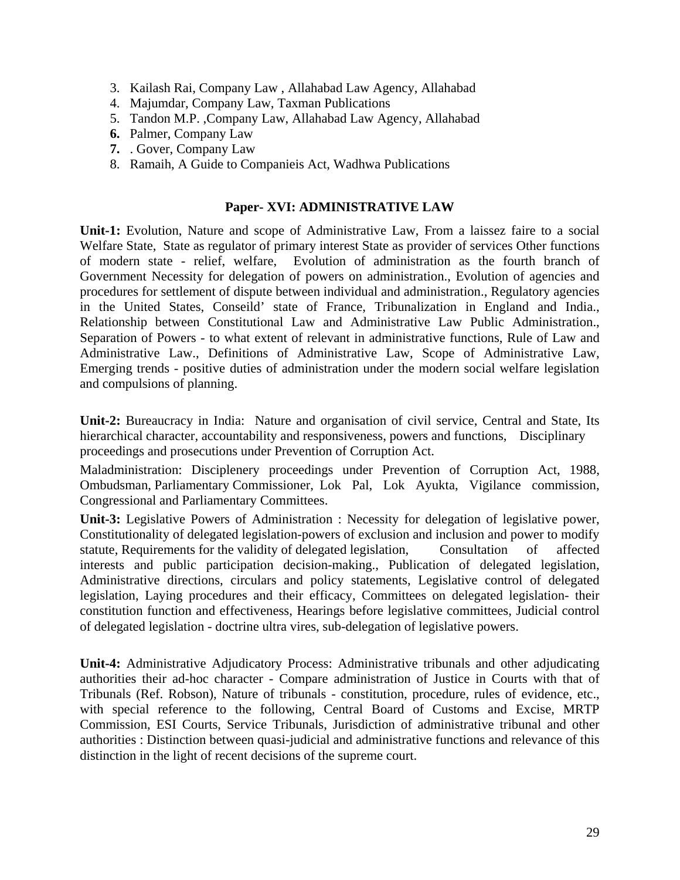- 3. Kailash Rai, Company Law , Allahabad Law Agency, Allahabad
- 4. Majumdar, Company Law, Taxman Publications
- 5. Tandon M.P. ,Company Law, Allahabad Law Agency, Allahabad
- **6.** Palmer, Company Law
- **7.** . Gover, Company Law
- 8. Ramaih, A Guide to Companieis Act, Wadhwa Publications

#### **Paper- XVI: ADMINISTRATIVE LAW**

**Unit-1:** Evolution, Nature and scope of Administrative Law, From a laissez faire to a social Welfare State, State as regulator of primary interest State as provider of services Other functions of modern state - relief, welfare, Evolution of administration as the fourth branch of Government Necessity for delegation of powers on administration., Evolution of agencies and procedures for settlement of dispute between individual and administration., Regulatory agencies in the United States, Conseild' state of France, Tribunalization in England and India., Relationship between Constitutional Law and Administrative Law Public Administration., Separation of Powers - to what extent of relevant in administrative functions, Rule of Law and Administrative Law., Definitions of Administrative Law, Scope of Administrative Law, Emerging trends - positive duties of administration under the modern social welfare legislation and compulsions of planning.

**Unit-2:** Bureaucracy in India: Nature and organisation of civil service, Central and State, Its hierarchical character, accountability and responsiveness, powers and functions, Disciplinary proceedings and prosecutions under Prevention of Corruption Act.

Maladministration: Disciplenery proceedings under Prevention of Corruption Act, 1988, Ombudsman, Parliamentary Commissioner, Lok Pal, Lok Ayukta, Vigilance commission, Congressional and Parliamentary Committees.

**Unit-3:** Legislative Powers of Administration : Necessity for delegation of legislative power, Constitutionality of delegated legislation-powers of exclusion and inclusion and power to modify statute, Requirements for the validity of delegated legislation, Consultation of affected interests and public participation decision-making., Publication of delegated legislation, Administrative directions, circulars and policy statements, Legislative control of delegated legislation, Laying procedures and their efficacy, Committees on delegated legislation- their constitution function and effectiveness, Hearings before legislative committees, Judicial control of delegated legislation - doctrine ultra vires, sub-delegation of legislative powers.

**Unit-4:** Administrative Adjudicatory Process: Administrative tribunals and other adjudicating authorities their ad-hoc character - Compare administration of Justice in Courts with that of Tribunals (Ref. Robson), Nature of tribunals - constitution, procedure, rules of evidence, etc., with special reference to the following, Central Board of Customs and Excise, MRTP Commission, ESI Courts, Service Tribunals, Jurisdiction of administrative tribunal and other authorities : Distinction between quasi-judicial and administrative functions and relevance of this distinction in the light of recent decisions of the supreme court.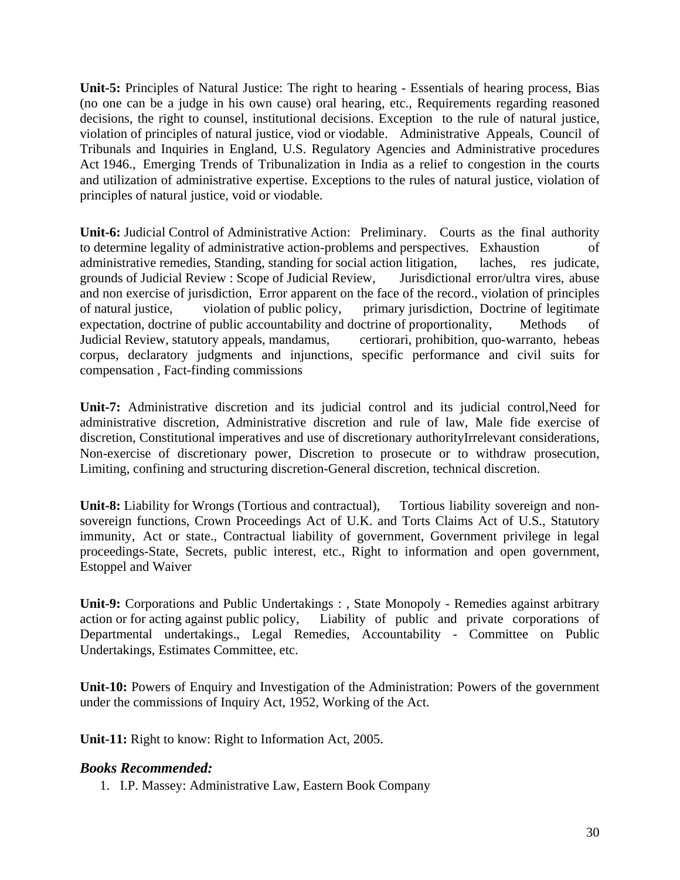**Unit-5:** Principles of Natural Justice: The right to hearing - Essentials of hearing process, Bias (no one can be a judge in his own cause) oral hearing, etc., Requirements regarding reasoned decisions, the right to counsel, institutional decisions. Exception to the rule of natural justice, violation of principles of natural justice, viod or viodable. Administrative Appeals, Council of Tribunals and Inquiries in England, U.S. Regulatory Agencies and Administrative procedures Act 1946., Emerging Trends of Tribunalization in India as a relief to congestion in the courts and utilization of administrative expertise. Exceptions to the rules of natural justice, violation of principles of natural justice, void or viodable.

**Unit-6:** Judicial Control of Administrative Action: Preliminary. Courts as the final authority to determine legality of administrative action-problems and perspectives. Exhaustion of administrative remedies, Standing, standing for social action litigation, laches, res judicate, grounds of Judicial Review : Scope of Judicial Review, Jurisdictional error/ultra vires, abuse and non exercise of jurisdiction, Error apparent on the face of the record., violation of principles of natural justice, violation of public policy, primary jurisdiction, Doctrine of legitimate expectation, doctrine of public accountability and doctrine of proportionality, Methods of Judicial Review, statutory appeals, mandamus, certiorari, prohibition, quo-warranto, hebeas corpus, declaratory judgments and injunctions, specific performance and civil suits for compensation , Fact-finding commissions

**Unit-7:** Administrative discretion and its judicial control and its judicial control,Need for administrative discretion, Administrative discretion and rule of law, Male fide exercise of discretion, Constitutional imperatives and use of discretionary authorityIrrelevant considerations, Non-exercise of discretionary power, Discretion to prosecute or to withdraw prosecution, Limiting, confining and structuring discretion-General discretion, technical discretion.

**Unit-8:** Liability for Wrongs (Tortious and contractual), Tortious liability sovereign and nonsovereign functions, Crown Proceedings Act of U.K. and Torts Claims Act of U.S., Statutory immunity, Act or state., Contractual liability of government, Government privilege in legal proceedings-State, Secrets, public interest, etc., Right to information and open government, Estoppel and Waiver

**Unit-9:** Corporations and Public Undertakings : , State Monopoly - Remedies against arbitrary action or for acting against public policy, Liability of public and private corporations of Departmental undertakings., Legal Remedies, Accountability - Committee on Public Undertakings, Estimates Committee, etc.

**Unit-10:** Powers of Enquiry and Investigation of the Administration: Powers of the government under the commissions of Inquiry Act, 1952, Working of the Act.

**Unit-11:** Right to know: Right to Information Act, 2005.

## *Books Recommended:*

1. I.P. Massey: Administrative Law, Eastern Book Company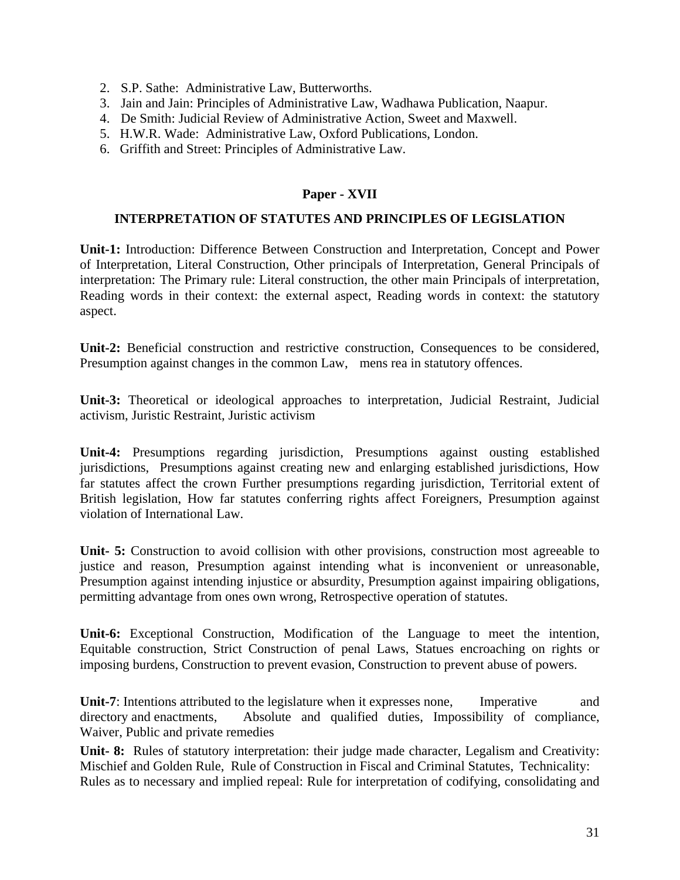- 2. S.P. Sathe: Administrative Law, Butterworths.
- 3. Jain and Jain: Principles of Administrative Law, Wadhawa Publication, Naapur.
- 4. De Smith: Judicial Review of Administrative Action, Sweet and Maxwell.
- 5. H.W.R. Wade: Administrative Law, Oxford Publications, London.
- 6. Griffith and Street: Principles of Administrative Law.

#### **Paper - XVII**

#### **INTERPRETATION OF STATUTES AND PRINCIPLES OF LEGISLATION**

**Unit-1:** Introduction: Difference Between Construction and Interpretation, Concept and Power of Interpretation, Literal Construction, Other principals of Interpretation, General Principals of interpretation: The Primary rule: Literal construction, the other main Principals of interpretation, Reading words in their context: the external aspect, Reading words in context: the statutory aspect.

**Unit-2:** Beneficial construction and restrictive construction, Consequences to be considered, Presumption against changes in the common Law, mens rea in statutory offences.

**Unit-3:** Theoretical or ideological approaches to interpretation, Judicial Restraint, Judicial activism, Juristic Restraint, Juristic activism

**Unit-4:** Presumptions regarding jurisdiction, Presumptions against ousting established jurisdictions, Presumptions against creating new and enlarging established jurisdictions, How far statutes affect the crown Further presumptions regarding jurisdiction, Territorial extent of British legislation, How far statutes conferring rights affect Foreigners, Presumption against violation of International Law.

**Unit- 5:** Construction to avoid collision with other provisions, construction most agreeable to justice and reason, Presumption against intending what is inconvenient or unreasonable, Presumption against intending injustice or absurdity, Presumption against impairing obligations, permitting advantage from ones own wrong, Retrospective operation of statutes.

**Unit-6:** Exceptional Construction, Modification of the Language to meet the intention, Equitable construction, Strict Construction of penal Laws, Statues encroaching on rights or imposing burdens, Construction to prevent evasion, Construction to prevent abuse of powers.

**Unit-7**: Intentions attributed to the legislature when it expresses none, Imperative and directory and enactments, Absolute and qualified duties, Impossibility of compliance, Waiver, Public and private remedies

**Unit- 8:** Rules of statutory interpretation: their judge made character, Legalism and Creativity: Mischief and Golden Rule, Rule of Construction in Fiscal and Criminal Statutes, Technicality: Rules as to necessary and implied repeal: Rule for interpretation of codifying, consolidating and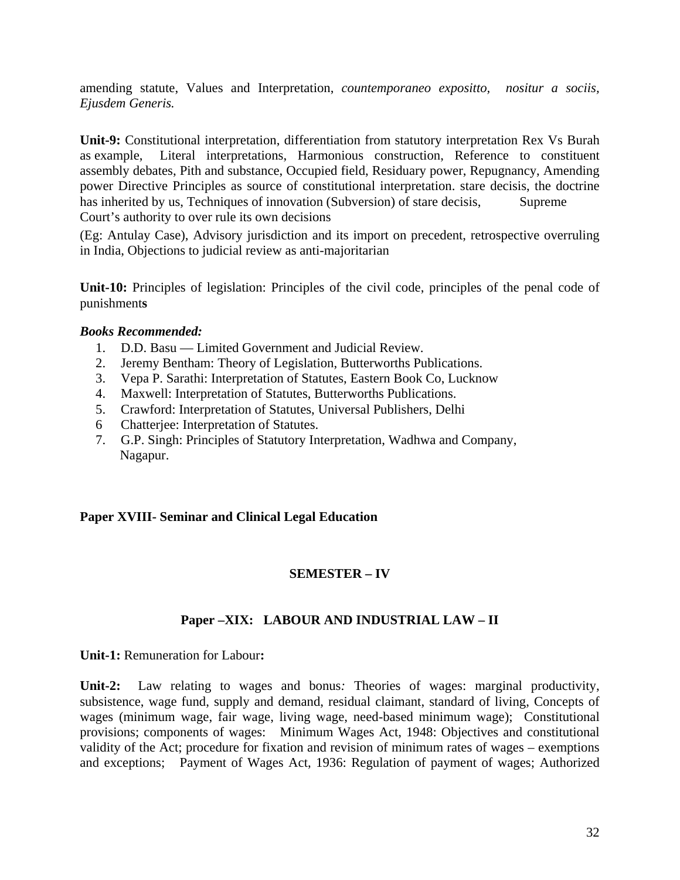amending statute, Values and Interpretation, *countemporaneo expositto, nositur a sociis, Ejusdem Generis.* 

**Unit-9:** Constitutional interpretation, differentiation from statutory interpretation Rex Vs Burah as example, Literal interpretations, Harmonious construction, Reference to constituent assembly debates, Pith and substance, Occupied field, Residuary power, Repugnancy, Amending power Directive Principles as source of constitutional interpretation. stare decisis, the doctrine has inherited by us, Techniques of innovation (Subversion) of stare decisis, Supreme Court's authority to over rule its own decisions

(Eg: Antulay Case), Advisory jurisdiction and its import on precedent, retrospective overruling in India, Objections to judicial review as anti-majoritarian

**Unit-10:** Principles of legislation: Principles of the civil code, principles of the penal code of punishment**s**

#### *Books Recommended:*

- 1. D.D. Basu Limited Government and Judicial Review.
- 2. Jeremy Bentham: Theory of Legislation, Butterworths Publications.
- 3. Vepa P. Sarathi: Interpretation of Statutes, Eastern Book Co, Lucknow
- 4. Maxwell: Interpretation of Statutes, Butterworths Publications.
- 5. Crawford: Interpretation of Statutes, Universal Publishers, Delhi
- 6 Chatterjee: Interpretation of Statutes.
- 7. G.P. Singh: Principles of Statutory Interpretation, Wadhwa and Company, Nagapur.

#### **Paper XVIII- Seminar and Clinical Legal Education**

#### **SEMESTER – IV**

#### **Paper –XIX: LABOUR AND INDUSTRIAL LAW – II**

**Unit-1:** Remuneration for Labour**:** 

**Unit-2:** Law relating to wages and bonus*:* Theories of wages: marginal productivity, subsistence, wage fund, supply and demand, residual claimant, standard of living, Concepts of wages (minimum wage, fair wage, living wage, need-based minimum wage); Constitutional provisions; components of wages: Minimum Wages Act, 1948: Objectives and constitutional validity of the Act; procedure for fixation and revision of minimum rates of wages – exemptions and exceptions; Payment of Wages Act, 1936: Regulation of payment of wages; Authorized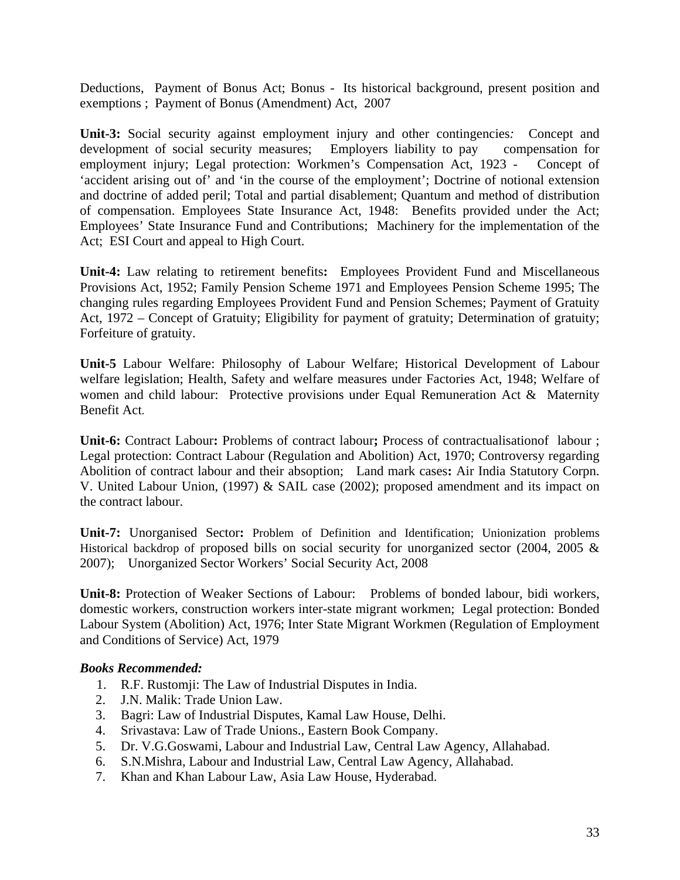Deductions, Payment of Bonus Act; Bonus - Its historical background, present position and exemptions ; Payment of Bonus (Amendment) Act, 2007

**Unit-3:** Social security against employment injury and other contingencies*:*Concept and development of social security measures; Employers liability to pay compensation for employment injury; Legal protection: Workmen's Compensation Act, 1923 - Concept of 'accident arising out of' and 'in the course of the employment'; Doctrine of notional extension and doctrine of added peril; Total and partial disablement; Quantum and method of distribution of compensation. Employees State Insurance Act, 1948: Benefits provided under the Act; Employees' State Insurance Fund and Contributions; Machinery for the implementation of the Act; ESI Court and appeal to High Court.

**Unit-4:** Law relating to retirement benefits**:** Employees Provident Fund and Miscellaneous Provisions Act, 1952; Family Pension Scheme 1971 and Employees Pension Scheme 1995; The changing rules regarding Employees Provident Fund and Pension Schemes; Payment of Gratuity Act, 1972 – Concept of Gratuity; Eligibility for payment of gratuity; Determination of gratuity; Forfeiture of gratuity.

**Unit-5** Labour Welfare: Philosophy of Labour Welfare; Historical Development of Labour welfare legislation; Health, Safety and welfare measures under Factories Act, 1948; Welfare of women and child labour: Protective provisions under Equal Remuneration Act & Maternity Benefit Act.

**Unit-6:** Contract Labour**:** Problems of contract labour**;** Process of contractualisationof labour ; Legal protection: Contract Labour (Regulation and Abolition) Act, 1970; Controversy regarding Abolition of contract labour and their absoption; Land mark cases**:** Air India Statutory Corpn. V. United Labour Union, (1997) & SAIL case (2002); proposed amendment and its impact on the contract labour.

**Unit-7:** Unorganised Sector**:** Problem of Definition and Identification; Unionization problems Historical backdrop of proposed bills on social security for unorganized sector (2004, 2005 & 2007); Unorganized Sector Workers' Social Security Act, 2008

**Unit-8:** Protection of Weaker Sections of Labour:Problems of bonded labour, bidi workers, domestic workers, construction workers inter-state migrant workmen; Legal protection: Bonded Labour System (Abolition) Act, 1976; Inter State Migrant Workmen (Regulation of Employment and Conditions of Service) Act, 1979

- 1. R.F. Rustomji: The Law of Industrial Disputes in India.
- 2. J.N. Malik: Trade Union Law.
- 3. Bagri: Law of Industrial Disputes, Kamal Law House, Delhi.
- 4. Srivastava: Law of Trade Unions., Eastern Book Company.
- 5. Dr. V.G.Goswami, Labour and Industrial Law, Central Law Agency, Allahabad.
- 6. S.N.Mishra, Labour and Industrial Law, Central Law Agency, Allahabad.
- 7. Khan and Khan Labour Law, Asia Law House, Hyderabad.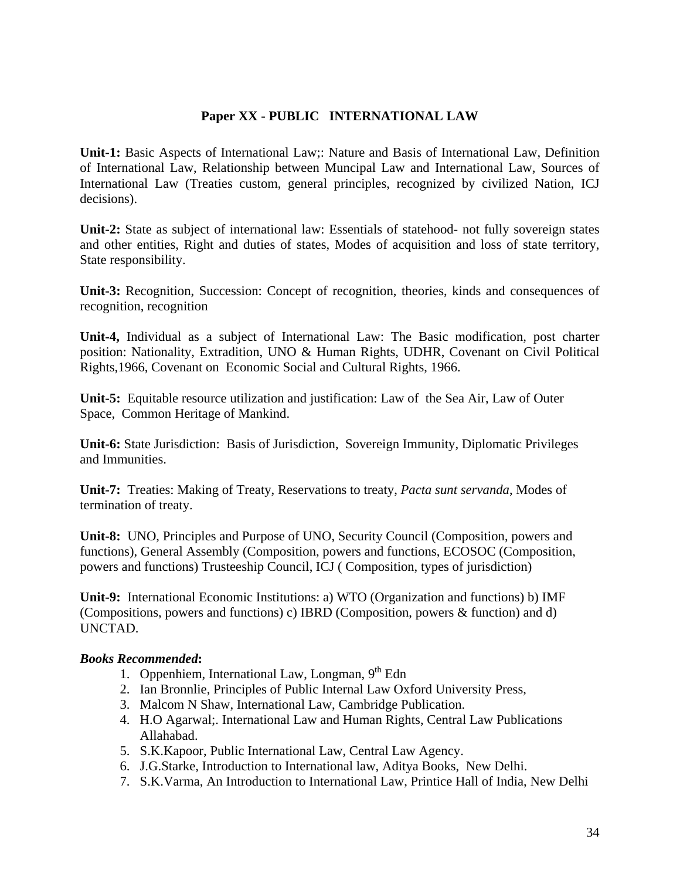## **Paper XX - PUBLIC INTERNATIONAL LAW**

**Unit-1:** Basic Aspects of International Law;: Nature and Basis of International Law, Definition of International Law, Relationship between Muncipal Law and International Law, Sources of International Law (Treaties custom, general principles, recognized by civilized Nation, ICJ decisions).

**Unit-2:** State as subject of international law: Essentials of statehood- not fully sovereign states and other entities, Right and duties of states, Modes of acquisition and loss of state territory, State responsibility.

**Unit-3:** Recognition, Succession: Concept of recognition, theories, kinds and consequences of recognition, recognition

**Unit-4,** Individual as a subject of International Law: The Basic modification, post charter position: Nationality, Extradition, UNO & Human Rights, UDHR, Covenant on Civil Political Rights,1966, Covenant on Economic Social and Cultural Rights, 1966.

**Unit-5:** Equitable resource utilization and justification: Law of the Sea Air, Law of Outer Space, Common Heritage of Mankind.

**Unit-6:** State Jurisdiction:Basis of Jurisdiction, Sovereign Immunity, Diplomatic Privileges and Immunities.

**Unit-7:** Treaties: Making of Treaty, Reservations to treaty, *Pacta sunt servanda*, Modes of termination of treaty.

**Unit-8:** UNO, Principles and Purpose of UNO, Security Council (Composition, powers and functions), General Assembly (Composition, powers and functions, ECOSOC (Composition, powers and functions) Trusteeship Council, ICJ ( Composition, types of jurisdiction)

**Unit-9:** International Economic Institutions: a) WTO (Organization and functions) b) IMF (Compositions, powers and functions) c) IBRD (Composition, powers & function) and d) UNCTAD.

- 1. Oppenhiem, International Law, Longman,  $9<sup>th</sup>$  Edn
- 2. Ian Bronnlie, Principles of Public Internal Law Oxford University Press,
- 3. Malcom N Shaw, International Law, Cambridge Publication.
- 4. H.O Agarwal;. International Law and Human Rights, Central Law Publications Allahabad.
- 5. S.K.Kapoor, Public International Law, Central Law Agency.
- 6. J.G.Starke, Introduction to International law, Aditya Books, New Delhi.
- 7. S.K.Varma, An Introduction to International Law, Printice Hall of India, New Delhi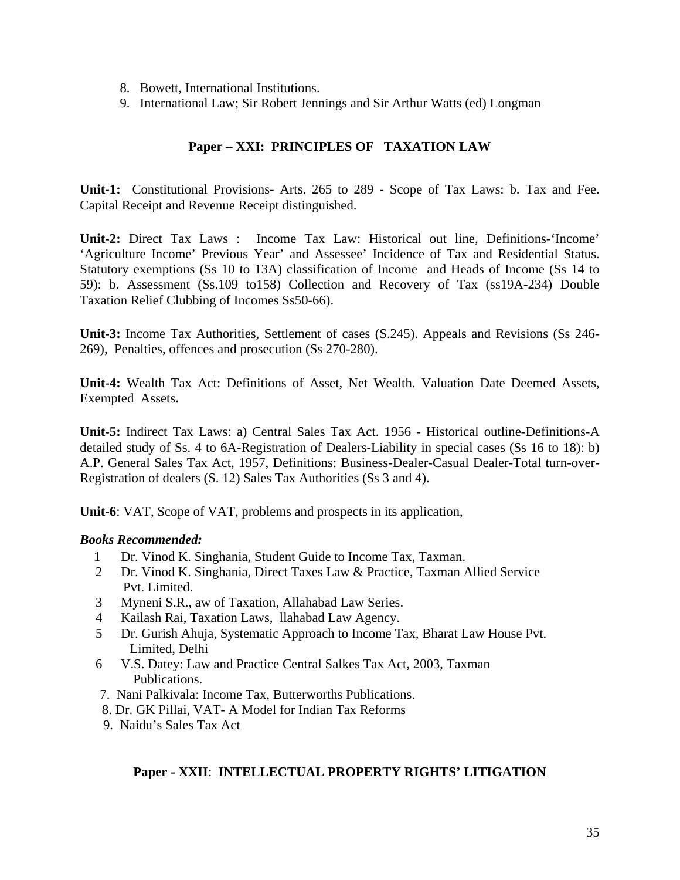- 8. Bowett, International Institutions.
- 9. International Law; Sir Robert Jennings and Sir Arthur Watts (ed) Longman

## **Paper – XXI: PRINCIPLES OF TAXATION LAW**

**Unit-1:** Constitutional Provisions- Arts. 265 to 289 - Scope of Tax Laws: b. Tax and Fee. Capital Receipt and Revenue Receipt distinguished.

**Unit-2:** Direct Tax Laws : Income Tax Law: Historical out line, Definitions-'Income' 'Agriculture Income' Previous Year' and Assessee' Incidence of Tax and Residential Status. Statutory exemptions (Ss 10 to 13A) classification of Income and Heads of Income (Ss 14 to 59): b. Assessment (Ss.109 to158) Collection and Recovery of Tax (ss19A-234) Double Taxation Relief Clubbing of Incomes Ss50-66).

**Unit-3:** Income Tax Authorities, Settlement of cases (S.245). Appeals and Revisions (Ss 246- 269), Penalties, offences and prosecution (Ss 270-280).

**Unit-4:** Wealth Tax Act: Definitions of Asset, Net Wealth. Valuation Date Deemed Assets, Exempted Assets**.** 

**Unit-5:** Indirect Tax Laws: a) Central Sales Tax Act. 1956 - Historical outline-Definitions-A detailed study of Ss. 4 to 6A-Registration of Dealers-Liability in special cases (Ss 16 to 18): b) A.P. General Sales Tax Act, 1957, Definitions: Business-Dealer-Casual Dealer-Total turn-over-Registration of dealers (S. 12) Sales Tax Authorities (Ss 3 and 4).

**Unit-6**: VAT, Scope of VAT, problems and prospects in its application,

#### *Books Recommended:*

- 1 Dr. Vinod K. Singhania, Student Guide to Income Tax, Taxman.
- 2 Dr. Vinod K. Singhania, Direct Taxes Law & Practice, Taxman Allied Service Pvt. Limited.
- 3 Myneni S.R., aw of Taxation, Allahabad Law Series.
- 4 Kailash Rai, Taxation Laws, llahabad Law Agency.
- 5 Dr. Gurish Ahuja, Systematic Approach to Income Tax, Bharat Law House Pvt. Limited, Delhi
- 6 V.S. Datey: Law and Practice Central Salkes Tax Act, 2003, Taxman Publications.
- 7. Nani Palkivala: Income Tax, Butterworths Publications.
- 8. Dr. GK Pillai, VAT- A Model for Indian Tax Reforms
- 9. Naidu's Sales Tax Act

#### **Paper - XXII**: **INTELLECTUAL PROPERTY RIGHTS' LITIGATION**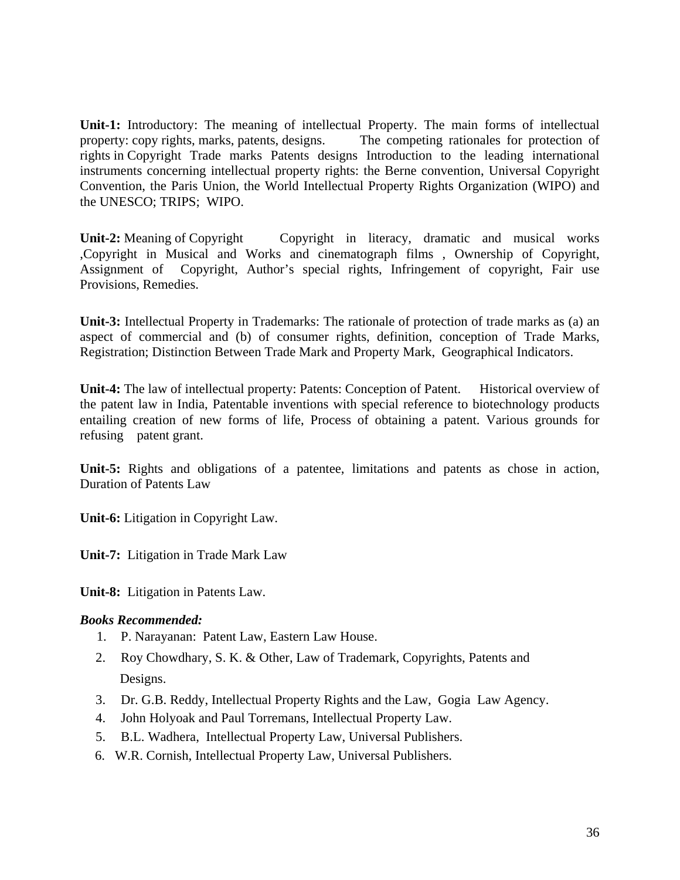**Unit-1:** Introductory: The meaning of intellectual Property. The main forms of intellectual property: copy rights, marks, patents, designs. The competing rationales for protection of rights in Copyright Trade marks Patents designs Introduction to the leading international instruments concerning intellectual property rights: the Berne convention, Universal Copyright Convention, the Paris Union, the World Intellectual Property Rights Organization (WIPO) and the UNESCO; TRIPS; WIPO.

**Unit-2:** Meaning of Copyright Copyright in literacy, dramatic and musical works ,Copyright in Musical and Works and cinematograph films , Ownership of Copyright, Assignment of Copyright, Author's special rights, Infringement of copyright, Fair use Provisions, Remedies.

**Unit-3:** Intellectual Property in Trademarks: The rationale of protection of trade marks as (a) an aspect of commercial and (b) of consumer rights, definition, conception of Trade Marks, Registration; Distinction Between Trade Mark and Property Mark, Geographical Indicators.

**Unit-4:** The law of intellectual property: Patents: Conception of Patent. Historical overview of the patent law in India, Patentable inventions with special reference to biotechnology products entailing creation of new forms of life, Process of obtaining a patent. Various grounds for refusing patent grant.

**Unit-5:** Rights and obligations of a patentee, limitations and patents as chose in action, Duration of Patents Law

**Unit-6:** Litigation in Copyright Law.

**Unit-7:** Litigation in Trade Mark Law

**Unit-8:** Litigation in Patents Law.

- 1. P. Narayanan: Patent Law, Eastern Law House.
- 2. Roy Chowdhary, S. K. & Other, Law of Trademark, Copyrights, Patents and Designs.
- 3. Dr. G.B. Reddy, Intellectual Property Rights and the Law, Gogia Law Agency.
- 4. John Holyoak and Paul Torremans, Intellectual Property Law.
- 5. B.L. Wadhera, Intellectual Property Law, Universal Publishers.
- 6. W.R. Cornish, Intellectual Property Law, Universal Publishers.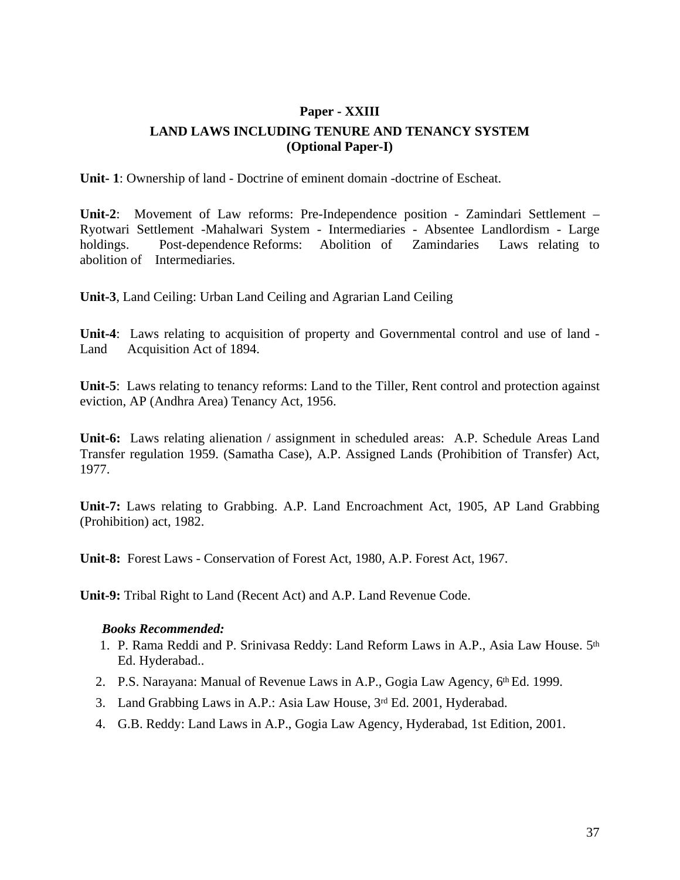# **Paper - XXIII LAND LAWS INCLUDING TENURE AND TENANCY SYSTEM (Optional Paper-I)**

**Unit- 1**: Ownership of land - Doctrine of eminent domain -doctrine of Escheat.

**Unit-2**: Movement of Law reforms: Pre-Independence position - Zamindari Settlement – Ryotwari Settlement -Mahalwari System - Intermediaries - Absentee Landlordism - Large holdings. Post-dependence Reforms: Abolition of Zamindaries Laws relating to abolition of Intermediaries.

**Unit-3**, Land Ceiling: Urban Land Ceiling and Agrarian Land Ceiling

**Unit-4**: Laws relating to acquisition of property and Governmental control and use of land - Land Acquisition Act of 1894.

**Unit-5**: Laws relating to tenancy reforms: Land to the Tiller, Rent control and protection against eviction, AP (Andhra Area) Tenancy Act, 1956.

**Unit-6:** Laws relating alienation / assignment in scheduled areas: A.P. Schedule Areas Land Transfer regulation 1959. (Samatha Case), A.P. Assigned Lands (Prohibition of Transfer) Act, 1977.

**Unit-7:** Laws relating to Grabbing. A.P. Land Encroachment Act, 1905, AP Land Grabbing (Prohibition) act, 1982.

**Unit-8:** Forest Laws - Conservation of Forest Act, 1980, A.P. Forest Act, 1967.

**Unit-9:** Tribal Right to Land (Recent Act) and A.P. Land Revenue Code.

- 1. P. Rama Reddi and P. Srinivasa Reddy: Land Reform Laws in A.P., Asia Law House. 5th Ed. Hyderabad..
- 2. P.S. Narayana: Manual of Revenue Laws in A.P., Gogia Law Agency, 6th Ed. 1999.
- 3. Land Grabbing Laws in A.P.: Asia Law House, 3rd Ed. 2001, Hyderabad.
- 4. G.B. Reddy: Land Laws in A.P., Gogia Law Agency, Hyderabad, 1st Edition, 2001.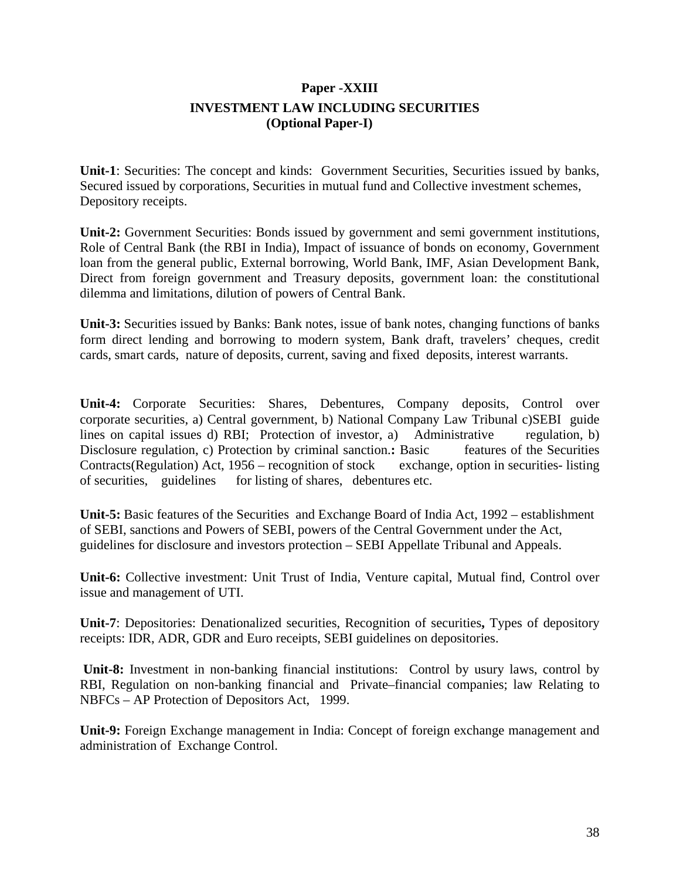## **Paper -XXIII INVESTMENT LAW INCLUDING SECURITIES (Optional Paper-I)**

**Unit-1**: Securities: The concept and kinds: Government Securities, Securities issued by banks, Secured issued by corporations, Securities in mutual fund and Collective investment schemes, Depository receipts.

**Unit-2:** Government Securities: Bonds issued by government and semi government institutions, Role of Central Bank (the RBI in India), Impact of issuance of bonds on economy, Government loan from the general public, External borrowing, World Bank, IMF, Asian Development Bank, Direct from foreign government and Treasury deposits, government loan: the constitutional dilemma and limitations, dilution of powers of Central Bank.

**Unit-3:** Securities issued by Banks: Bank notes, issue of bank notes, changing functions of banks form direct lending and borrowing to modern system, Bank draft, travelers' cheques, credit cards, smart cards, nature of deposits, current, saving and fixed deposits, interest warrants.

**Unit-4:** Corporate Securities: Shares, Debentures, Company deposits, Control over corporate securities, a) Central government, b) National Company Law Tribunal c)SEBI guide lines on capital issues d) RBI; Protection of investor, a) Administrative regulation, b) Disclosure regulation, c) Protection by criminal sanction.: Basic features of the Securities Contracts(Regulation) Act, 1956 – recognition of stock exchange, option in securities- listing of securities, guidelines for listing of shares, debentures etc.

**Unit-5:** Basic features of the Securities and Exchange Board of India Act, 1992 – establishment of SEBI, sanctions and Powers of SEBI, powers of the Central Government under the Act, guidelines for disclosure and investors protection – SEBI Appellate Tribunal and Appeals.

**Unit-6:** Collective investment: Unit Trust of India, Venture capital, Mutual find, Control over issue and management of UTI.

**Unit-7**: Depositories: Denationalized securities, Recognition of securities**,** Types of depository receipts: IDR, ADR, GDR and Euro receipts, SEBI guidelines on depositories.

 **Unit-8:** Investment in non-banking financial institutions: Control by usury laws, control by RBI, Regulation on non-banking financial and Private–financial companies; law Relating to NBFCs – AP Protection of Depositors Act, 1999.

**Unit-9:** Foreign Exchange management in India: Concept of foreign exchange management and administration of Exchange Control.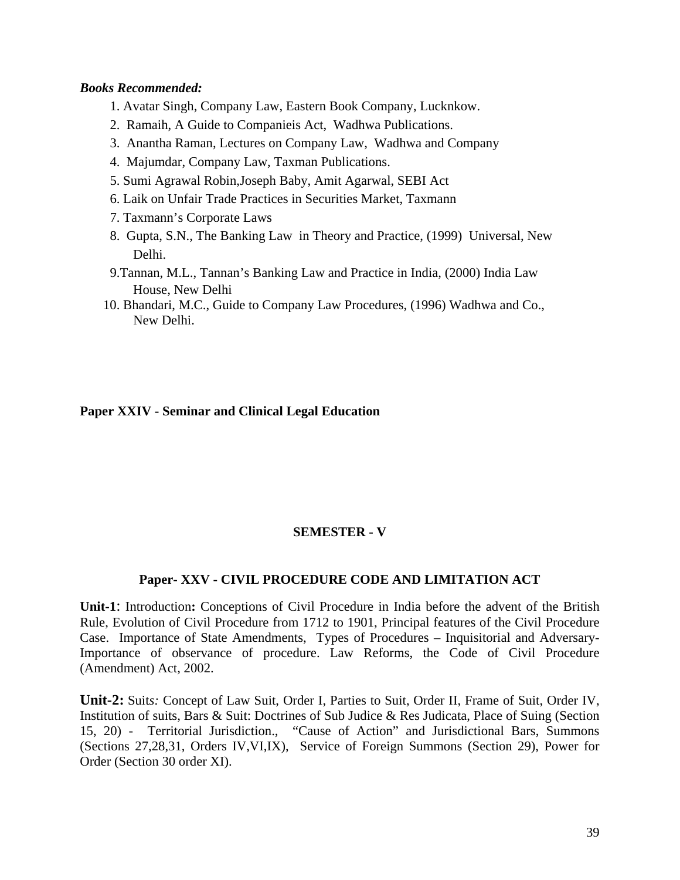#### *Books Recommended:*

- 1. Avatar Singh, Company Law, Eastern Book Company, Lucknkow.
- 2. Ramaih, A Guide to Companieis Act, Wadhwa Publications.
- 3. Anantha Raman, Lectures on Company Law, Wadhwa and Company
- 4. Majumdar, Company Law, Taxman Publications.
- 5. Sumi Agrawal Robin,Joseph Baby, Amit Agarwal, SEBI Act
- 6. Laik on Unfair Trade Practices in Securities Market, Taxmann
- 7. Taxmann's Corporate Laws
- 8. Gupta, S.N., The Banking Law in Theory and Practice, (1999) Universal, New Delhi.
- 9.Tannan, M.L., Tannan's Banking Law and Practice in India, (2000) India Law House, New Delhi
- 10. Bhandari, M.C., Guide to Company Law Procedures, (1996) Wadhwa and Co., New Delhi.

#### **Paper XXIV - Seminar and Clinical Legal Education**

## **SEMESTER - V**

#### **Paper- XXV - CIVIL PROCEDURE CODE AND LIMITATION ACT**

**Unit-1**: Introduction**:** Conceptions of Civil Procedure in India before the advent of the British Rule, Evolution of Civil Procedure from 1712 to 1901, Principal features of the Civil Procedure Case. Importance of State Amendments, Types of Procedures – Inquisitorial and Adversary-Importance of observance of procedure. Law Reforms, the Code of Civil Procedure (Amendment) Act, 2002.

**Unit-2:** Suit*s:* Concept of Law Suit, Order I, Parties to Suit, Order II, Frame of Suit, Order IV, Institution of suits, Bars & Suit: Doctrines of Sub Judice & Res Judicata, Place of Suing (Section 15, 20) - Territorial Jurisdiction., "Cause of Action" and Jurisdictional Bars, Summons (Sections 27,28,31, Orders IV,VI,IX), Service of Foreign Summons (Section 29), Power for Order (Section 30 order XI).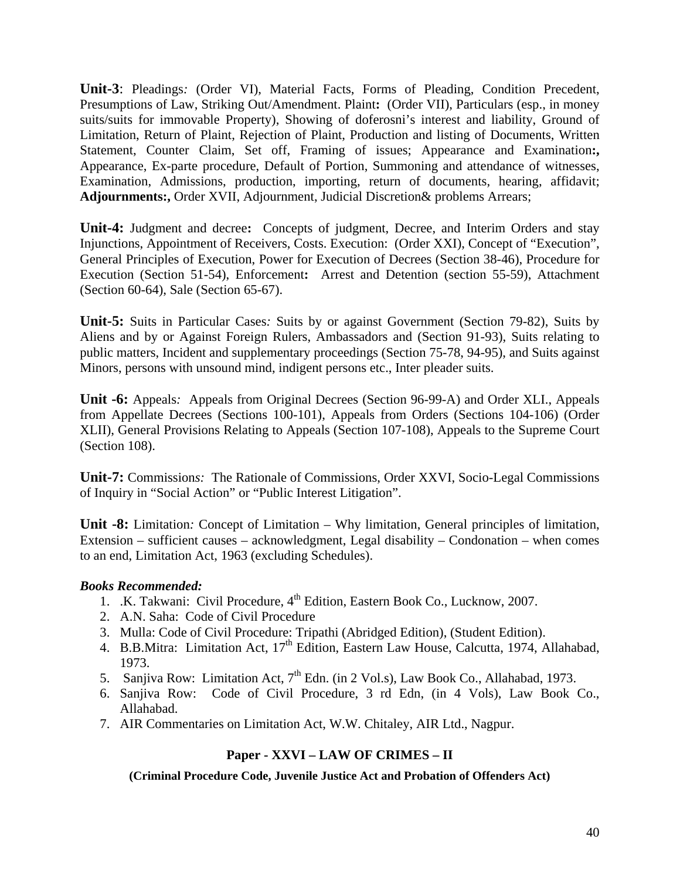**Unit-3**: Pleadings*:* (Order VI), Material Facts, Forms of Pleading, Condition Precedent, Presumptions of Law, Striking Out/Amendment. Plaint**:** (Order VII), Particulars (esp., in money suits/suits for immovable Property), Showing of doferosni's interest and liability, Ground of Limitation, Return of Plaint, Rejection of Plaint, Production and listing of Documents, Written Statement, Counter Claim, Set off, Framing of issues; Appearance and Examination**:,** Appearance, Ex-parte procedure, Default of Portion, Summoning and attendance of witnesses, Examination, Admissions, production, importing, return of documents, hearing, affidavit; **Adjournments:,** Order XVII, Adjournment, Judicial Discretion& problems Arrears;

**Unit-4:** Judgment and decree**:** Concepts of judgment, Decree, and Interim Orders and stay Injunctions, Appointment of Receivers, Costs. Execution: (Order XXI), Concept of "Execution", General Principles of Execution, Power for Execution of Decrees (Section 38-46), Procedure for Execution (Section 51-54), Enforcement**:** Arrest and Detention (section 55-59), Attachment (Section 60-64), Sale (Section 65-67).

**Unit-5:** Suits in Particular Cases*:* Suits by or against Government (Section 79-82), Suits by Aliens and by or Against Foreign Rulers, Ambassadors and (Section 91-93), Suits relating to public matters, Incident and supplementary proceedings (Section 75-78, 94-95), and Suits against Minors, persons with unsound mind, indigent persons etc., Inter pleader suits.

**Unit -6:** Appeals*:* Appeals from Original Decrees (Section 96-99-A) and Order XLI., Appeals from Appellate Decrees (Sections 100-101), Appeals from Orders (Sections 104-106) (Order XLII), General Provisions Relating to Appeals (Section 107-108), Appeals to the Supreme Court (Section 108).

**Unit-7:** Commission*s:* The Rationale of Commissions, Order XXVI, Socio-Legal Commissions of Inquiry in "Social Action" or "Public Interest Litigation".

**Unit -8:** Limitation*:* Concept of Limitation – Why limitation, General principles of limitation, Extension – sufficient causes – acknowledgment, Legal disability – Condonation – when comes to an end, Limitation Act, 1963 (excluding Schedules).

#### *Books Recommended:*

- 1. .K. Takwani: Civil Procedure, 4<sup>th</sup> Edition, Eastern Book Co., Lucknow, 2007.
- 2. A.N. Saha: Code of Civil Procedure
- 3. Mulla: Code of Civil Procedure: Tripathi (Abridged Edition), (Student Edition).
- 4. B.B.Mitra: Limitation Act,  $17<sup>th</sup>$  Edition, Eastern Law House, Calcutta, 1974, Allahabad, 1973.
- 5. Sanjiva Row: Limitation Act, 7<sup>th</sup> Edn. (in 2 Vol.s), Law Book Co., Allahabad, 1973.
- 6. Sanjiva Row: Code of Civil Procedure, 3 rd Edn, (in 4 Vols), Law Book Co., Allahabad.
- 7. AIR Commentaries on Limitation Act, W.W. Chitaley, AIR Ltd., Nagpur.

## **Paper - XXVI – LAW OF CRIMES – II**

**(Criminal Procedure Code, Juvenile Justice Act and Probation of Offenders Act)**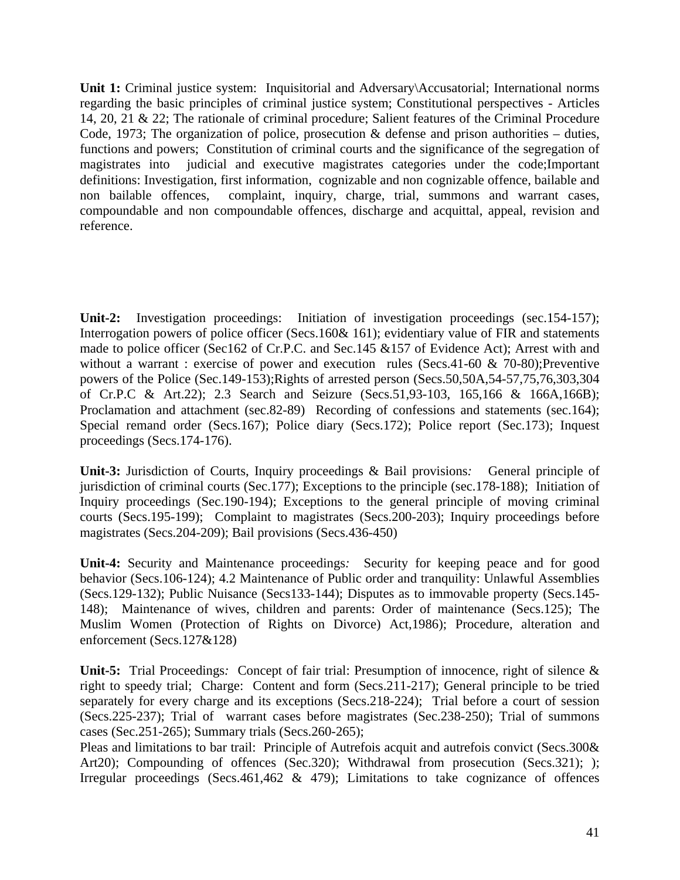**Unit 1:** Criminal justice system: Inquisitorial and Adversary\Accusatorial; International norms regarding the basic principles of criminal justice system; Constitutional perspectives - Articles 14, 20, 21 & 22; The rationale of criminal procedure; Salient features of the Criminal Procedure Code, 1973; The organization of police, prosecution  $\&$  defense and prison authorities – duties, functions and powers; Constitution of criminal courts and the significance of the segregation of magistrates into judicial and executive magistrates categories under the code;Important definitions: Investigation, first information, cognizable and non cognizable offence, bailable and non bailable offences, complaint, inquiry, charge, trial, summons and warrant cases, compoundable and non compoundable offences, discharge and acquittal, appeal, revision and reference.

**Unit-2:** Investigation proceedings: Initiation of investigation proceedings (sec.154-157); Interrogation powers of police officer (Secs.160& 161); evidentiary value of FIR and statements made to police officer (Sec162 of Cr.P.C. and Sec.145 &157 of Evidence Act); Arrest with and without a warrant : exercise of power and execution rules (Secs.41-60 & 70-80); Preventive powers of the Police (Sec.149-153);Rights of arrested person (Secs.50,50A,54-57,75,76,303,304 of Cr.P.C & Art.22); 2.3 Search and Seizure (Secs.51,93-103, 165,166 & 166A,166B); Proclamation and attachment (sec.82-89) Recording of confessions and statements (sec.164); Special remand order (Secs.167); Police diary (Secs.172); Police report (Sec.173); Inquest proceedings (Secs.174-176).

**Unit-3:** Jurisdiction of Courts, Inquiry proceedings & Bail provisions*:*General principle of jurisdiction of criminal courts (Sec.177); Exceptions to the principle (sec.178-188); Initiation of Inquiry proceedings (Sec.190-194); Exceptions to the general principle of moving criminal courts (Secs.195-199); Complaint to magistrates (Secs.200-203); Inquiry proceedings before magistrates (Secs.204-209); Bail provisions (Secs.436-450)

**Unit-4:** Security and Maintenance proceedings*:*Security for keeping peace and for good behavior (Secs.106-124); 4.2 Maintenance of Public order and tranquility: Unlawful Assemblies (Secs.129-132); Public Nuisance (Secs133-144); Disputes as to immovable property (Secs.145- 148); Maintenance of wives, children and parents: Order of maintenance (Secs.125); The Muslim Women (Protection of Rights on Divorce) Act,1986); Procedure, alteration and enforcement (Secs.127&128)

**Unit-5:** Trial Proceedings*:*Concept of fair trial: Presumption of innocence, right of silence & right to speedy trial; Charge: Content and form (Secs.211-217); General principle to be tried separately for every charge and its exceptions (Secs.218-224); Trial before a court of session (Secs.225-237); Trial of warrant cases before magistrates (Sec.238-250); Trial of summons cases (Sec.251-265); Summary trials (Secs.260-265);

Pleas and limitations to bar trail: Principle of Autrefois acquit and autrefois convict (Secs.300& Art20); Compounding of offences (Sec.320); Withdrawal from prosecution (Secs.321); ); Irregular proceedings (Secs.461,462  $\&$  479); Limitations to take cognizance of offences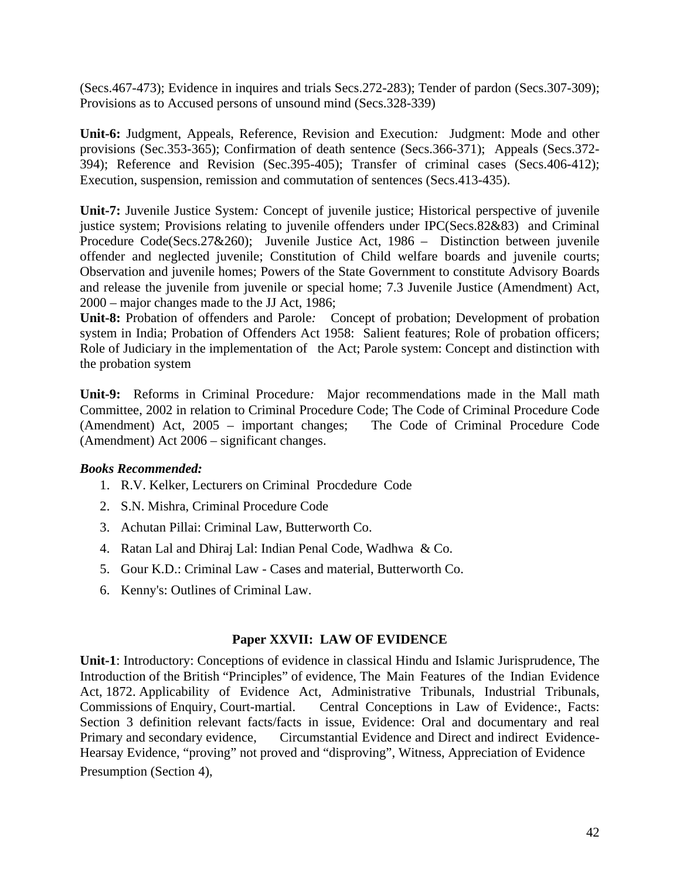(Secs.467-473); Evidence in inquires and trials Secs.272-283); Tender of pardon (Secs.307-309); Provisions as to Accused persons of unsound mind (Secs.328-339)

**Unit-6:** Judgment, Appeals, Reference, Revision and Execution*:*Judgment: Mode and other provisions (Sec.353-365); Confirmation of death sentence (Secs.366-371); Appeals (Secs.372- 394); Reference and Revision (Sec.395-405); Transfer of criminal cases (Secs.406-412); Execution, suspension, remission and commutation of sentences (Secs.413-435).

**Unit-7:** Juvenile Justice System*:* Concept of juvenile justice; Historical perspective of juvenile justice system; Provisions relating to juvenile offenders under IPC(Secs.82&83) and Criminal Procedure Code(Secs.27&260); Juvenile Justice Act, 1986 – Distinction between juvenile offender and neglected juvenile; Constitution of Child welfare boards and juvenile courts; Observation and juvenile homes; Powers of the State Government to constitute Advisory Boards and release the juvenile from juvenile or special home; 7.3 Juvenile Justice (Amendment) Act, 2000 – major changes made to the JJ Act, 1986;

**Unit-8:** Probation of offenders and Parole*:*Concept of probation; Development of probation system in India; Probation of Offenders Act 1958: Salient features; Role of probation officers; Role of Judiciary in the implementation of the Act; Parole system: Concept and distinction with the probation system

**Unit-9:** Reforms in Criminal Procedure*:*Major recommendations made in the Mall math Committee, 2002 in relation to Criminal Procedure Code; The Code of Criminal Procedure Code (Amendment) Act, 2005 – important changes; The Code of Criminal Procedure Code (Amendment) Act 2006 – significant changes.

## *Books Recommended:*

- 1. R.V. Kelker, Lecturers on Criminal Procdedure Code
- 2. S.N. Mishra, Criminal Procedure Code
- 3. Achutan Pillai: Criminal Law, Butterworth Co.
- 4. Ratan Lal and Dhiraj Lal: Indian Penal Code, Wadhwa & Co.
- 5. Gour K.D.: Criminal Law Cases and material, Butterworth Co.
- 6. Kenny's: Outlines of Criminal Law.

#### **Paper XXVII: LAW OF EVIDENCE**

**Unit-1**: Introductory: Conceptions of evidence in classical Hindu and Islamic Jurisprudence, The Introduction of the British "Principles" of evidence, The Main Features of the Indian Evidence Act, 1872. Applicability of Evidence Act, Administrative Tribunals, Industrial Tribunals, Commissions of Enquiry, Court-martial. Central Conceptions in Law of Evidence:, Facts: Section 3 definition relevant facts/facts in issue, Evidence: Oral and documentary and real Primary and secondary evidence, Circumstantial Evidence and Direct and indirect Evidence-Hearsay Evidence, "proving" not proved and "disproving", Witness, Appreciation of Evidence Presumption (Section 4),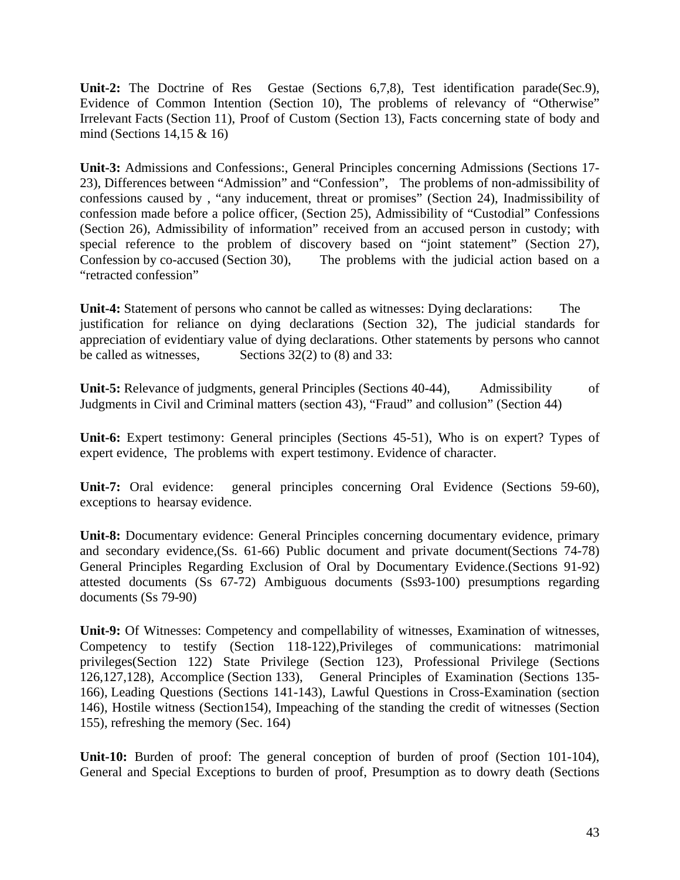**Unit-2:** The Doctrine of Res Gestae (Sections 6,7,8), Test identification parade(Sec.9), Evidence of Common Intention (Section 10), The problems of relevancy of "Otherwise" Irrelevant Facts (Section 11), Proof of Custom (Section 13), Facts concerning state of body and mind (Sections 14,15 & 16)

**Unit-3:** Admissions and Confessions:, General Principles concerning Admissions (Sections 17- 23), Differences between "Admission" and "Confession", The problems of non-admissibility of confessions caused by , "any inducement, threat or promises" (Section 24), Inadmissibility of confession made before a police officer, (Section 25), Admissibility of "Custodial" Confessions (Section 26), Admissibility of information" received from an accused person in custody; with special reference to the problem of discovery based on "joint statement" (Section 27), Confession by co-accused (Section 30), The problems with the judicial action based on a "retracted confession"

**Unit-4:** Statement of persons who cannot be called as witnesses: Dying declarations: The justification for reliance on dying declarations (Section 32), The judicial standards for appreciation of evidentiary value of dying declarations. Other statements by persons who cannot be called as witnesses, Sections  $32(2)$  to (8) and 33:

**Unit-5:** Relevance of judgments, general Principles (Sections 40-44), Admissibility of Judgments in Civil and Criminal matters (section 43), "Fraud" and collusion" (Section 44)

**Unit-6:** Expert testimony: General principles (Sections 45-51), Who is on expert? Types of expert evidence, The problems with expert testimony. Evidence of character.

**Unit-7:** Oral evidence: general principles concerning Oral Evidence (Sections 59-60), exceptions to hearsay evidence.

**Unit-8:** Documentary evidence: General Principles concerning documentary evidence, primary and secondary evidence,(Ss. 61-66) Public document and private document(Sections 74-78) General Principles Regarding Exclusion of Oral by Documentary Evidence.(Sections 91-92) attested documents (Ss 67-72) Ambiguous documents (Ss93-100) presumptions regarding documents (Ss 79-90)

**Unit-9:** Of Witnesses: Competency and compellability of witnesses, Examination of witnesses, Competency to testify (Section 118-122),Privileges of communications: matrimonial privileges(Section 122) State Privilege (Section 123), Professional Privilege (Sections 126,127,128), Accomplice (Section 133), General Principles of Examination (Sections 135- 166), Leading Questions (Sections 141-143), Lawful Questions in Cross-Examination (section 146), Hostile witness (Section154), Impeaching of the standing the credit of witnesses (Section 155), refreshing the memory (Sec. 164)

**Unit-10:** Burden of proof: The general conception of burden of proof (Section 101-104), General and Special Exceptions to burden of proof, Presumption as to dowry death (Sections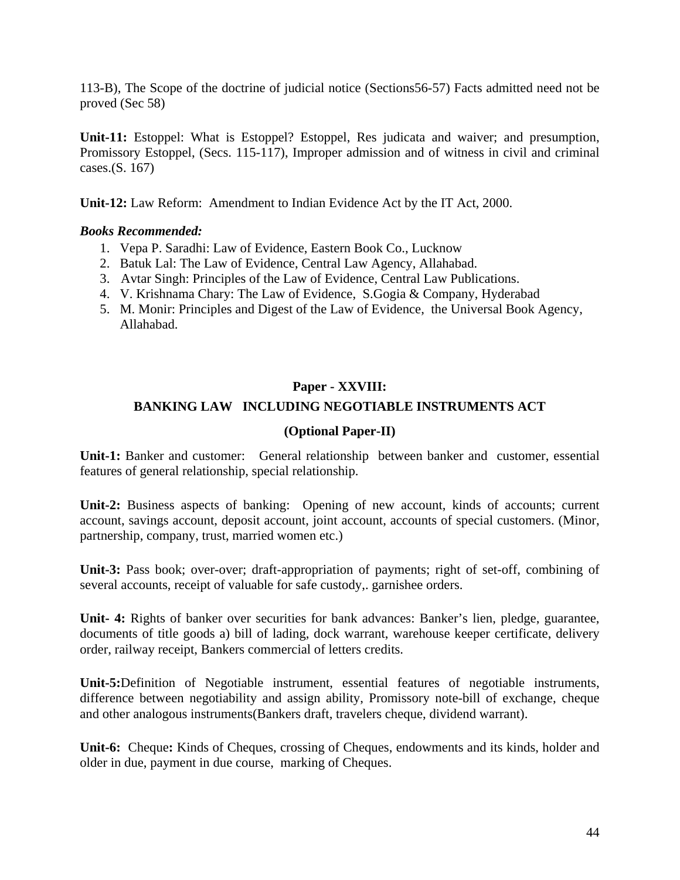113-B), The Scope of the doctrine of judicial notice (Sections56-57) Facts admitted need not be proved (Sec 58)

**Unit-11:** Estoppel: What is Estoppel? Estoppel, Res judicata and waiver; and presumption, Promissory Estoppel, (Secs. 115-117), Improper admission and of witness in civil and criminal cases.(S. 167)

**Unit-12:** Law Reform: Amendment to Indian Evidence Act by the IT Act, 2000.

### *Books Recommended:*

- 1. Vepa P. Saradhi: Law of Evidence, Eastern Book Co., Lucknow
- 2. Batuk Lal: The Law of Evidence, Central Law Agency, Allahabad.
- 3. Avtar Singh: Principles of the Law of Evidence, Central Law Publications.
- 4. V. Krishnama Chary: The Law of Evidence, S.Gogia & Company, Hyderabad
- 5. M. Monir: Principles and Digest of the Law of Evidence, the Universal Book Agency, Allahabad.

## **Paper - XXVIII:**

## **BANKING LAW INCLUDING NEGOTIABLE INSTRUMENTS ACT**

### **(Optional Paper-II)**

**Unit-1:** Banker and customer: General relationship between banker and customer, essential features of general relationship, special relationship.

**Unit-2:** Business aspects of banking: Opening of new account, kinds of accounts; current account, savings account, deposit account, joint account, accounts of special customers. (Minor, partnership, company, trust, married women etc.)

**Unit-3:** Pass book; over-over; draft-appropriation of payments; right of set-off, combining of several accounts, receipt of valuable for safe custody,. garnishee orders.

**Unit- 4:** Rights of banker over securities for bank advances: Banker's lien, pledge, guarantee, documents of title goods a) bill of lading, dock warrant, warehouse keeper certificate, delivery order, railway receipt, Bankers commercial of letters credits.

**Unit-5:**Definition of Negotiable instrument, essential features of negotiable instruments, difference between negotiability and assign ability, Promissory note-bill of exchange, cheque and other analogous instruments(Bankers draft, travelers cheque, dividend warrant).

**Unit-6:** Cheque**:** Kinds of Cheques, crossing of Cheques, endowments and its kinds, holder and older in due, payment in due course, marking of Cheques.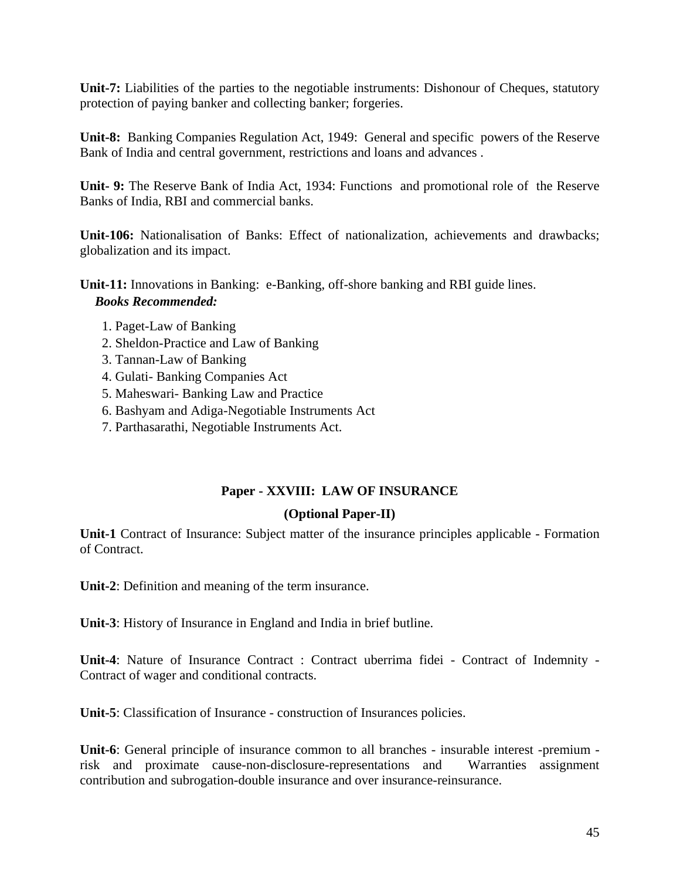**Unit-7:** Liabilities of the parties to the negotiable instruments: Dishonour of Cheques, statutory protection of paying banker and collecting banker; forgeries.

**Unit-8:** Banking Companies Regulation Act, 1949: General and specific powers of the Reserve Bank of India and central government, restrictions and loans and advances .

**Unit- 9:** The Reserve Bank of India Act, 1934: Functions and promotional role of the Reserve Banks of India, RBI and commercial banks.

**Unit-106:** Nationalisation of Banks: Effect of nationalization, achievements and drawbacks; globalization and its impact.

**Unit-11:** Innovations in Banking: e-Banking, off-shore banking and RBI guide lines. *Books Recommended:* 

- 1. Paget-Law of Banking
- 2. Sheldon-Practice and Law of Banking
- 3. Tannan-Law of Banking
- 4. Gulati- Banking Companies Act
- 5. Maheswari- Banking Law and Practice
- 6. Bashyam and Adiga-Negotiable Instruments Act
- 7. Parthasarathi, Negotiable Instruments Act.

## **Paper - XXVIII: LAW OF INSURANCE**

#### **(Optional Paper-II)**

**Unit-1** Contract of Insurance: Subject matter of the insurance principles applicable - Formation of Contract.

**Unit-2**: Definition and meaning of the term insurance.

**Unit-3**: History of Insurance in England and India in brief butline.

**Unit-4**: Nature of Insurance Contract : Contract uberrima fidei - Contract of Indemnity - Contract of wager and conditional contracts.

**Unit-5**: Classification of Insurance - construction of Insurances policies.

**Unit-6**: General principle of insurance common to all branches - insurable interest -premium risk and proximate cause-non-disclosure-representations and Warranties assignment contribution and subrogation-double insurance and over insurance-reinsurance.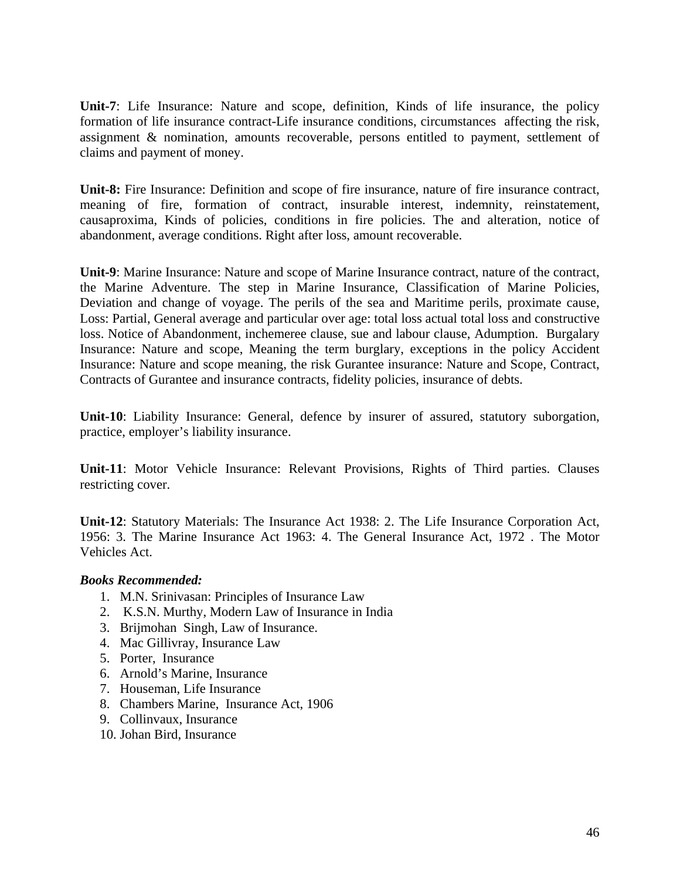**Unit-7**: Life Insurance: Nature and scope, definition, Kinds of life insurance, the policy formation of life insurance contract-Life insurance conditions, circumstances affecting the risk, assignment & nomination, amounts recoverable, persons entitled to payment, settlement of claims and payment of money.

**Unit-8:** Fire Insurance: Definition and scope of fire insurance, nature of fire insurance contract, meaning of fire, formation of contract, insurable interest, indemnity, reinstatement, causaproxima, Kinds of policies, conditions in fire policies. The and alteration, notice of abandonment, average conditions. Right after loss, amount recoverable.

**Unit-9**: Marine Insurance: Nature and scope of Marine Insurance contract, nature of the contract, the Marine Adventure. The step in Marine Insurance, Classification of Marine Policies, Deviation and change of voyage. The perils of the sea and Maritime perils, proximate cause, Loss: Partial, General average and particular over age: total loss actual total loss and constructive loss. Notice of Abandonment, inchemeree clause, sue and labour clause, Adumption. Burgalary Insurance: Nature and scope, Meaning the term burglary, exceptions in the policy Accident Insurance: Nature and scope meaning, the risk Gurantee insurance: Nature and Scope, Contract, Contracts of Gurantee and insurance contracts, fidelity policies, insurance of debts.

**Unit-10**: Liability Insurance: General, defence by insurer of assured, statutory suborgation, practice, employer's liability insurance.

**Unit-11**: Motor Vehicle Insurance: Relevant Provisions, Rights of Third parties. Clauses restricting cover.

**Unit-12**: Statutory Materials: The Insurance Act 1938: 2. The Life Insurance Corporation Act, 1956: 3. The Marine Insurance Act 1963: 4. The General Insurance Act, 1972 . The Motor Vehicles Act.

- 1. M.N. Srinivasan: Principles of Insurance Law
- 2. K.S.N. Murthy, Modern Law of Insurance in India
- 3. Brijmohan Singh, Law of Insurance.
- 4. Mac Gillivray, Insurance Law
- 5. Porter, Insurance
- 6. Arnold's Marine, Insurance
- 7. Houseman, Life Insurance
- 8. Chambers Marine, Insurance Act, 1906
- 9. Collinvaux, Insurance
- 10. Johan Bird, Insurance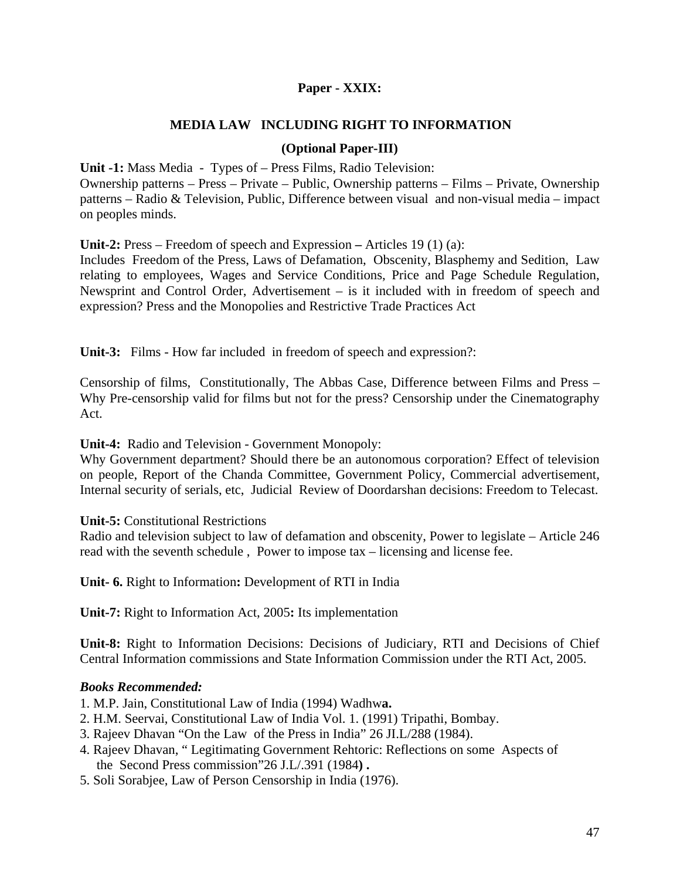## **Paper - XXIX:**

## **MEDIA LAW INCLUDING RIGHT TO INFORMATION**

### **(Optional Paper-III)**

**Unit -1:** Mass Media - Types of – Press Films, Radio Television: Ownership patterns – Press – Private – Public, Ownership patterns – Films – Private, Ownership patterns – Radio & Television, Public, Difference between visual and non-visual media – impact on peoples minds.

**Unit-2:** Press – Freedom of speech and Expression **–** Articles 19 (1) (a):

Includes Freedom of the Press, Laws of Defamation, Obscenity, Blasphemy and Sedition, Law relating to employees, Wages and Service Conditions, Price and Page Schedule Regulation, Newsprint and Control Order, Advertisement – is it included with in freedom of speech and expression? Press and the Monopolies and Restrictive Trade Practices Act

**Unit-3:** Films - How far included in freedom of speech and expression?:

Censorship of films, Constitutionally, The Abbas Case, Difference between Films and Press – Why Pre-censorship valid for films but not for the press? Censorship under the Cinematography Act.

**Unit-4:** Radio and Television - Government Monopoly:

Why Government department? Should there be an autonomous corporation? Effect of television on people, Report of the Chanda Committee, Government Policy, Commercial advertisement, Internal security of serials, etc, Judicial Review of Doordarshan decisions: Freedom to Telecast.

#### **Unit-5:** Constitutional Restrictions

Radio and television subject to law of defamation and obscenity, Power to legislate – Article 246 read with the seventh schedule , Power to impose tax – licensing and license fee.

**Unit- 6.** Right to Information**:** Development of RTI in India

**Unit-7:** Right to Information Act, 2005**:** Its implementation

**Unit-8:** Right to Information Decisions: Decisions of Judiciary, RTI and Decisions of Chief Central Information commissions and State Information Commission under the RTI Act, 2005.

#### *Books Recommended:*

1. M.P. Jain, Constitutional Law of India (1994) Wadhw**a.** 

- 2. H.M. Seervai, Constitutional Law of India Vol. 1. (1991) Tripathi, Bombay.
- 3. Rajeev Dhavan "On the Law of the Press in India" 26 JI.L/288 (1984).
- 4. Rajeev Dhavan, " Legitimating Government Rehtoric: Reflections on some Aspects of the Second Press commission"26 J.L/.391 (1984**) .**
- 5. Soli Sorabjee, Law of Person Censorship in India (1976).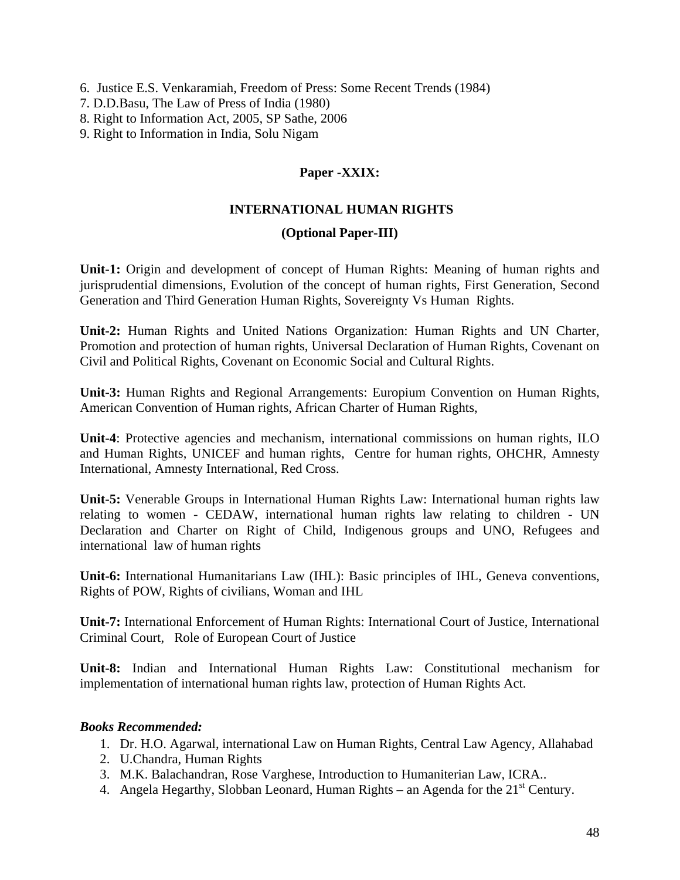6. Justice E.S. Venkaramiah, Freedom of Press: Some Recent Trends (1984)

7. D.D.Basu, The Law of Press of India (1980)

- 8. Right to Information Act, 2005, SP Sathe, 2006
- 9. Right to Information in India, Solu Nigam

### **Paper -XXIX:**

#### **INTERNATIONAL HUMAN RIGHTS**

#### **(Optional Paper-III)**

**Unit-1:** Origin and development of concept of Human Rights: Meaning of human rights and jurisprudential dimensions, Evolution of the concept of human rights, First Generation, Second Generation and Third Generation Human Rights, Sovereignty Vs Human Rights.

**Unit-2:** Human Rights and United Nations Organization: Human Rights and UN Charter, Promotion and protection of human rights, Universal Declaration of Human Rights, Covenant on Civil and Political Rights, Covenant on Economic Social and Cultural Rights.

**Unit-3:** Human Rights and Regional Arrangements: Europium Convention on Human Rights, American Convention of Human rights, African Charter of Human Rights,

**Unit-4**: Protective agencies and mechanism, international commissions on human rights, ILO and Human Rights, UNICEF and human rights, Centre for human rights, OHCHR, Amnesty International, Amnesty International, Red Cross.

**Unit-5:** Venerable Groups in International Human Rights Law: International human rights law relating to women - CEDAW, international human rights law relating to children - UN Declaration and Charter on Right of Child, Indigenous groups and UNO, Refugees and international law of human rights

**Unit-6:** International Humanitarians Law (IHL): Basic principles of IHL, Geneva conventions, Rights of POW, Rights of civilians, Woman and IHL

**Unit-7:** International Enforcement of Human Rights: International Court of Justice, International Criminal Court, Role of European Court of Justice

**Unit-8:** Indian and International Human Rights Law: Constitutional mechanism for implementation of international human rights law, protection of Human Rights Act.

- 1. Dr. H.O. Agarwal, international Law on Human Rights, Central Law Agency, Allahabad
- 2. U.Chandra, Human Rights
- 3. M.K. Balachandran, Rose Varghese, Introduction to Humaniterian Law, ICRA..
- 4. Angela Hegarthy, Slobban Leonard, Human Rights an Agenda for the  $21<sup>st</sup>$  Century.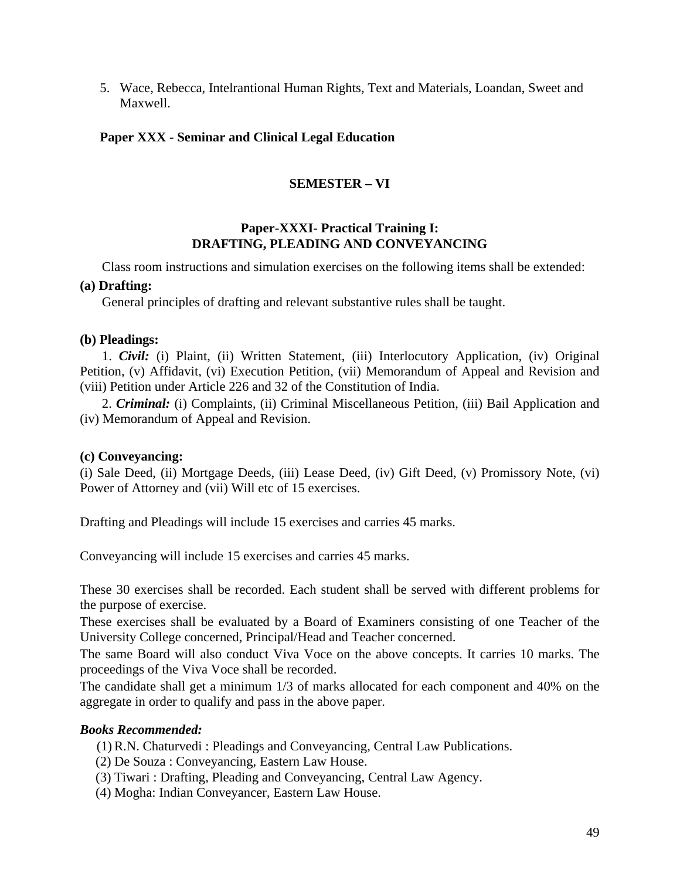5. Wace, Rebecca, Intelrantional Human Rights, Text and Materials, Loandan, Sweet and Maxwell.

## **Paper XXX - Seminar and Clinical Legal Education**

## **SEMESTER – VI**

### **Paper-XXXI- Practical Training I: DRAFTING, PLEADING AND CONVEYANCING**

Class room instructions and simulation exercises on the following items shall be extended:

#### **(a) Drafting:**

General principles of drafting and relevant substantive rules shall be taught.

#### **(b) Pleadings:**

1. *Civil:* (i) Plaint, (ii) Written Statement, (iii) Interlocutory Application, (iv) Original Petition, (v) Affidavit, (vi) Execution Petition, (vii) Memorandum of Appeal and Revision and (viii) Petition under Article 226 and 32 of the Constitution of India.

2. *Criminal:* (i) Complaints, (ii) Criminal Miscellaneous Petition, (iii) Bail Application and (iv) Memorandum of Appeal and Revision.

#### **(c) Conveyancing:**

(i) Sale Deed, (ii) Mortgage Deeds, (iii) Lease Deed, (iv) Gift Deed, (v) Promissory Note, (vi) Power of Attorney and (vii) Will etc of 15 exercises.

Drafting and Pleadings will include 15 exercises and carries 45 marks.

Conveyancing will include 15 exercises and carries 45 marks.

These 30 exercises shall be recorded. Each student shall be served with different problems for the purpose of exercise.

These exercises shall be evaluated by a Board of Examiners consisting of one Teacher of the University College concerned, Principal/Head and Teacher concerned.

The same Board will also conduct Viva Voce on the above concepts. It carries 10 marks. The proceedings of the Viva Voce shall be recorded.

The candidate shall get a minimum 1/3 of marks allocated for each component and 40% on the aggregate in order to qualify and pass in the above paper.

- (1) R.N. Chaturvedi : Pleadings and Conveyancing, Central Law Publications.
- (2) De Souza : Conveyancing, Eastern Law House.
- (3) Tiwari : Drafting, Pleading and Conveyancing, Central Law Agency.
- (4) Mogha: Indian Conveyancer, Eastern Law House.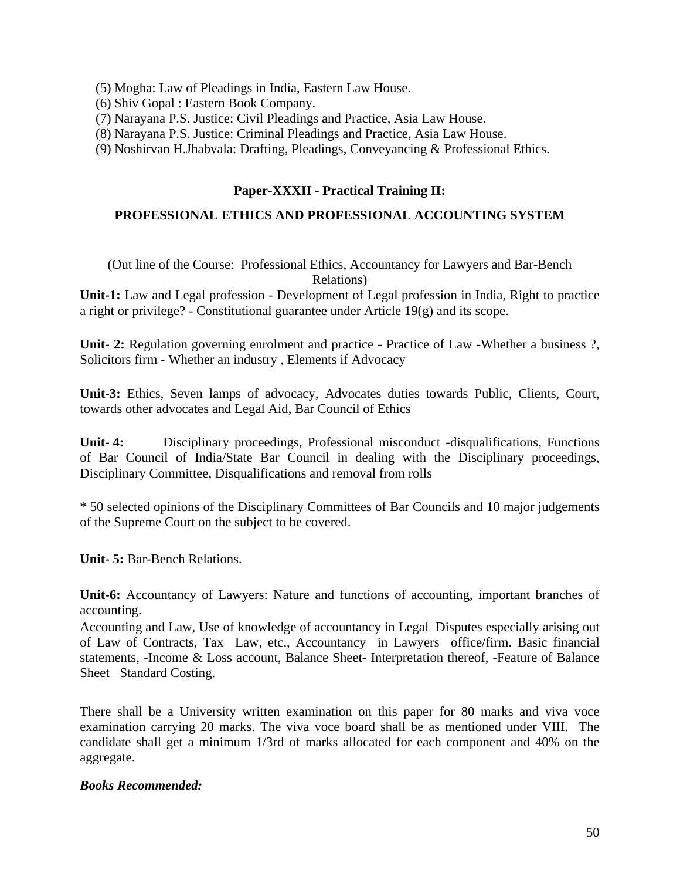- (5) Mogha: Law of Pleadings in India, Eastern Law House.
- (6) Shiv Gopal : Eastern Book Company.
- (7) Narayana P.S. Justice: Civil Pleadings and Practice, Asia Law House.
- (8) Narayana P.S. Justice: Criminal Pleadings and Practice, Asia Law House.
- (9) Noshirvan H.Jhabvala: Drafting, Pleadings, Conveyancing & Professional Ethics.

#### **Paper-XXXII - Practical Training II:**

#### **PROFESSIONAL ETHICS AND PROFESSIONAL ACCOUNTING SYSTEM**

#### (Out line of the Course: Professional Ethics, Accountancy for Lawyers and Bar-Bench Relations)

**Unit-1:** Law and Legal profession - Development of Legal profession in India, Right to practice a right or privilege? - Constitutional guarantee under Article 19(g) and its scope.

Unit- 2: Regulation governing enrolment and practice - Practice of Law -Whether a business ?, Solicitors firm - Whether an industry , Elements if Advocacy

**Unit-3:** Ethics, Seven lamps of advocacy, Advocates duties towards Public, Clients, Court, towards other advocates and Legal Aid, Bar Council of Ethics

**Unit- 4:** Disciplinary proceedings, Professional misconduct -disqualifications, Functions of Bar Council of India/State Bar Council in dealing with the Disciplinary proceedings, Disciplinary Committee, Disqualifications and removal from rolls

\* 50 selected opinions of the Disciplinary Committees of Bar Councils and 10 major judgements of the Supreme Court on the subject to be covered.

**Unit- 5:** Bar-Bench Relations.

**Unit-6:** Accountancy of Lawyers: Nature and functions of accounting, important branches of accounting.

Accounting and Law, Use of knowledge of accountancy in Legal Disputes especially arising out of Law of Contracts, Tax Law, etc., Accountancy in Lawyers office/firm. Basic financial statements, -Income & Loss account, Balance Sheet- Interpretation thereof, -Feature of Balance Sheet Standard Costing.

There shall be a University written examination on this paper for 80 marks and viva voce examination carrying 20 marks. The viva voce board shall be as mentioned under VIII. The candidate shall get a minimum 1/3rd of marks allocated for each component and 40% on the aggregate.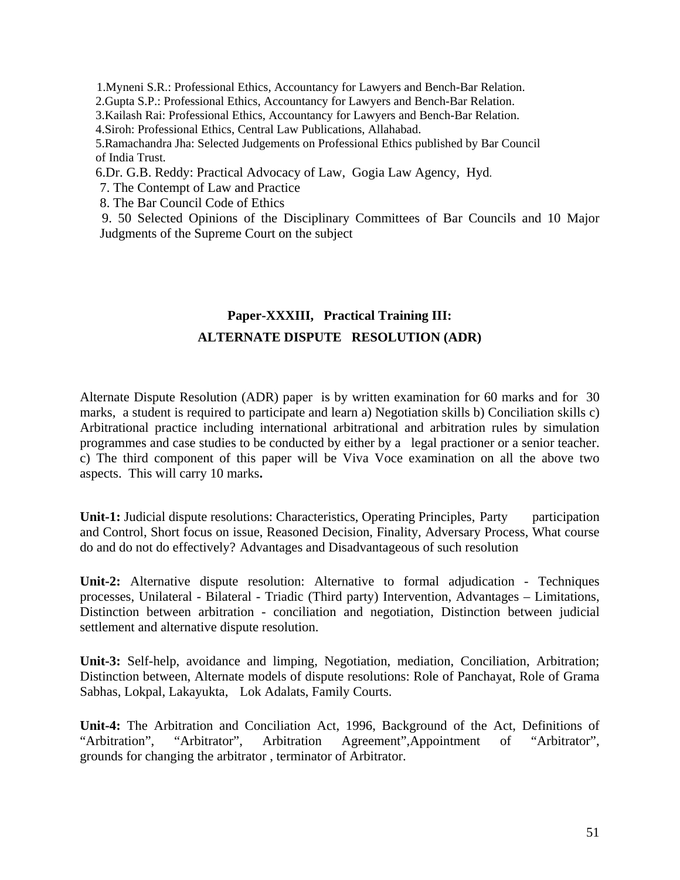1.Myneni S.R.: Professional Ethics, Accountancy for Lawyers and Bench-Bar Relation.

2.Gupta S.P.: Professional Ethics, Accountancy for Lawyers and Bench-Bar Relation.

3.Kailash Rai: Professional Ethics, Accountancy for Lawyers and Bench-Bar Relation.

4.Siroh: Professional Ethics, Central Law Publications, Allahabad.

 5.Ramachandra Jha: Selected Judgements on Professional Ethics published by Bar Council of India Trust.

6.Dr. G.B. Reddy: Practical Advocacy of Law, Gogia Law Agency, Hyd.

7. The Contempt of Law and Practice

8. The Bar Council Code of Ethics

9. 50 Selected Opinions of the Disciplinary Committees of Bar Councils and 10 Major Judgments of the Supreme Court on the subject

# **Paper-XXXIII, Practical Training III: ALTERNATE DISPUTE RESOLUTION (ADR)**

Alternate Dispute Resolution (ADR) paper is by written examination for 60 marks and for 30 marks, a student is required to participate and learn a) Negotiation skills b) Conciliation skills c) Arbitrational practice including international arbitrational and arbitration rules by simulation programmes and case studies to be conducted by either by a legal practioner or a senior teacher. c) The third component of this paper will be Viva Voce examination on all the above two aspects. This will carry 10 marks**.**

**Unit-1:** Judicial dispute resolutions: Characteristics, Operating Principles, Party participation and Control, Short focus on issue, Reasoned Decision, Finality, Adversary Process, What course do and do not do effectively? Advantages and Disadvantageous of such resolution

**Unit-2:** Alternative dispute resolution: Alternative to formal adjudication - Techniques processes, Unilateral - Bilateral - Triadic (Third party) Intervention, Advantages – Limitations, Distinction between arbitration - conciliation and negotiation, Distinction between judicial settlement and alternative dispute resolution.

**Unit-3:** Self-help, avoidance and limping, Negotiation, mediation, Conciliation, Arbitration; Distinction between, Alternate models of dispute resolutions: Role of Panchayat, Role of Grama Sabhas, Lokpal, Lakayukta, Lok Adalats, Family Courts.

**Unit-4:** The Arbitration and Conciliation Act, 1996, Background of the Act, Definitions of "Arbitration", "Arbitrator", Arbitration Agreement",Appointment of "Arbitrator", grounds for changing the arbitrator , terminator of Arbitrator.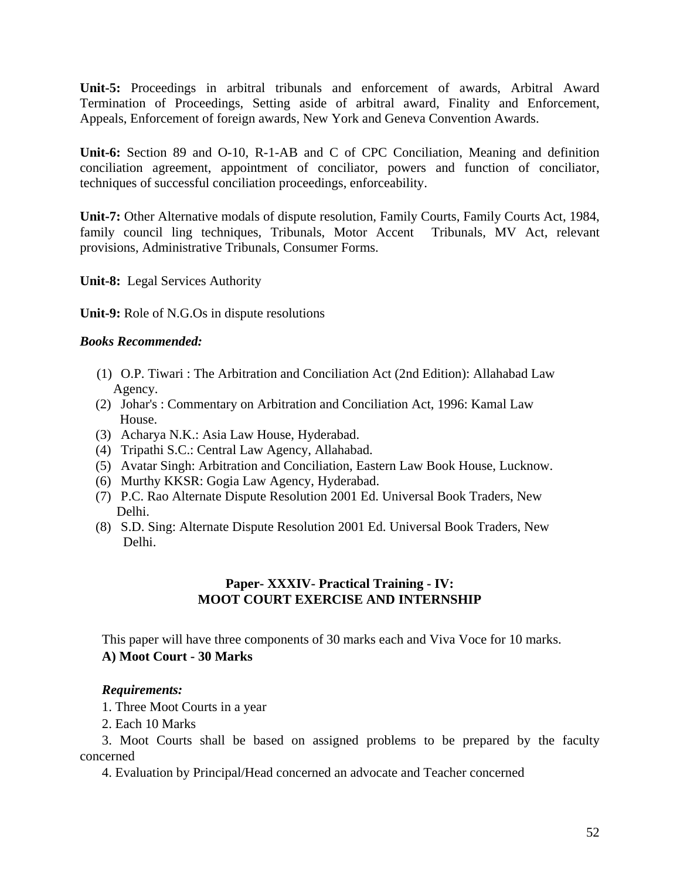**Unit-5:** Proceedings in arbitral tribunals and enforcement of awards, Arbitral Award Termination of Proceedings, Setting aside of arbitral award, Finality and Enforcement, Appeals, Enforcement of foreign awards, New York and Geneva Convention Awards.

**Unit-6:** Section 89 and O-10, R-1-AB and C of CPC Conciliation, Meaning and definition conciliation agreement, appointment of conciliator, powers and function of conciliator, techniques of successful conciliation proceedings, enforceability.

**Unit-7:** Other Alternative modals of dispute resolution, Family Courts, Family Courts Act, 1984, family council ling techniques, Tribunals, Motor Accent Tribunals, MV Act, relevant provisions, Administrative Tribunals, Consumer Forms.

**Unit-8:** Legal Services Authority

**Unit-9:** Role of N.G.Os in dispute resolutions

### *Books Recommended:*

- (1) O.P. Tiwari : The Arbitration and Conciliation Act (2nd Edition): Allahabad Law Agency.
- (2) Johar's : Commentary on Arbitration and Conciliation Act, 1996: Kamal Law House.
- (3) Acharya N.K.: Asia Law House, Hyderabad.
- (4) Tripathi S.C.: Central Law Agency, Allahabad.
- (5) Avatar Singh: Arbitration and Conciliation, Eastern Law Book House, Lucknow.
- (6) Murthy KKSR: Gogia Law Agency, Hyderabad.
- (7) P.C. Rao Alternate Dispute Resolution 2001 Ed. Universal Book Traders, New Delhi.
- (8) S.D. Sing: Alternate Dispute Resolution 2001 Ed. Universal Book Traders, New Delhi.

## **Paper- XXXIV- Practical Training - IV: MOOT COURT EXERCISE AND INTERNSHIP**

This paper will have three components of 30 marks each and Viva Voce for 10 marks. **A) Moot Court - 30 Marks** 

## *Requirements:*

1. Three Moot Courts in a year

2. Each 10 Marks

3. Moot Courts shall be based on assigned problems to be prepared by the faculty concerned

4. Evaluation by Principal/Head concerned an advocate and Teacher concerned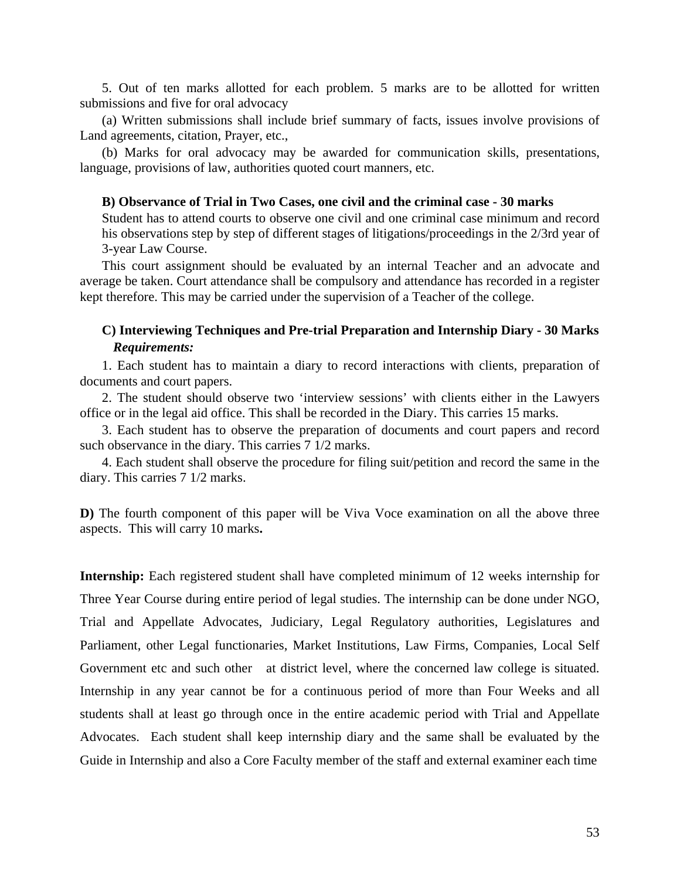5. Out of ten marks allotted for each problem. 5 marks are to be allotted for written submissions and five for oral advocacy

(a) Written submissions shall include brief summary of facts, issues involve provisions of Land agreements, citation, Prayer, etc.,

(b) Marks for oral advocacy may be awarded for communication skills, presentations, language, provisions of law, authorities quoted court manners, etc.

#### **B) Observance of Trial in Two Cases, one civil and the criminal case - 30 marks**

Student has to attend courts to observe one civil and one criminal case minimum and record his observations step by step of different stages of litigations/proceedings in the 2/3rd year of 3-year Law Course.

This court assignment should be evaluated by an internal Teacher and an advocate and average be taken. Court attendance shall be compulsory and attendance has recorded in a register kept therefore. This may be carried under the supervision of a Teacher of the college.

## **C) Interviewing Techniques and Pre-trial Preparation and Internship Diary - 30 Marks**   *Requirements:*

1. Each student has to maintain a diary to record interactions with clients, preparation of documents and court papers.

2. The student should observe two 'interview sessions' with clients either in the Lawyers office or in the legal aid office. This shall be recorded in the Diary. This carries 15 marks.

3. Each student has to observe the preparation of documents and court papers and record such observance in the diary. This carries 7 1/2 marks.

4. Each student shall observe the procedure for filing suit/petition and record the same in the diary. This carries 7 1/2 marks.

**D**) The fourth component of this paper will be Viva Voce examination on all the above three aspects. This will carry 10 marks**.** 

**Internship:** Each registered student shall have completed minimum of 12 weeks internship for Three Year Course during entire period of legal studies. The internship can be done under NGO, Trial and Appellate Advocates, Judiciary, Legal Regulatory authorities, Legislatures and Parliament, other Legal functionaries, Market Institutions, Law Firms, Companies, Local Self Government etc and such other at district level, where the concerned law college is situated. Internship in any year cannot be for a continuous period of more than Four Weeks and all students shall at least go through once in the entire academic period with Trial and Appellate Advocates. Each student shall keep internship diary and the same shall be evaluated by the Guide in Internship and also a Core Faculty member of the staff and external examiner each time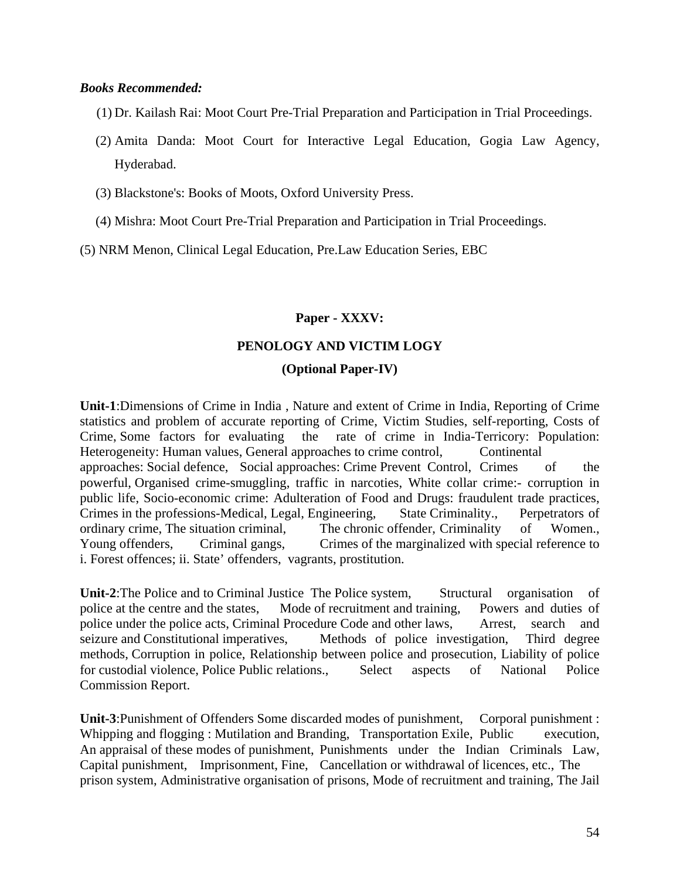#### *Books Recommended:*

- (1) Dr. Kailash Rai: Moot Court Pre-Trial Preparation and Participation in Trial Proceedings.
- (2) Amita Danda: Moot Court for Interactive Legal Education, Gogia Law Agency, Hyderabad.
- (3) Blackstone's: Books of Moots, Oxford University Press.
- (4) Mishra: Moot Court Pre-Trial Preparation and Participation in Trial Proceedings.

(5) NRM Menon, Clinical Legal Education, Pre.Law Education Series, EBC

#### **Paper - XXXV:**

#### **PENOLOGY AND VICTIM LOGY**

#### **(Optional Paper-IV)**

**Unit-1**:Dimensions of Crime in India , Nature and extent of Crime in India, Reporting of Crime statistics and problem of accurate reporting of Crime, Victim Studies, self-reporting, Costs of Crime, Some factors for evaluating the rate of crime in India-Terricory: Population: Heterogeneity: Human values, General approaches to crime control, Continental approaches: Social defence, Social approaches: Crime Prevent Control, Crimes of the powerful, Organised crime-smuggling, traffic in narcoties, White collar crime:- corruption in public life, Socio-economic crime: Adulteration of Food and Drugs: fraudulent trade practices, Crimes in the professions-Medical, Legal, Engineering, State Criminality., Perpetrators of ordinary crime, The situation criminal, The chronic offender, Criminality of Women., Young offenders, Criminal gangs, Crimes of the marginalized with special reference to i. Forest offences; ii. State' offenders, vagrants, prostitution.

**Unit-2**:The Police and to Criminal Justice The Police system, Structural organisation of police at the centre and the states, Mode of recruitment and training, Powers and duties of police under the police acts, Criminal Procedure Code and other laws, Arrest, search and seizure and Constitutional imperatives, Methods of police investigation, Third degree methods, Corruption in police, Relationship between police and prosecution, Liability of police for custodial violence, Police Public relations., Select aspects of National Police Commission Report.

**Unit-3**:Punishment of Offenders Some discarded modes of punishment, Corporal punishment : Whipping and flogging : Mutilation and Branding, Transportation Exile, Public execution, An appraisal of these modes of punishment, Punishments under the Indian Criminals Law, Capital punishment, Imprisonment, Fine, Cancellation or withdrawal of licences, etc., The prison system, Administrative organisation of prisons, Mode of recruitment and training, The Jail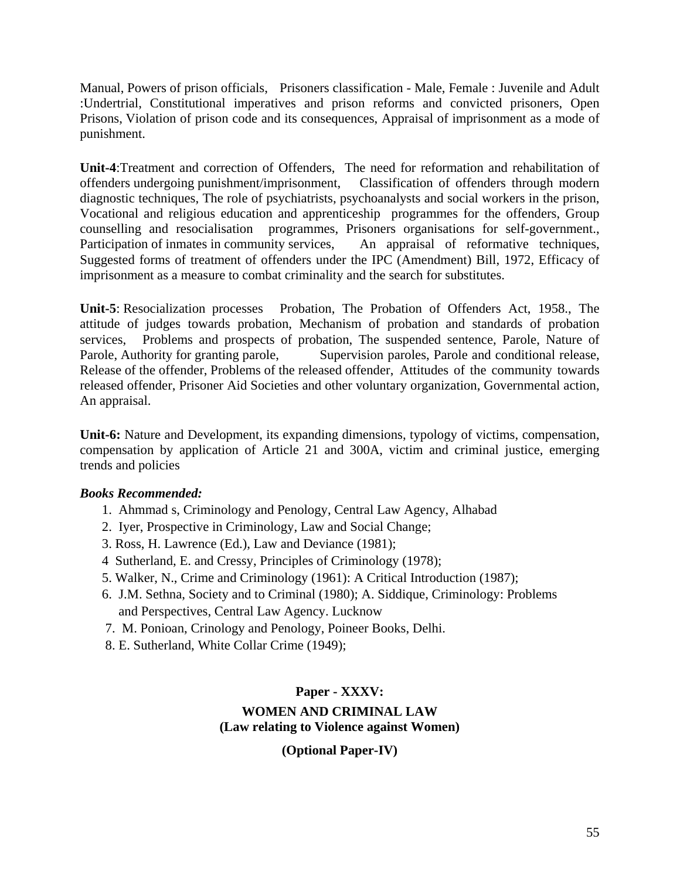Manual, Powers of prison officials, Prisoners classification - Male, Female : Juvenile and Adult :Undertrial, Constitutional imperatives and prison reforms and convicted prisoners, Open Prisons, Violation of prison code and its consequences, Appraisal of imprisonment as a mode of punishment.

**Unit-4**:Treatment and correction of Offenders, The need for reformation and rehabilitation of offenders undergoing punishment/imprisonment, Classification of offenders through modern diagnostic techniques, The role of psychiatrists, psychoanalysts and social workers in the prison, Vocational and religious education and apprenticeship programmes for the offenders, Group counselling and resocialisation programmes, Prisoners organisations for self-government., Participation of inmates in community services, An appraisal of reformative techniques, Suggested forms of treatment of offenders under the IPC (Amendment) Bill, 1972, Efficacy of imprisonment as a measure to combat criminality and the search for substitutes.

**Unit-5**: Resocialization processes Probation, The Probation of Offenders Act, 1958., The attitude of judges towards probation, Mechanism of probation and standards of probation services, Problems and prospects of probation, The suspended sentence, Parole, Nature of Parole, Authority for granting parole, Supervision paroles, Parole and conditional release, Release of the offender, Problems of the released offender, Attitudes of the community towards released offender, Prisoner Aid Societies and other voluntary organization, Governmental action, An appraisal.

**Unit-6:** Nature and Development, its expanding dimensions, typology of victims, compensation, compensation by application of Article 21 and 300A, victim and criminal justice, emerging trends and policies

## *Books Recommended:*

- 1. Ahmmad s, Criminology and Penology, Central Law Agency, Alhabad
- 2. Iyer, Prospective in Criminology, Law and Social Change;
- 3. Ross, H. Lawrence (Ed.), Law and Deviance (1981);
- 4 Sutherland, E. and Cressy, Principles of Criminology (1978);
- 5. Walker, N., Crime and Criminology (1961): A Critical Introduction (1987);
- 6. J.M. Sethna, Society and to Criminal (1980); A. Siddique, Criminology: Problems and Perspectives, Central Law Agency. Lucknow
- 7. M. Ponioan, Crinology and Penology, Poineer Books, Delhi.
- 8. E. Sutherland, White Collar Crime (1949);

## **Paper - XXXV:**

### **WOMEN AND CRIMINAL LAW (Law relating to Violence against Women)**

**(Optional Paper-IV)**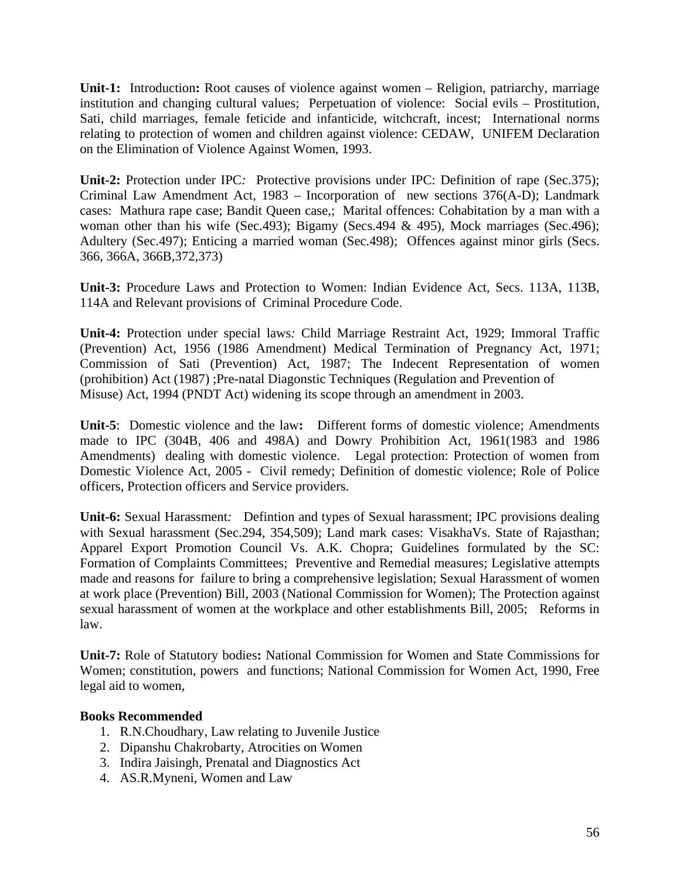**Unit-1:** Introduction**:** Root causes of violence against women – Religion, patriarchy, marriage institution and changing cultural values; Perpetuation of violence: Social evils – Prostitution, Sati, child marriages, female feticide and infanticide, witchcraft, incest; International norms relating to protection of women and children against violence: CEDAW, UNIFEM Declaration on the Elimination of Violence Against Women, 1993.

**Unit-2:** Protection under IPC*:* Protective provisions under IPC: Definition of rape (Sec.375); Criminal Law Amendment Act, 1983 – Incorporation of new sections 376(A-D); Landmark cases: Mathura rape case; Bandit Queen case,; Marital offences: Cohabitation by a man with a woman other than his wife (Sec.493); Bigamy (Secs.494 & 495), Mock marriages (Sec.496); Adultery (Sec.497); Enticing a married woman (Sec.498); Offences against minor girls (Secs. 366, 366A, 366B,372,373)

**Unit-3:** Procedure Laws and Protection to Women: Indian Evidence Act, Secs. 113A, 113B, 114A and Relevant provisions of Criminal Procedure Code.

**Unit-4:** Protection under special laws*:* Child Marriage Restraint Act, 1929; Immoral Traffic (Prevention) Act, 1956 (1986 Amendment) Medical Termination of Pregnancy Act, 1971; Commission of Sati (Prevention) Act, 1987; The Indecent Representation of women (prohibition) Act (1987) ;Pre-natal Diagonstic Techniques (Regulation and Prevention of Misuse) Act, 1994 (PNDT Act) widening its scope through an amendment in 2003.

**Unit-5**: Domestic violence and the law**:** Different forms of domestic violence; Amendments made to IPC (304B, 406 and 498A) and Dowry Prohibition Act, 1961(1983 and 1986 Amendments) dealing with domestic violence. Legal protection: Protection of women from Domestic Violence Act, 2005 - Civil remedy; Definition of domestic violence; Role of Police officers, Protection officers and Service providers.

**Unit-6:** Sexual Harassment*:*Defintion and types of Sexual harassment; IPC provisions dealing with Sexual harassment (Sec.294, 354,509); Land mark cases: VisakhaVs. State of Rajasthan; Apparel Export Promotion Council Vs. A.K. Chopra; Guidelines formulated by the SC: Formation of Complaints Committees; Preventive and Remedial measures; Legislative attempts made and reasons for failure to bring a comprehensive legislation; Sexual Harassment of women at work place (Prevention) Bill, 2003 (National Commission for Women); The Protection against sexual harassment of women at the workplace and other establishments Bill, 2005; Reforms in law.

**Unit-7:** Role of Statutory bodies**:** National Commission for Women and State Commissions for Women; constitution, powers and functions; National Commission for Women Act, 1990, Free legal aid to women,

- 1. R.N.Choudhary, Law relating to Juvenile Justice
- 2. Dipanshu Chakrobarty, Atrocities on Women
- 3. Indira Jaisingh, Prenatal and Diagnostics Act
- 4. AS.R.Myneni, Women and Law